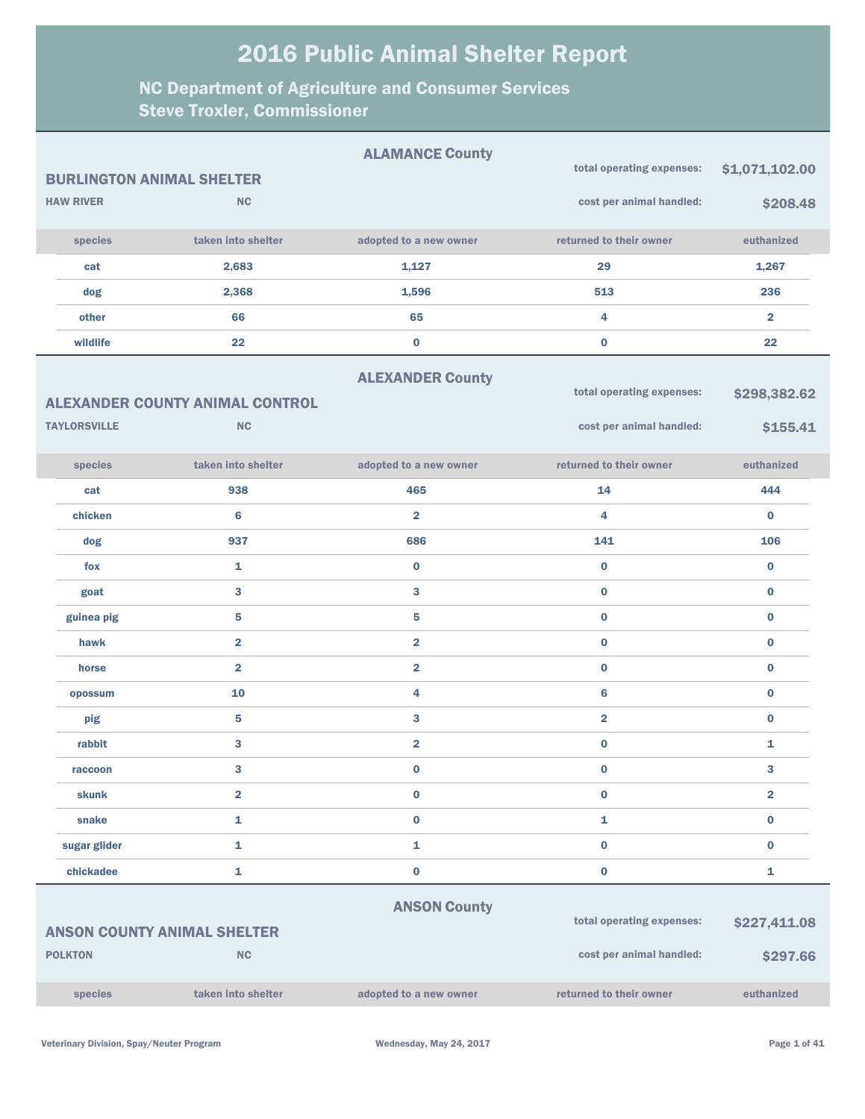|                |                     |                                        | <b>ALAMANCE County</b>  | total operating expenses: | \$1,071,102.00 |
|----------------|---------------------|----------------------------------------|-------------------------|---------------------------|----------------|
|                |                     | <b>BURLINGTON ANIMAL SHELTER</b>       |                         |                           |                |
|                | <b>HAW RIVER</b>    | NC                                     |                         | cost per animal handled:  | \$208.48       |
|                | species             | taken into shelter                     | adopted to a new owner  | returned to their owner   | euthanized     |
|                | cat                 | 2,683                                  | 1,127                   | 29                        | 1,267          |
|                | dog                 | 2,368                                  | 1,596                   | 513                       | 236            |
|                | other               | 66                                     | 65                      | 4                         | $\overline{2}$ |
|                | wildlife            | 22                                     | $\bf{0}$                | $\bf{0}$                  | 22             |
|                |                     |                                        | <b>ALEXANDER County</b> |                           |                |
|                |                     | <b>ALEXANDER COUNTY ANIMAL CONTROL</b> |                         | total operating expenses: | \$298,382.62   |
|                | <b>TAYLORSVILLE</b> | NC                                     |                         | cost per animal handled:  | \$155.41       |
|                |                     |                                        |                         |                           |                |
|                | species             | taken into shelter                     | adopted to a new owner  | returned to their owner   | euthanized     |
|                | cat                 | 938                                    | 465                     | 14                        | 444            |
|                | chicken             | 6                                      | $\overline{2}$          | 4                         | $\bf{0}$       |
|                | dog                 | 937                                    | 686                     | 141                       | 106            |
|                | fox                 | 1                                      | $\bf{0}$                | $\bf{0}$                  | $\bf{0}$       |
|                | goat                | 3                                      | 3                       | $\bf{0}$                  | $\bf{0}$       |
|                | guinea pig          | 5                                      | 5                       | $\bf{0}$                  | $\bf{0}$       |
|                | hawk                | $\overline{\mathbf{2}}$                | $\overline{\mathbf{2}}$ | $\bf{0}$                  | $\bf{0}$       |
|                | horse               | $\overline{2}$                         | $\overline{2}$          | $\bf{0}$                  | $\bf{0}$       |
|                | opossum             | 10                                     | 4                       | $6\phantom{1}6$           | $\bf{0}$       |
|                | pig                 | 5                                      | 3                       | $\overline{\mathbf{2}}$   | $\bf{0}$       |
|                | rabbit              | 3                                      | $\overline{\mathbf{2}}$ | $\bf{0}$                  | 1              |
|                | raccoon             | 3                                      | $\bf{0}$                | $\bf{0}$                  | 3              |
|                | <b>skunk</b>        | $\overline{\mathbf{2}}$                | $\pmb{0}$               | $\bf{0}$                  | $\overline{2}$ |
|                | snake               | 1                                      | $\mathbf 0$             | $\mathbf{1}$              | $\bf{0}$       |
|                | sugar glider        | $\mathbf{1}$                           | $\mathbf{1}$            | $\bf{0}$                  | $\bf{0}$       |
|                | chickadee           | 1                                      | $\mathbf 0$             | $\bf{0}$                  | 1              |
|                |                     |                                        | <b>ANSON County</b>     |                           |                |
|                |                     | <b>ANSON COUNTY ANIMAL SHELTER</b>     |                         | total operating expenses: | \$227,411.08   |
| <b>POLKTON</b> |                     | <b>NC</b>                              |                         | cost per animal handled:  | \$297.66       |
|                |                     |                                        |                         |                           |                |
|                | species             | taken into shelter                     | adopted to a new owner  | returned to their owner   | euthanized     |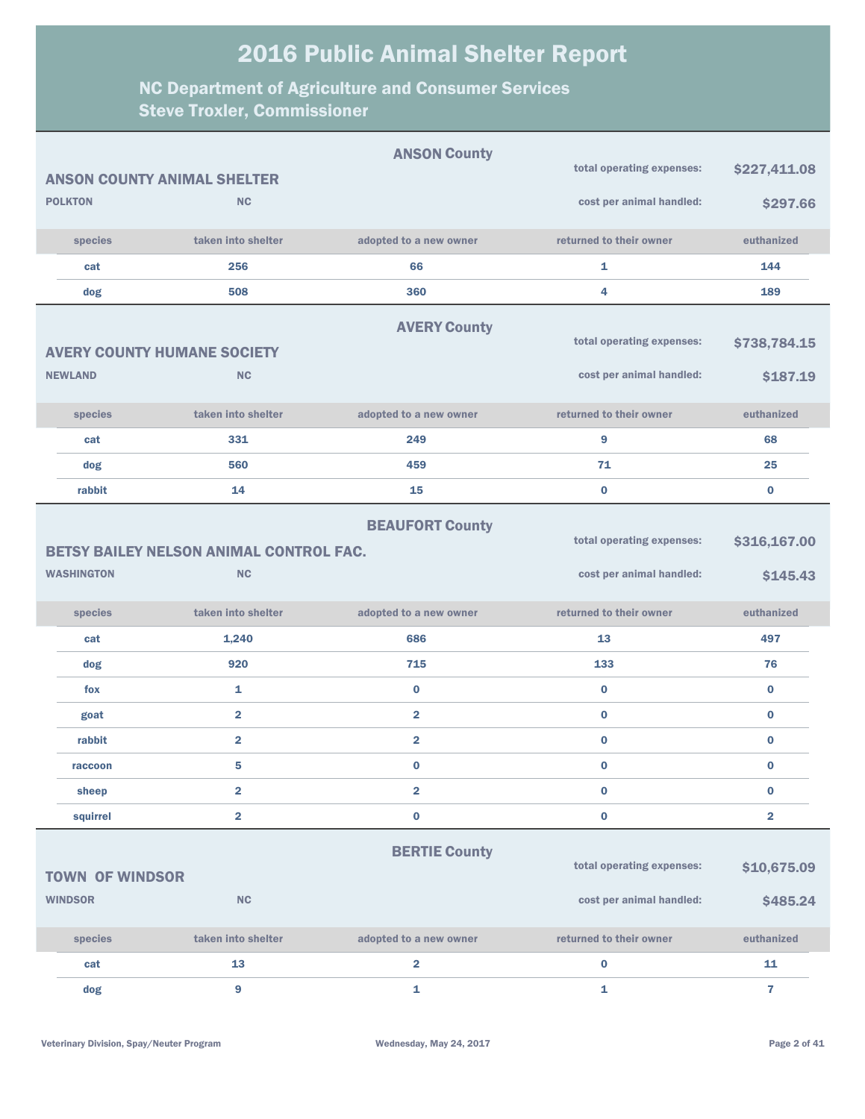| <b>ANSON County</b>    |                                                |                         |                           |                         |  |
|------------------------|------------------------------------------------|-------------------------|---------------------------|-------------------------|--|
|                        | <b>ANSON COUNTY ANIMAL SHELTER</b>             |                         | total operating expenses: | \$227,411.08            |  |
| <b>POLKTON</b>         | <b>NC</b>                                      |                         | cost per animal handled:  | \$297.66                |  |
| species                | taken into shelter                             | adopted to a new owner  | returned to their owner   | euthanized              |  |
| cat                    | 256                                            | 66                      | 1                         | 144                     |  |
| dog                    | 508                                            | 360                     | 4                         | 189                     |  |
|                        |                                                | <b>AVERY County</b>     |                           |                         |  |
|                        | <b>AVERY COUNTY HUMANE SOCIETY</b>             |                         | total operating expenses: | \$738,784.15            |  |
| <b>NEWLAND</b>         | <b>NC</b>                                      |                         | cost per animal handled:  | \$187.19                |  |
| species                | taken into shelter                             | adopted to a new owner  | returned to their owner   | euthanized              |  |
| cat                    | 331                                            | 249                     | 9                         | 68                      |  |
| dog                    | 560                                            | 459                     | 71                        | 25                      |  |
| rabbit                 | 14                                             | 15                      | $\bf{0}$                  | $\bf{0}$                |  |
|                        | <b>BETSY BAILEY NELSON ANIMAL CONTROL FAC.</b> | <b>BEAUFORT County</b>  | total operating expenses: | \$316,167.00            |  |
| <b>WASHINGTON</b>      | <b>NC</b>                                      |                         | cost per animal handled:  | \$145.43                |  |
| species                | taken into shelter                             | adopted to a new owner  | returned to their owner   | euthanized              |  |
| cat                    | 1,240                                          | 686                     | 13                        | 497                     |  |
| dog                    | 920                                            | 715                     | 133                       | 76                      |  |
| fox                    | $\mathbf{1}$                                   | $\bf{0}$                | $\bf{0}$                  | $\bf{0}$                |  |
| goat                   | $\overline{2}$                                 | $\overline{\mathbf{2}}$ | $\bf{0}$                  | $\bf{0}$                |  |
| rabbit                 | $\overline{2}$                                 | $\overline{\mathbf{2}}$ | $\bf{0}$                  | $\bf{0}$                |  |
| raccoon                | 5                                              | $\bf{0}$                | $\bf{0}$                  | $\bf{0}$                |  |
| sheep                  | $\overline{2}$                                 | $\overline{\mathbf{2}}$ | $\bf{0}$                  | $\mathbf 0$             |  |
| squirrel               | $\overline{2}$                                 | $\bf{0}$                | $\bf{0}$                  | $\overline{\mathbf{2}}$ |  |
|                        |                                                | <b>BERTIE County</b>    |                           |                         |  |
| <b>TOWN OF WINDSOR</b> |                                                |                         | total operating expenses: | \$10,675.09             |  |
| <b>WINDSOR</b>         | <b>NC</b>                                      |                         | cost per animal handled:  | \$485.24                |  |
| species                | taken into shelter                             | adopted to a new owner  | returned to their owner   | euthanized              |  |
| cat                    | 13                                             | 2                       | $\bf{0}$                  | 11                      |  |
| dog                    | 9                                              | 1                       | 1                         | $\overline{7}$          |  |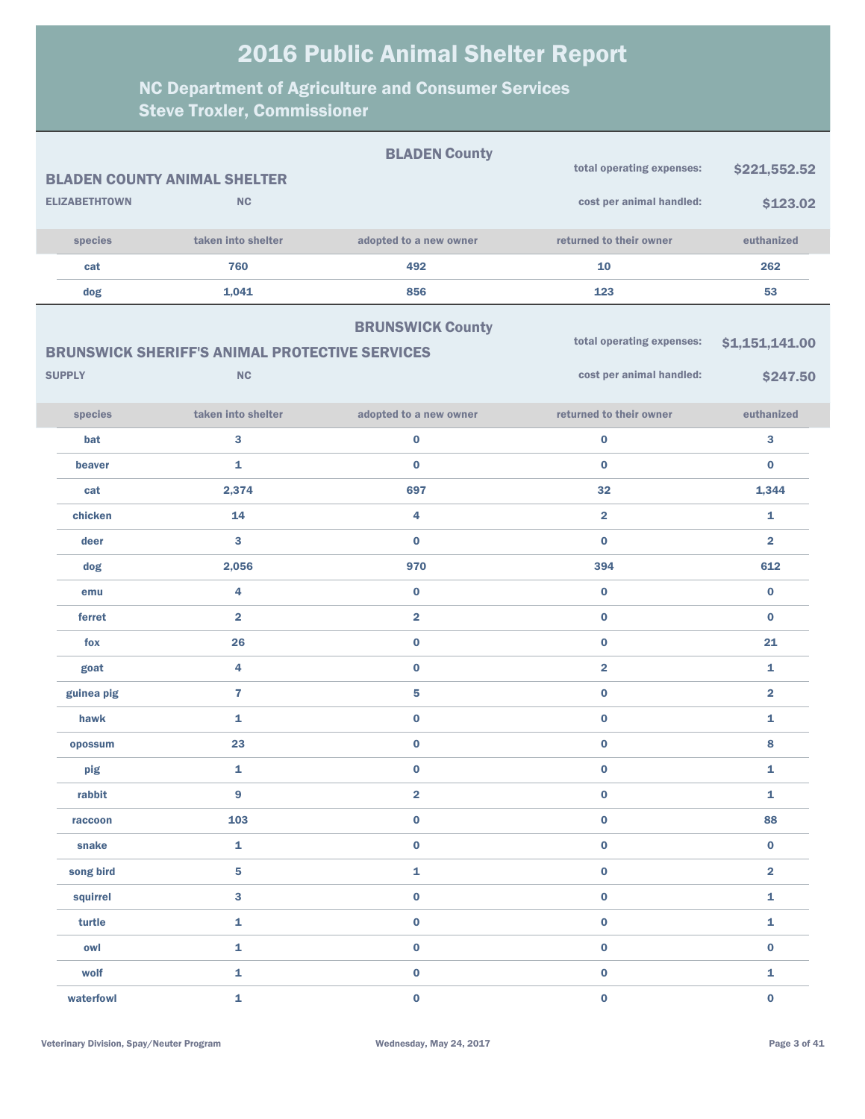|                      | <b>BLADEN COUNTY ANIMAL SHELTER</b>                   | <b>BLADEN County</b>    | total operating expenses: | \$221,552.52            |
|----------------------|-------------------------------------------------------|-------------------------|---------------------------|-------------------------|
|                      |                                                       |                         |                           |                         |
| <b>ELIZABETHTOWN</b> | <b>NC</b>                                             |                         | cost per animal handled:  | \$123.02                |
| species              | taken into shelter                                    | adopted to a new owner  | returned to their owner   | euthanized              |
| cat                  | 760                                                   | 492                     | 10                        | 262                     |
| dog                  | 1,041                                                 | 856                     | 123                       | 53                      |
|                      |                                                       | <b>BRUNSWICK County</b> |                           |                         |
|                      | <b>BRUNSWICK SHERIFF'S ANIMAL PROTECTIVE SERVICES</b> |                         | total operating expenses: | \$1,151,141.00          |
| <b>SUPPLY</b>        | <b>NC</b>                                             |                         | cost per animal handled:  | \$247.50                |
|                      |                                                       |                         |                           |                         |
| species              | taken into shelter                                    | adopted to a new owner  | returned to their owner   | euthanized              |
| bat                  | 3                                                     | $\bf{0}$                | $\mathbf 0$               | 3                       |
| beaver               | 1                                                     | $\bf{0}$                | $\bf{0}$                  | $\bf{0}$                |
| cat                  | 2,374                                                 | 697                     | 32                        | 1,344                   |
| chicken              | 14                                                    | 4                       | $\overline{2}$            | 1                       |
| deer                 | 3                                                     | $\bf{0}$                | $\bf{0}$                  | $\overline{2}$          |
| dog                  | 2,056                                                 | 970                     | 394                       | 612                     |
| emu                  | 4                                                     | $\bf{0}$                | $\bf{0}$                  | $\bf{0}$                |
| ferret               | $\overline{2}$                                        | $\overline{\mathbf{2}}$ | $\bf{0}$                  | $\bf{0}$                |
| fox                  | 26                                                    | $\bf{0}$                | $\bf{0}$                  | 21                      |
| goat                 | 4                                                     | $\bf{0}$                | $\overline{2}$            | $\mathbf{1}$            |
| guinea pig           | $\overline{7}$                                        | 5                       | $\bf{0}$                  | $\overline{2}$          |
| hawk                 | 1                                                     | $\bf{0}$                | $\bf{0}$                  | $\mathbf{1}$            |
| opossum              | 23                                                    | $\bf{0}$                | $\bf{0}$                  | 8                       |
| pig                  | 1                                                     | $\bf{0}$                | $\bf{0}$                  | 1                       |
| rabbit               | 9                                                     | $\overline{\mathbf{2}}$ | $\pmb{0}$                 | $\mathbf 1$             |
| raccoon              | 103                                                   | $\pmb{0}$               | $\pmb{0}$                 | 88                      |
| snake                | 1                                                     | $\pmb{0}$               | $\mathbf 0$               | $\pmb{0}$               |
| song bird            | 5                                                     | $\mathbf 1$             | $\pmb{0}$                 | $\overline{\mathbf{2}}$ |
| squirrel             | $\overline{\mathbf{3}}$                               | $\pmb{0}$               | $\mathbf 0$               | $\mathbf 1$             |
| turtle               | $\bar{\mathbf{1}}$                                    | $\mathbf 0$             | $\pmb{0}$                 | $\mathbf 1$             |
| owl                  | $\bar{\mathbf{1}}$                                    | $\pmb{0}$               | $\mathbf 0$               | $\pmb{0}$               |
| wolf                 | $\mathbf 1$                                           | $\pmb{0}$               | $\pmb{0}$                 | $\mathbf{1}$            |
| waterfowl            | $\mathbf 1$                                           | $\mathbf 0$             | $\mathbf{0}$              | $\pmb{0}$               |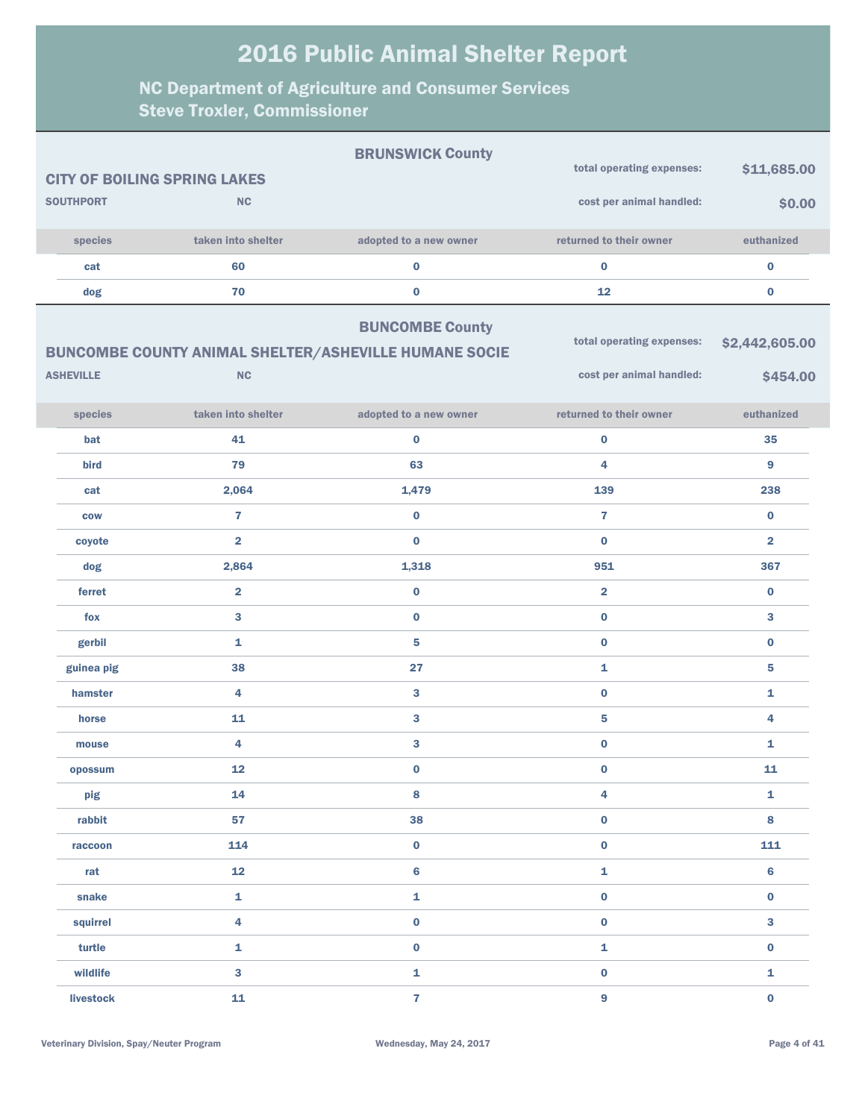|                  |                                                                           | <b>BRUNSWICK County</b> |                                                       |                            |
|------------------|---------------------------------------------------------------------------|-------------------------|-------------------------------------------------------|----------------------------|
|                  | <b>CITY OF BOILING SPRING LAKES</b>                                       |                         | total operating expenses:                             | \$11,685.00                |
| <b>SOUTHPORT</b> | <b>NC</b>                                                                 |                         | cost per animal handled:                              | \$0.00                     |
| species          | taken into shelter                                                        | adopted to a new owner  | returned to their owner                               | euthanized                 |
| cat              | 60                                                                        | $\bf{0}$                | $\bf{0}$                                              | $\bf{0}$                   |
| dog              | 70                                                                        | $\pmb{0}$               | 12                                                    | $\bf{0}$                   |
| <b>ASHEVILLE</b> | <b>BUNCOMBE COUNTY ANIMAL SHELTER/ASHEVILLE HUMANE SOCIE</b><br><b>NC</b> | <b>BUNCOMBE County</b>  | total operating expenses:<br>cost per animal handled: | \$2,442,605.00<br>\$454.00 |
| species          | taken into shelter                                                        | adopted to a new owner  | returned to their owner                               | euthanized                 |
| bat              | 41                                                                        | $\bf{0}$                | $\bf{0}$                                              | 35                         |
| bird             | 79                                                                        | 63                      | 4                                                     | 9                          |
| cat              | 2,064                                                                     | 1,479                   | 139                                                   | 238                        |
| <b>COW</b>       | $\overline{7}$                                                            | $\bf{0}$                | $\overline{7}$                                        | $\bf{0}$                   |
| coyote           | $\overline{2}$                                                            | $\bf{0}$                | $\bf{0}$                                              | $\overline{\mathbf{2}}$    |
| dog              | 2,864                                                                     | 1,318                   | 951                                                   | 367                        |
| ferret           | $\overline{2}$                                                            | $\pmb{0}$               | $\overline{\mathbf{2}}$                               | $\bf{0}$                   |
| fox              | 3                                                                         | $\bf{0}$                | $\bf{0}$                                              | $\mathbf{3}$               |
| gerbil           | 1                                                                         | 5                       | $\bf{0}$                                              | $\bf{0}$                   |
| guinea pig       | 38                                                                        | 27                      | $\mathbf{1}$                                          | 5                          |
| hamster          | 4                                                                         | 3                       | $\bf{0}$                                              | 1                          |
| horse            | 11                                                                        | 3                       | 5                                                     | 4                          |
| mouse            | 4                                                                         | 3                       | $\bf{0}$                                              | 1                          |
| opossum          | 12                                                                        | $\bf{0}$                | $\bf{0}$                                              | 11                         |
| pig              | 14                                                                        | $\bf8$                  | $\overline{\mathbf{4}}$                               | $\mathbf{1}$               |
| rabbit           | 57                                                                        | 38                      | $\mathbf 0$                                           | 8                          |
| raccoon          | 114                                                                       | $\mathbf 0$             | $\mathbf 0$                                           | 111                        |
| rat              | 12                                                                        | $6\phantom{a}$          | $\mathbf 1$                                           | $\bf 6$                    |
| snake            | $\mathbf{1}$                                                              | ${\bf 1}$               | $\mathbf 0$                                           | $\mathbf 0$                |
| squirrel         | $\overline{\mathbf{4}}$                                                   | $\pmb{0}$               | $\mathbf 0$                                           | $\mathbf{3}$               |
| turtle           | $\mathbf{1}$                                                              | $\pmb{0}$               | $\mathbf 1$                                           | $\mathbf 0$                |
| wildlife         | $\mathbf{3}$                                                              | ${\bf 1}$               | $\mathbf 0$                                           | $\mathbf{1}$               |
| livestock        | 11                                                                        | $\mathbf{7}$            | $\mathbf{9}$                                          | $\mathbf 0$                |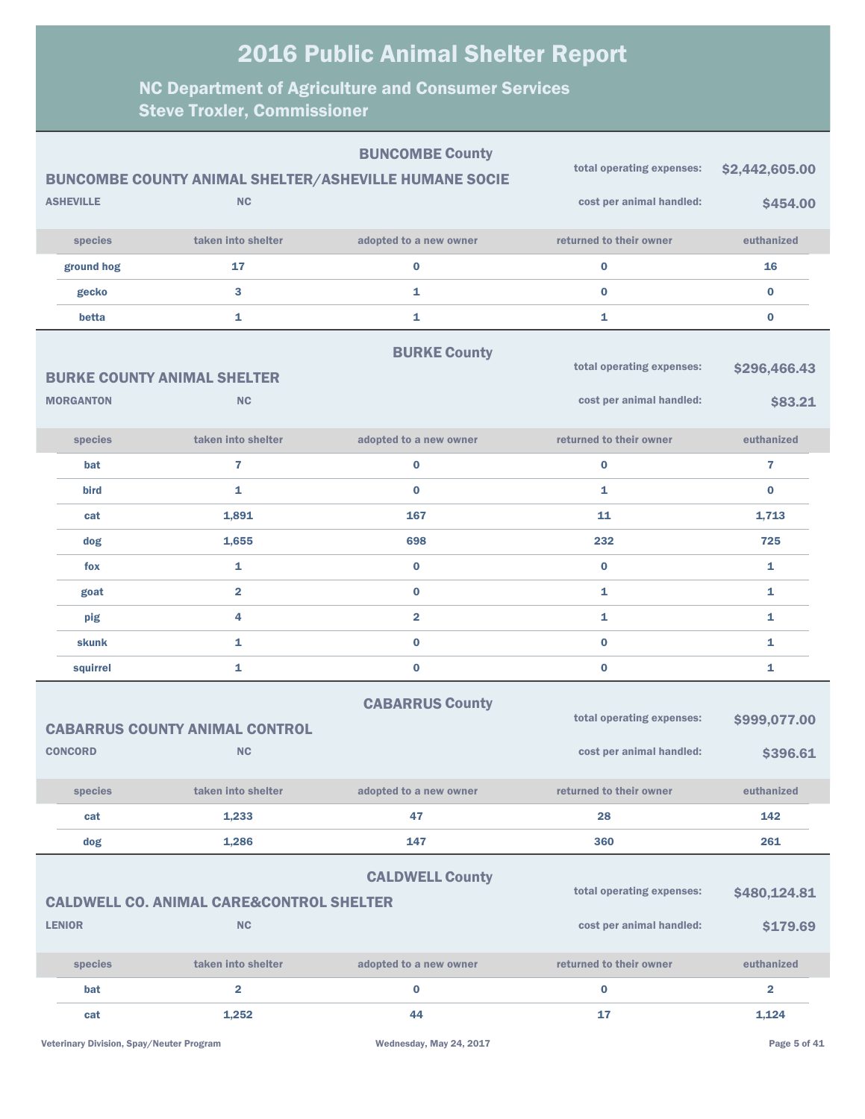| <b>BUNCOMBE County</b> |                  |                                                              |                         |                           |                         |
|------------------------|------------------|--------------------------------------------------------------|-------------------------|---------------------------|-------------------------|
|                        |                  | <b>BUNCOMBE COUNTY ANIMAL SHELTER/ASHEVILLE HUMANE SOCIE</b> |                         | total operating expenses: | \$2,442,605.00          |
|                        | <b>ASHEVILLE</b> | <b>NC</b>                                                    |                         | cost per animal handled:  | \$454.00                |
|                        | species          | taken into shelter                                           | adopted to a new owner  | returned to their owner   | euthanized              |
|                        | ground hog       | 17                                                           | $\bf{0}$                | $\bf{0}$                  | 16                      |
|                        | gecko            | 3                                                            | 1                       | $\bf{0}$                  | $\bf{0}$                |
|                        | betta            | 1                                                            | 1                       | 1                         | $\bf{0}$                |
|                        |                  |                                                              | <b>BURKE County</b>     |                           |                         |
|                        |                  | <b>BURKE COUNTY ANIMAL SHELTER</b>                           |                         | total operating expenses: | \$296,466.43            |
|                        | <b>MORGANTON</b> | <b>NC</b>                                                    |                         | cost per animal handled:  | \$83.21                 |
|                        | species          | taken into shelter                                           | adopted to a new owner  | returned to their owner   | euthanized              |
|                        | <b>bat</b>       | 7                                                            | $\bf{0}$                | $\bf{0}$                  | 7                       |
|                        | bird             | $\mathbf{1}$                                                 | $\bf{0}$                | $\mathbf{1}$              | $\bf{0}$                |
|                        | cat              | 1,891                                                        | 167                     | 11                        | 1,713                   |
|                        | dog              | 1,655                                                        | 698                     | 232                       | 725                     |
|                        | fox              | $\mathbf{1}$                                                 | $\bf{0}$                | $\bf{0}$                  | 1                       |
|                        | goat             | $\overline{\mathbf{2}}$                                      | $\bf{0}$                | $\mathbf{1}$              | 1                       |
|                        | pig              | 4                                                            | $\overline{\mathbf{2}}$ | 1                         | 1                       |
|                        | skunk            | 1                                                            | $\bf{0}$                | $\bf{0}$                  | 1                       |
|                        | squirrel         | $\mathbf{1}$                                                 | $\bf{0}$                | $\bf{0}$                  | 1                       |
|                        |                  |                                                              | <b>CABARRUS County</b>  |                           |                         |
|                        |                  | <b>CABARRUS COUNTY ANIMAL CONTROL</b>                        |                         | total operating expenses: | \$999,077.00            |
|                        | <b>CONCORD</b>   | <b>NC</b>                                                    |                         | cost per animal handled:  | \$396.61                |
|                        | species          | taken into shelter                                           | adopted to a new owner  | returned to their owner   | euthanized              |
|                        | cat              | 1,233                                                        | 47                      | 28                        | 142                     |
|                        | dog              | 1,286                                                        | 147                     | 360                       | 261                     |
|                        |                  | <b>CALDWELL CO. ANIMAL CARE&amp;CONTROL SHELTER</b>          | <b>CALDWELL County</b>  | total operating expenses: | \$480,124.81            |
|                        | <b>LENIOR</b>    | NC                                                           |                         | cost per animal handled:  | \$179.69                |
|                        | species          | taken into shelter                                           | adopted to a new owner  | returned to their owner   | euthanized              |
|                        | bat              | $\overline{\mathbf{2}}$                                      | $\bf{0}$                | $\bf{0}$                  | $\overline{\mathbf{2}}$ |
|                        | cat              | 1,252                                                        | 44                      | 17                        | 1,124                   |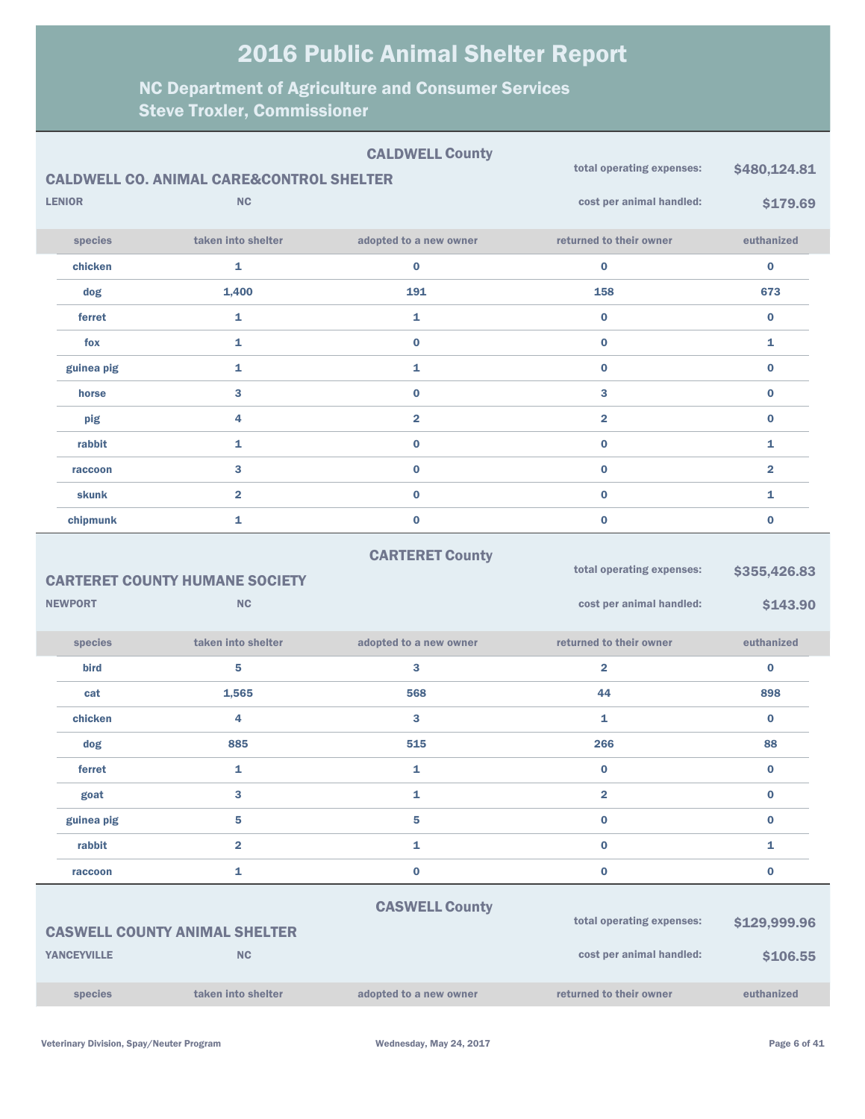| <b>CALDWELL County</b><br>total operating expenses:<br><b>CALDWELL CO. ANIMAL CARE&amp;CONTROL SHELTER</b> |                    |                                                   |                        |                           | \$480,124.81            |
|------------------------------------------------------------------------------------------------------------|--------------------|---------------------------------------------------|------------------------|---------------------------|-------------------------|
|                                                                                                            | <b>LENIOR</b>      | <b>NC</b>                                         |                        | cost per animal handled:  | \$179.69                |
|                                                                                                            | species            | taken into shelter                                | adopted to a new owner | returned to their owner   | euthanized              |
|                                                                                                            | chicken            | 1                                                 | $\bf{0}$               | $\bf{0}$                  | $\bf{0}$                |
|                                                                                                            | dog                | 1,400                                             | 191                    | 158                       | 673                     |
|                                                                                                            | ferret             | 1                                                 | 1                      | $\bf{0}$                  | $\bf{0}$                |
|                                                                                                            | fox                | $\mathbf{1}$                                      | $\mathbf{0}$           | $\bf{0}$                  | 1                       |
|                                                                                                            | guinea pig         | $\mathbf{1}$                                      | 1                      | $\bf{0}$                  | $\bf{0}$                |
|                                                                                                            | horse              | 3                                                 | $\mathbf{0}$           | 3                         | $\bf{0}$                |
|                                                                                                            | pig                | 4                                                 | $\overline{2}$         | $\overline{2}$            | $\bf{0}$                |
|                                                                                                            | rabbit             | $\mathbf{1}$                                      | $\bf{0}$               | $\bf{0}$                  | 1                       |
|                                                                                                            | raccoon            | 3                                                 | $\bf{0}$               | $\bf{0}$                  | $\overline{\mathbf{2}}$ |
|                                                                                                            | skunk              | $\overline{2}$                                    | $\bf{0}$               | $\bf{0}$                  | 1                       |
|                                                                                                            | chipmunk           | $\mathbf{1}$                                      | $\bf{0}$               | $\bf{0}$                  | $\bf{0}$                |
|                                                                                                            |                    |                                                   | <b>CARTERET County</b> |                           |                         |
| <b>CARTERET COUNTY HUMANE SOCIETY</b>                                                                      |                    |                                                   |                        | total operating expenses: | \$355,426.83            |
|                                                                                                            | <b>NEWPORT</b>     | <b>NC</b>                                         |                        | cost per animal handled:  | \$143.90                |
|                                                                                                            | species            | taken into shelter                                | adopted to a new owner | returned to their owner   | euthanized              |
|                                                                                                            | bird               | 5                                                 | 3                      | $\overline{\mathbf{2}}$   | 0                       |
|                                                                                                            | cat                | 1,565                                             | 568                    | 44                        | 898                     |
|                                                                                                            | chicken            | 4                                                 | 3                      | 1                         | $\bf{0}$                |
|                                                                                                            | dog                | 885                                               | 515                    | 266                       | 88                      |
|                                                                                                            | ferret             | 1                                                 | 1                      | $\bf{0}$                  | 0                       |
|                                                                                                            | goat               | 3                                                 | $\mathbf{1}$           | $\overline{2}$            | $\bf{0}$                |
|                                                                                                            | guinea pig         |                                                   |                        |                           |                         |
|                                                                                                            |                    | 5                                                 | 5                      | $\bf{0}$                  | 0                       |
|                                                                                                            | rabbit             | $\overline{\mathbf{2}}$                           | $\mathbf{1}$           | $\bf{0}$                  | 1                       |
|                                                                                                            | raccoon            | $\mathbf{1}$                                      | $\bf{0}$               | $\bf{0}$                  | 0                       |
|                                                                                                            |                    |                                                   |                        |                           |                         |
|                                                                                                            |                    |                                                   | <b>CASWELL County</b>  | total operating expenses: | \$129,999.96            |
|                                                                                                            | <b>YANCEYVILLE</b> | <b>CASWELL COUNTY ANIMAL SHELTER</b><br><b>NC</b> |                        | cost per animal handled:  | \$106.55                |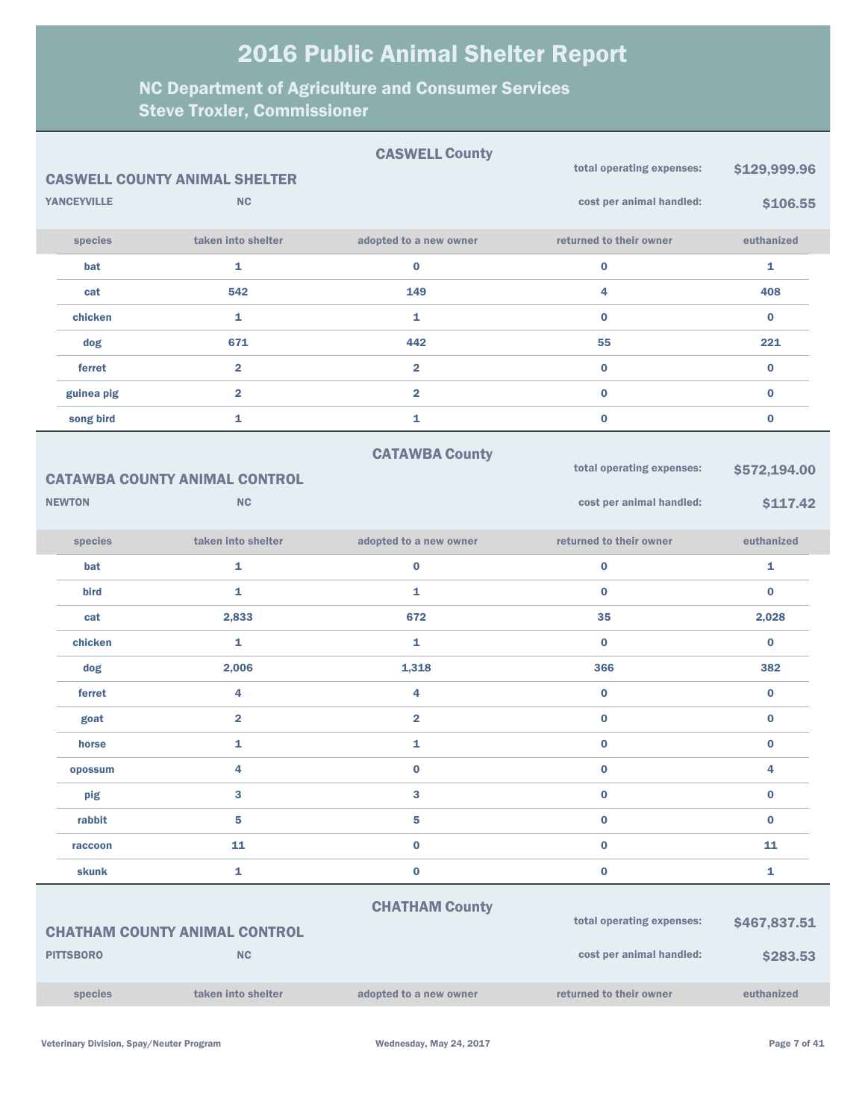|                    |                                      | <b>CASWELL County</b>   | total operating expenses: | \$129,999.96 |
|--------------------|--------------------------------------|-------------------------|---------------------------|--------------|
|                    | <b>CASWELL COUNTY ANIMAL SHELTER</b> |                         |                           |              |
| <b>YANCEYVILLE</b> | <b>NC</b>                            |                         | cost per animal handled:  | \$106.55     |
| species            | taken into shelter                   | adopted to a new owner  | returned to their owner   | euthanized   |
| bat                | 1                                    | $\bf{0}$                | $\bf{0}$                  | 1            |
| cat                | 542                                  | 149                     | 4                         | 408          |
| chicken            | $\mathbf{1}$                         | 1                       | $\bf{0}$                  | $\bf{0}$     |
| dog                | 671                                  | 442                     | 55                        | 221          |
| ferret             | $\overline{2}$                       | $\overline{2}$          | $\bf{0}$                  | $\bf{0}$     |
| guinea pig         | $\overline{2}$                       | $\overline{2}$          | $\bf{0}$                  | $\bf{0}$     |
| song bird          | $\mathbf{1}$                         | 1                       | $\bf{0}$                  | $\bf{0}$     |
|                    |                                      | <b>CATAWBA County</b>   |                           |              |
|                    | <b>CATAWBA COUNTY ANIMAL CONTROL</b> |                         | total operating expenses: | \$572,194.00 |
| <b>NEWTON</b>      | <b>NC</b>                            |                         | cost per animal handled:  | \$117.42     |
| species            | taken into shelter                   | adopted to a new owner  | returned to their owner   | euthanized   |
| bat                | 1                                    | $\bf{0}$                | $\bf{0}$                  | 1            |
| bird               | $\mathbf{1}$                         | 1                       | $\bf{0}$                  | $\bf{0}$     |
| cat                | 2,833                                | 672                     | 35                        | 2,028        |
| chicken            | 1                                    | 1                       | $\bf{0}$                  | $\bf{0}$     |
| dog                | 2,006                                | 1,318                   | 366                       | 382          |
| ferret             | 4                                    | 4                       | $\bf{0}$                  | $\bf{0}$     |
| goat               | $\overline{2}$                       | $\overline{\mathbf{2}}$ | $\bf{0}$                  | $\bf{0}$     |
| horse              | 1                                    | 1                       | $\bf{0}$                  | $\bf{0}$     |
| opossum            | 4                                    | $\bf{0}$                | $\bf{0}$                  | 4            |
| pig                | 3                                    | 3                       | $\bf{0}$                  | $\bf{0}$     |
| rabbit             | 5                                    | 5                       | $\bf{0}$                  | $\bf{0}$     |
| raccoon            | 11                                   | $\bf{0}$                | $\bf{0}$                  | 11           |
| skunk              | $\mathbf{1}$                         | $\bf{0}$                | $\mathbf 0$               | 1            |
|                    |                                      | <b>CHATHAM County</b>   |                           |              |
|                    | <b>CHATHAM COUNTY ANIMAL CONTROL</b> |                         | total operating expenses: | \$467,837.51 |
| <b>PITTSBORO</b>   | <b>NC</b>                            |                         | cost per animal handled:  | \$283.53     |
| species            | taken into shelter                   | adopted to a new owner  | returned to their owner   | euthanized   |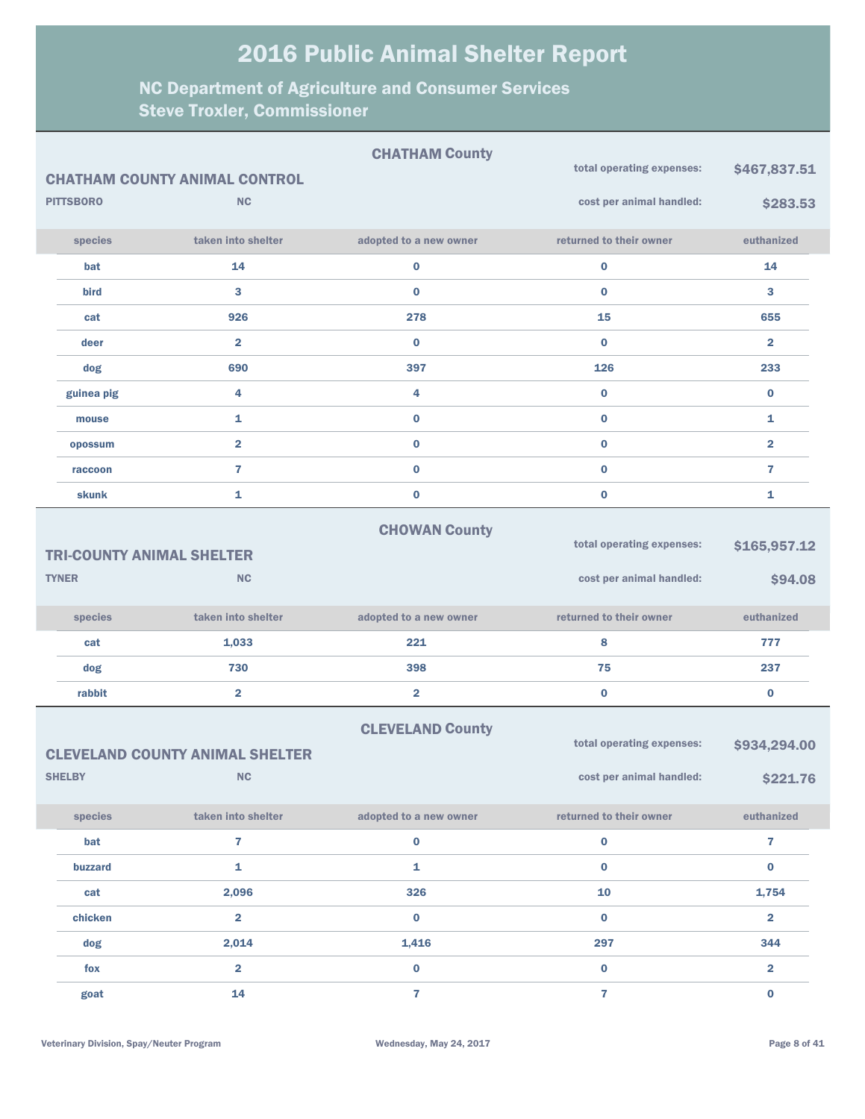|                  |                                                         | <b>CHATHAM County</b>   | total operating expenses:                             | \$467,837.51             |
|------------------|---------------------------------------------------------|-------------------------|-------------------------------------------------------|--------------------------|
|                  | <b>CHATHAM COUNTY ANIMAL CONTROL</b>                    |                         |                                                       |                          |
| <b>PITTSBORO</b> | <b>NC</b>                                               |                         | cost per animal handled:                              | \$283.53                 |
| species          | taken into shelter                                      | adopted to a new owner  | returned to their owner                               | euthanized               |
| bat              | 14                                                      | $\bf{0}$                | $\bf{0}$                                              | 14                       |
| bird             | 3                                                       | $\bf{0}$                | $\bf{0}$                                              | 3                        |
| cat              | 926                                                     | 278                     | 15                                                    | 655                      |
| deer             | $\overline{\mathbf{2}}$                                 | $\bf{0}$                | $\bf{0}$                                              | $\overline{\mathbf{2}}$  |
| dog              | 690                                                     | 397                     | 126                                                   | 233                      |
| guinea pig       | 4                                                       | 4                       | $\bf{0}$                                              | $\bf{0}$                 |
| mouse            | 1                                                       | $\bf{0}$                | $\bf{0}$                                              | 1                        |
| opossum          | $\overline{\mathbf{2}}$                                 | $\bf{0}$                | $\bf{0}$                                              | $\overline{\mathbf{2}}$  |
| raccoon          | $\overline{7}$                                          | $\bf{0}$                | $\bf{0}$                                              | 7                        |
| skunk            | 1                                                       | $\pmb{0}$               | $\bf{0}$                                              | 1                        |
|                  | <b>TRI-COUNTY ANIMAL SHELTER</b>                        | <b>CHOWAN County</b>    | total operating expenses:                             | \$165,957.12             |
| <b>TYNER</b>     | <b>NC</b>                                               |                         | cost per animal handled:                              | \$94.08                  |
| species          | taken into shelter                                      | adopted to a new owner  | returned to their owner                               | euthanized               |
| cat              | 1,033                                                   | 221                     | 8                                                     | 777                      |
| dog              | 730                                                     | 398                     | 75                                                    | 237                      |
| rabbit           | $\overline{\mathbf{2}}$                                 | $\overline{\mathbf{2}}$ | $\bf{0}$                                              | $\bf{0}$                 |
| <b>SHELBY</b>    | <b>CLEVELAND COUNTY ANIMAL SHELTER</b><br>$\mathsf{NC}$ | <b>CLEVELAND County</b> | total operating expenses:<br>cost per animal handled: | \$934,294.00<br>\$221.76 |
| species          | taken into shelter                                      | adopted to a new owner  | returned to their owner                               | euthanized               |
| bat              | 7                                                       | $\mathbf 0$             | $\boldsymbol{0}$                                      | $\overline{7}$           |
| buzzard          | $\mathbf{1}$                                            | $\mathbf{1}$            | $\pmb{0}$                                             | $\bf{0}$                 |
| cat              | 2,096                                                   | 326                     | 10                                                    | 1,754                    |
|                  |                                                         |                         |                                                       |                          |
| chicken          | $\overline{\mathbf{2}}$                                 | $\bf{0}$                | $\pmb{0}$                                             | $\overline{2}$           |
| dog              | 2,014                                                   | 1,416                   | 297                                                   | 344                      |
| fox              | $\overline{\mathbf{2}}$                                 | $\pmb{0}$               | $\pmb{0}$                                             | $\overline{\mathbf{2}}$  |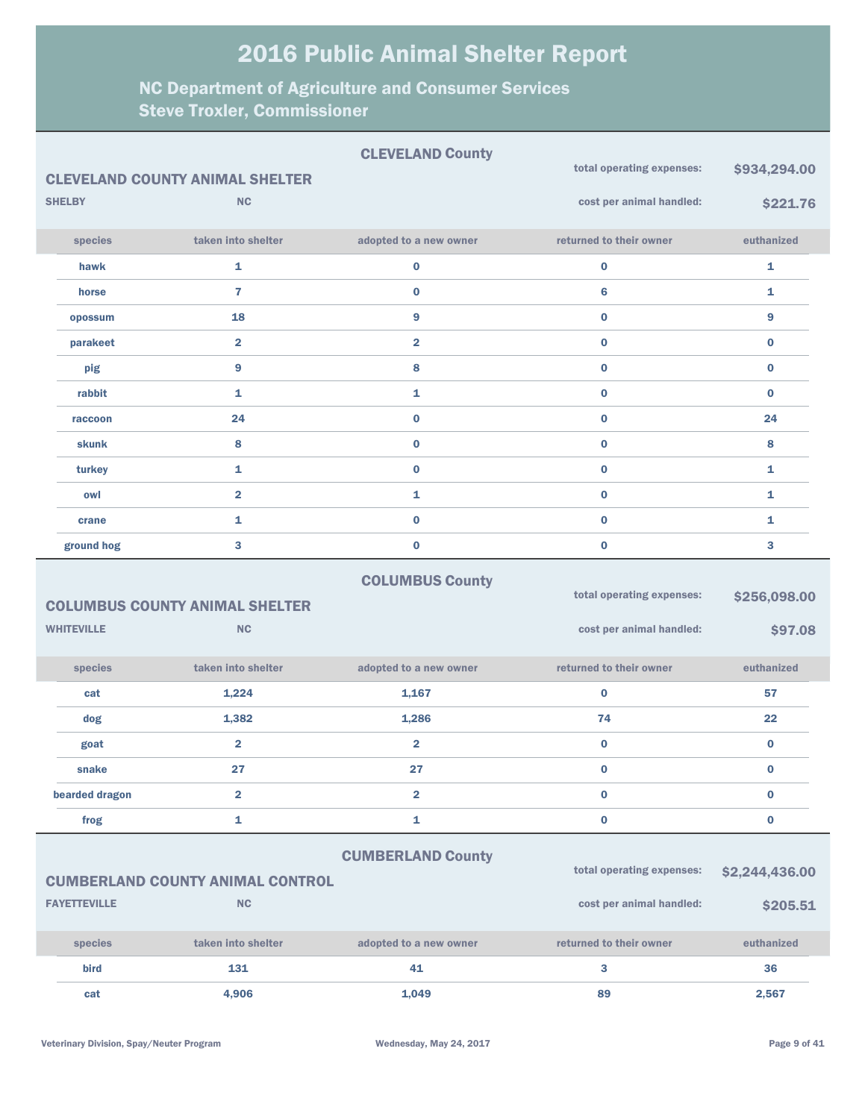| taken into shelter<br>returned to their owner<br>species<br>adopted to a new owner<br>euthanized<br>$\mathbf{1}$<br>$\mathbf{1}$<br>0<br>$\bf{0}$<br>hawk                                      |  |
|------------------------------------------------------------------------------------------------------------------------------------------------------------------------------------------------|--|
|                                                                                                                                                                                                |  |
|                                                                                                                                                                                                |  |
| $\overline{7}$<br>$\bf{0}$<br>6<br>1<br>horse                                                                                                                                                  |  |
| 9<br>$\bf{0}$<br>18<br>9<br>opossum                                                                                                                                                            |  |
| $\overline{2}$<br>$\bf{0}$<br>$\overline{\mathbf{2}}$<br>$\bf{0}$<br>parakeet                                                                                                                  |  |
| $\overline{9}$<br>8<br>$\bf{0}$<br>$\bf{0}$<br>pig                                                                                                                                             |  |
| $\mathbf{1}$<br>$\bf{0}$<br>rabbit<br>1<br>$\bf{0}$                                                                                                                                            |  |
| $\mathbf{0}$<br>$\bf{0}$<br>24<br>24<br>raccoon                                                                                                                                                |  |
| 8<br>$\bf{0}$<br>$\bf{0}$<br>8<br>skunk                                                                                                                                                        |  |
| $\mathbf{1}$<br>$\bf{0}$<br>$\bf{0}$<br>$\mathbf{1}$<br>turkey                                                                                                                                 |  |
| $\overline{2}$<br>$\bf{0}$<br>1<br>1<br>owl                                                                                                                                                    |  |
| $\bf{0}$<br>$\mathbf{1}$<br>$\bf{0}$<br>$\mathbf{1}$<br>crane                                                                                                                                  |  |
| 3<br>$\bf{0}$<br>$\bf{0}$<br>3<br>ground hog                                                                                                                                                   |  |
| <b>COLUMBUS County</b><br>total operating expenses:<br>\$256,098.00<br><b>COLUMBUS COUNTY ANIMAL SHELTER</b><br><b>WHITEVILLE</b><br><b>NC</b><br>cost per animal handled:<br>\$97.08          |  |
| species<br>taken into shelter<br>returned to their owner<br>euthanized<br>adopted to a new owner                                                                                               |  |
| 57<br>1,224<br>1,167<br>$\bf{0}$<br>cat                                                                                                                                                        |  |
| 1,382<br>1,286<br>74<br>22<br>dog                                                                                                                                                              |  |
| $\overline{\mathbf{2}}$<br>$\bf{0}$<br>$\bf{0}$<br>$\overline{\mathbf{2}}$<br>goat                                                                                                             |  |
| 27<br>$\bf{0}$<br>$\mathbf 0$<br>27<br>snake                                                                                                                                                   |  |
| $\overline{2}$<br>$\overline{\mathbf{2}}$<br>$\bf{0}$<br>$\bf{0}$<br>bearded dragon                                                                                                            |  |
| 1<br>1<br>$\bf{0}$<br>$\mathbf 0$<br>frog                                                                                                                                                      |  |
| <b>CUMBERLAND County</b><br>total operating expenses:<br>\$2,244,436.00<br><b>CUMBERLAND COUNTY ANIMAL CONTROL</b><br><b>FAYETTEVILLE</b><br><b>NC</b><br>cost per animal handled:<br>\$205.51 |  |
|                                                                                                                                                                                                |  |
| taken into shelter<br>returned to their owner<br>species<br>adopted to a new owner<br>euthanized                                                                                               |  |
| 131<br>41<br>36<br>bird<br>3<br>4,906<br>1,049<br>89<br>2,567<br>cat                                                                                                                           |  |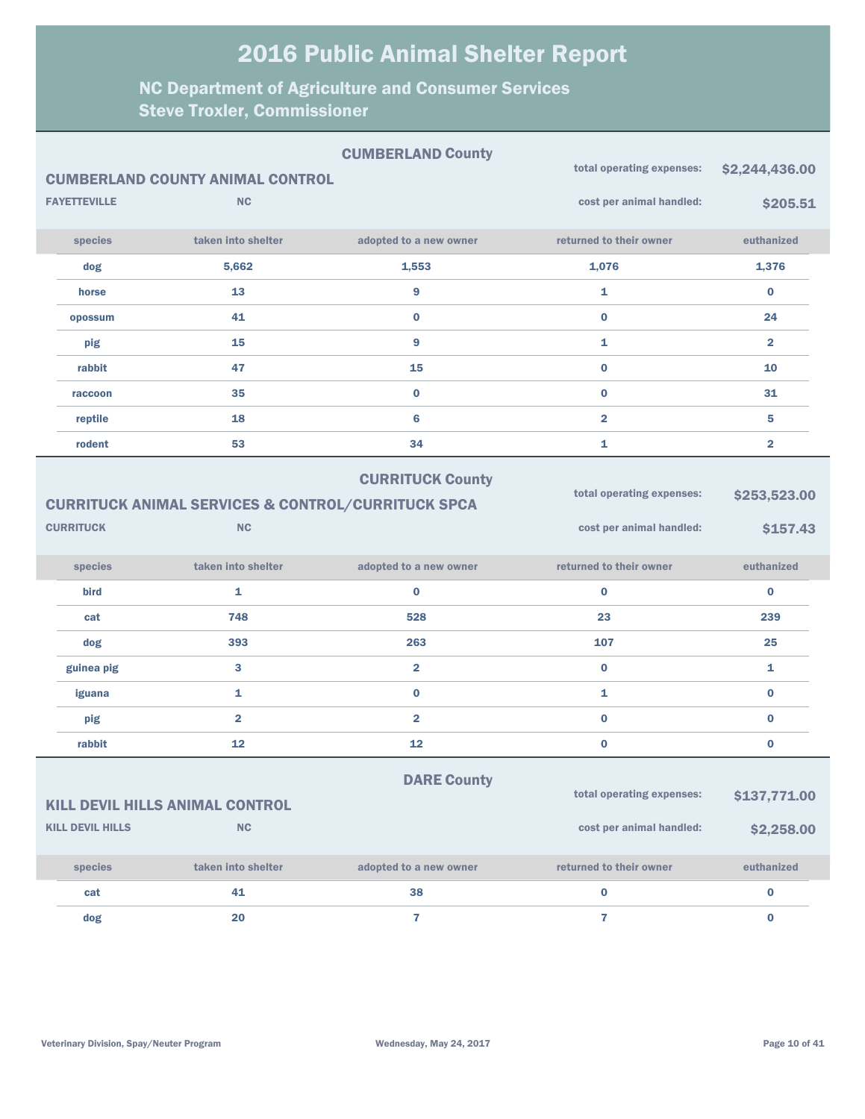|                                                                                                                                                                                    | <b>FAYETTEVILLE</b> | <b>CUMBERLAND COUNTY ANIMAL CONTROL</b><br><b>NC</b> | <b>CUMBERLAND County</b> | total operating expenses:<br>cost per animal handled: | \$2,244,436.00<br>\$205.51 |
|------------------------------------------------------------------------------------------------------------------------------------------------------------------------------------|---------------------|------------------------------------------------------|--------------------------|-------------------------------------------------------|----------------------------|
|                                                                                                                                                                                    | species             | taken into shelter                                   | adopted to a new owner   | returned to their owner                               | euthanized                 |
|                                                                                                                                                                                    | dog                 | 5,662                                                | 1,553                    | 1,076                                                 | 1,376                      |
|                                                                                                                                                                                    | horse               | 13                                                   | 9                        | 1                                                     | $\bf{0}$                   |
|                                                                                                                                                                                    | opossum             | 41                                                   | $\bf{0}$                 | $\bf{0}$                                              | 24                         |
|                                                                                                                                                                                    | pig                 | 15                                                   | 9                        | $\mathbf{1}$                                          | $\overline{\mathbf{2}}$    |
|                                                                                                                                                                                    | rabbit              | 47                                                   | 15                       | $\bf{0}$                                              | 10                         |
|                                                                                                                                                                                    | raccoon             | 35                                                   | $\bf{0}$                 | $\bf{0}$                                              | 31                         |
|                                                                                                                                                                                    | reptile             | 18                                                   | 6                        | $\overline{2}$                                        | 5                          |
|                                                                                                                                                                                    | rodent              | 53                                                   | 34                       | 1                                                     | $\overline{\mathbf{2}}$    |
| <b>CURRITUCK County</b><br>total operating expenses:<br><b>CURRITUCK ANIMAL SERVICES &amp; CONTROL/CURRITUCK SPCA</b><br><b>CURRITUCK</b><br><b>NC</b><br>cost per animal handled: |                     |                                                      |                          |                                                       | \$253,523.00<br>\$157.43   |
|                                                                                                                                                                                    | species             | taken into shelter                                   | adopted to a new owner   | returned to their owner                               | euthanized                 |
|                                                                                                                                                                                    | bird                | 1                                                    | $\bf{0}$                 | $\bf{0}$                                              | $\bf{0}$                   |
|                                                                                                                                                                                    | cat                 | 748                                                  | 528                      | 23                                                    | 239                        |
|                                                                                                                                                                                    | dog                 | 393                                                  | 263                      | 107                                                   | 25                         |
|                                                                                                                                                                                    | guinea pig          | 3                                                    | $\overline{2}$           | $\bf{0}$                                              | 1                          |
|                                                                                                                                                                                    | iguana              | 1                                                    | $\bf{0}$                 | 1                                                     | $\bf{0}$                   |
|                                                                                                                                                                                    | pig                 | $\overline{2}$                                       | $\overline{2}$           | $\bf{0}$                                              | $\bf{0}$                   |
|                                                                                                                                                                                    | rabbit              | 12                                                   | 12                       | $\bf{0}$                                              | $\bf{0}$                   |
| <b>DARE County</b><br>total operating expenses:<br>\$137,771.00<br><b>KILL DEVIL HILLS ANIMAL CONTROL</b><br><b>KILL DEVIL HILLS</b>                                               |                     |                                                      |                          |                                                       |                            |
|                                                                                                                                                                                    |                     | <b>NC</b>                                            |                          | cost per animal handled:                              | \$2,258.00                 |
|                                                                                                                                                                                    | species             | taken into shelter                                   | adopted to a new owner   | returned to their owner                               | euthanized                 |
|                                                                                                                                                                                    | cat                 | 41                                                   | 38                       | $\mathbf 0$                                           | $\pmb{0}$                  |
|                                                                                                                                                                                    | dog                 | 20                                                   | $\mathbf{7}$             | $\overline{7}$                                        | $\bf{0}$                   |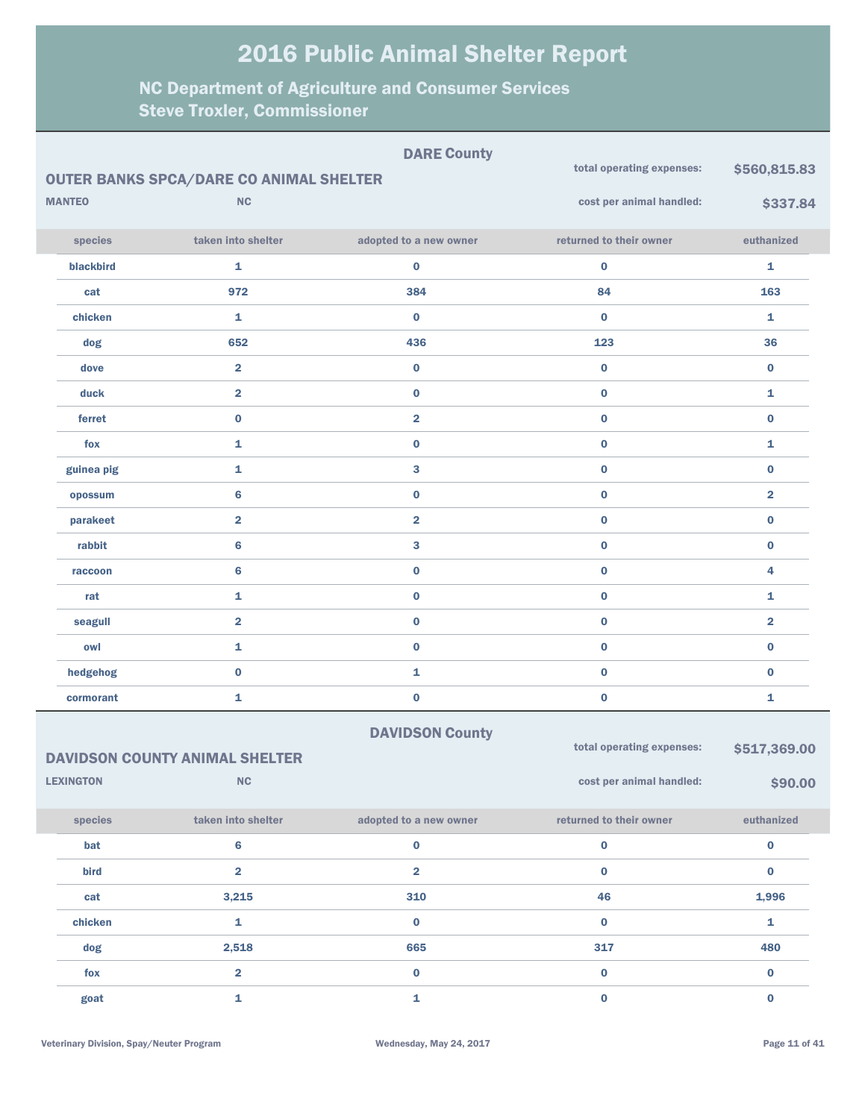| <b>DARE County</b><br>total operating expenses:<br><b>OUTER BANKS SPCA/DARE CO ANIMAL SHELTER</b> |                  |                                       |                         |                           | \$560,815.83   |
|---------------------------------------------------------------------------------------------------|------------------|---------------------------------------|-------------------------|---------------------------|----------------|
|                                                                                                   | <b>MANTEO</b>    | NC                                    |                         | cost per animal handled:  | \$337.84       |
|                                                                                                   | species          | taken into shelter                    | adopted to a new owner  | returned to their owner   | euthanized     |
|                                                                                                   | blackbird        | $\mathbf{1}$                          | $\bf{0}$                | $\bf{0}$                  | $\mathbf{1}$   |
|                                                                                                   | cat              | 972                                   | 384                     | 84                        | 163            |
|                                                                                                   | chicken          | $\mathbf{1}$                          | $\mathbf 0$             | $\bf{0}$                  | $\mathbf{1}$   |
|                                                                                                   | dog              | 652                                   | 436                     | 123                       | 36             |
|                                                                                                   | dove             | $\overline{2}$                        | $\bf{0}$                | $\bf{0}$                  | $\mathbf 0$    |
|                                                                                                   | duck             | $\overline{2}$                        | $\bf{0}$                | $\bf{0}$                  | $\mathbf{1}$   |
|                                                                                                   | ferret           | $\bf{0}$                              | $\overline{\mathbf{2}}$ | $\bf{0}$                  | $\bf{0}$       |
|                                                                                                   | fox              | $\mathbf{1}$                          | $\bf{0}$                | $\bf{0}$                  | $\mathbf{1}$   |
|                                                                                                   | guinea pig       | $\mathbf{1}$                          | 3                       | $\bf{0}$                  | $\mathbf 0$    |
|                                                                                                   | opossum          | $\bf 6$                               | $\bf{0}$                | $\bf{0}$                  | $\overline{2}$ |
|                                                                                                   | parakeet         | $\overline{2}$                        | $\overline{\mathbf{2}}$ | $\bf{0}$                  | $\mathbf 0$    |
|                                                                                                   | rabbit           | $6\phantom{a}$                        | 3                       | $\bf{0}$                  | $\mathbf 0$    |
|                                                                                                   | raccoon          | 6                                     | $\bf{0}$                | $\bf{0}$                  | 4              |
|                                                                                                   | rat              | $\mathbf{1}$                          | $\bf{0}$                | $\bf{0}$                  | $\mathbf{1}$   |
|                                                                                                   | seagull          | $\overline{2}$                        | $\bf{0}$                | $\bf{0}$                  | $\overline{2}$ |
|                                                                                                   | owl              | $\mathbf 1$                           | $\mathbf{0}$            | $\mathbf 0$               | $\bf{0}$       |
|                                                                                                   | hedgehog         | $\bf{0}$                              | 1                       | $\bf{0}$                  | $\bf{0}$       |
|                                                                                                   | cormorant        | $\mathbf{1}$                          | $\bf{0}$                | $\bf{0}$                  | $\mathbf{1}$   |
|                                                                                                   |                  |                                       | <b>DAVIDSON County</b>  |                           |                |
|                                                                                                   |                  | <b>DAVIDSON COUNTY ANIMAL SHELTER</b> |                         | total operating expenses: | \$517,369.00   |
|                                                                                                   | <b>LEXINGTON</b> | NC                                    |                         | cost per animal handled:  | \$90.00        |
|                                                                                                   | species          | taken into shelter                    | adopted to a new owner  | returned to their owner   | euthanized     |
|                                                                                                   | bat              | $6\phantom{1}6$                       | $\bf{0}$                | $\bf{0}$                  | $\bf{0}$       |

| $-$     | $\sim$            | $\sim$ | $\sim$ | $\sim$ |
|---------|-------------------|--------|--------|--------|
| bird    | $\mathbf{\Omega}$ | ົ      | 0      |        |
| cat     | 3,215             | 310    | 46     | 1,996  |
| chicken |                   |        | 0      |        |
| dog     | 2,518             | 665    | 317    | 480    |
| fox     | ີ                 |        |        |        |
| goat    |                   |        |        |        |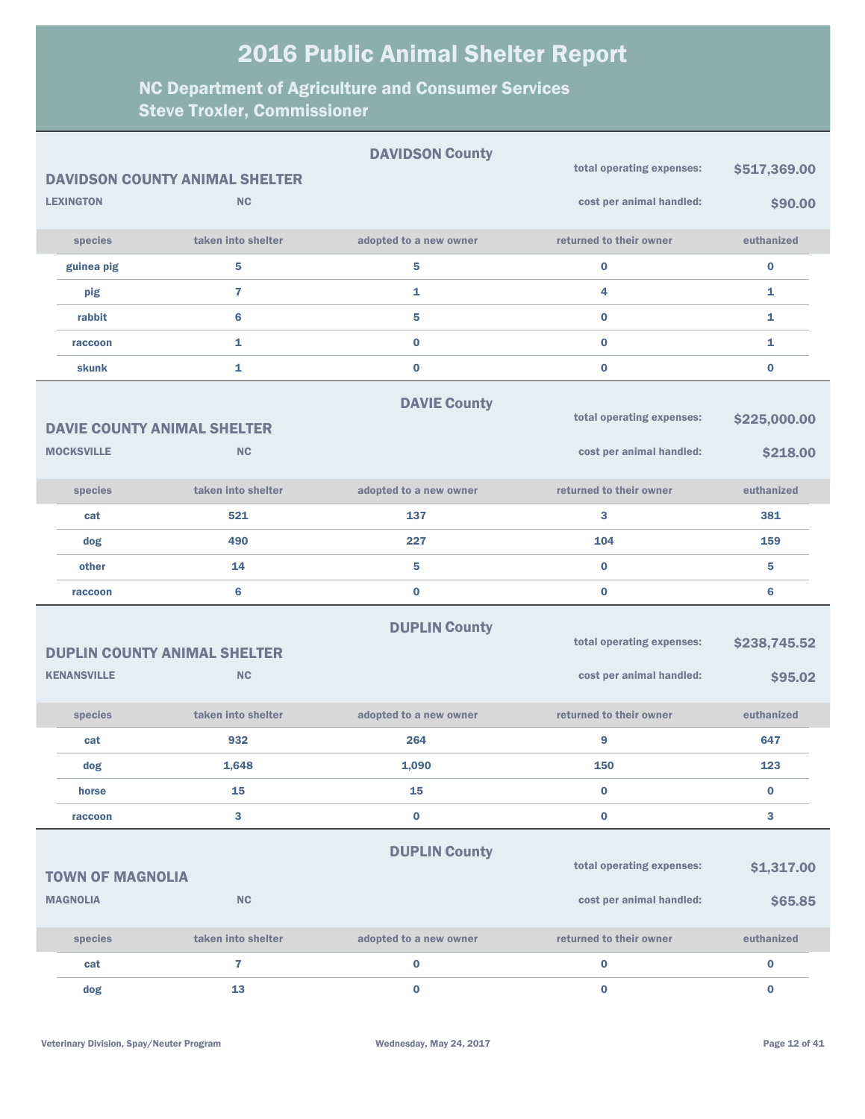|                         |                                                    | <b>DAVIDSON County</b> | total operating expenses: | \$517,369.00 |
|-------------------------|----------------------------------------------------|------------------------|---------------------------|--------------|
| <b>LEXINGTON</b>        | <b>DAVIDSON COUNTY ANIMAL SHELTER</b><br><b>NC</b> |                        | cost per animal handled:  | \$90.00      |
| species                 | taken into shelter                                 | adopted to a new owner | returned to their owner   | euthanized   |
| guinea pig              | 5                                                  | 5                      | $\bf{0}$                  | $\bf{0}$     |
|                         | $\overline{7}$                                     |                        | 4                         |              |
| pig                     |                                                    | 1                      |                           | 1            |
| rabbit                  | 6                                                  | 5                      | $\bf{0}$                  | 1            |
| raccoon                 | 1                                                  | $\bf{0}$               | $\bf{0}$                  | 1            |
| skunk                   | 1                                                  | $\bf{0}$               | $\bf{0}$                  | $\bf{0}$     |
|                         |                                                    | <b>DAVIE County</b>    |                           |              |
|                         | <b>DAVIE COUNTY ANIMAL SHELTER</b>                 |                        | total operating expenses: | \$225,000.00 |
| <b>MOCKSVILLE</b>       | <b>NC</b>                                          |                        | cost per animal handled:  | \$218.00     |
| species                 | taken into shelter                                 | adopted to a new owner | returned to their owner   | euthanized   |
| cat                     | 521                                                | 137                    | 3                         | 381          |
| dog                     | 490                                                | 227                    | 104                       | 159          |
| other                   | 14                                                 | 5                      | $\bf{0}$                  | 5            |
| raccoon                 | 6                                                  | $\bf{0}$               | $\bf{0}$                  | 6            |
|                         |                                                    | <b>DUPLIN County</b>   |                           |              |
|                         | <b>DUPLIN COUNTY ANIMAL SHELTER</b>                |                        | total operating expenses: | \$238,745.52 |
| <b>KENANSVILLE</b>      | <b>NC</b>                                          |                        | cost per animal handled:  |              |
|                         |                                                    |                        |                           | \$95.02      |
| species                 | taken into shelter                                 | adopted to a new owner | returned to their owner   | euthanized   |
| cat                     | 932                                                | 264                    | 9                         | 647          |
| dog                     | 1,648                                              | 1,090                  | 150                       | 123          |
| horse                   | 15                                                 | 15                     | $\bf{0}$                  | 0            |
| raccoon                 | 3                                                  | $\bf{0}$               | $\mathbf 0$               | 3            |
|                         |                                                    | <b>DUPLIN County</b>   |                           |              |
| <b>TOWN OF MAGNOLIA</b> |                                                    |                        | total operating expenses: | \$1,317.00   |
| <b>MAGNOLIA</b>         | <b>NC</b>                                          |                        | cost per animal handled:  | \$65.85      |
|                         |                                                    |                        |                           |              |
| species                 | taken into shelter                                 | adopted to a new owner | returned to their owner   | euthanized   |
| cat                     | $\overline{7}$                                     | 0                      | $\bf{0}$                  | $\bf{0}$     |
| dog                     | 13                                                 | $\bf{0}$               | $\bf{0}$                  | $\bf{0}$     |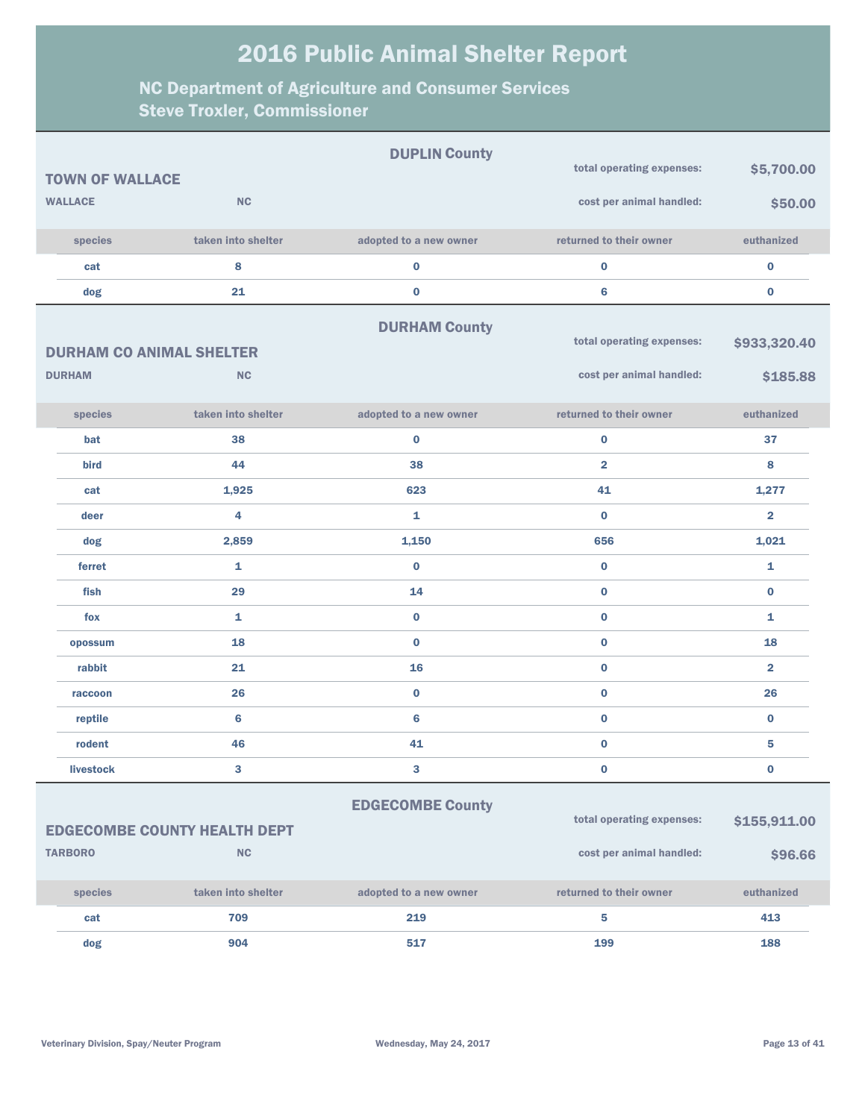|                                 |                                     | <b>DUPLIN County</b>    |                           |                |
|---------------------------------|-------------------------------------|-------------------------|---------------------------|----------------|
| <b>TOWN OF WALLACE</b>          |                                     |                         | total operating expenses: | \$5,700.00     |
| <b>WALLACE</b>                  | <b>NC</b>                           |                         | cost per animal handled:  | \$50.00        |
| species                         | taken into shelter                  | adopted to a new owner  | returned to their owner   | euthanized     |
| cat                             | 8                                   | $\bf{0}$                | $\bf{0}$                  | $\bf{0}$       |
| dog                             | 21                                  | $\bf{0}$                | 6                         | $\bf{0}$       |
|                                 |                                     | <b>DURHAM County</b>    |                           |                |
| <b>DURHAM CO ANIMAL SHELTER</b> |                                     |                         | total operating expenses: | \$933,320.40   |
| <b>DURHAM</b>                   | <b>NC</b>                           |                         | cost per animal handled:  | \$185.88       |
| species                         | taken into shelter                  | adopted to a new owner  | returned to their owner   | euthanized     |
| bat                             | 38                                  | $\bf{0}$                | $\mathbf 0$               | 37             |
| bird                            | 44                                  | 38                      | $\overline{2}$            | 8              |
| cat                             | 1,925                               | 623                     | 41                        | 1,277          |
| deer                            | 4                                   | $\mathbf{1}$            | $\bf{0}$                  | $\overline{2}$ |
| dog                             | 2,859                               | 1,150                   | 656                       | 1,021          |
| ferret                          | $\mathbf{1}$                        | $\bf{0}$                | $\bf{0}$                  | $\mathbf{1}$   |
| fish                            | 29                                  | 14                      | $\bf{0}$                  | $\bf{0}$       |
| fox                             | $\mathbf{1}$                        | $\bf{0}$                | $\bf{0}$                  | $\mathbf{1}$   |
| opossum                         | 18                                  | $\bf{0}$                | $\bf{0}$                  | 18             |
| rabbit                          | 21                                  | 16                      | $\bf{0}$                  | $\overline{2}$ |
| raccoon                         | 26                                  | $\bf{0}$                | $\bf{0}$                  | 26             |
| reptile                         | 6                                   | 6                       | $\bf{0}$                  | $\bf{0}$       |
| rodent                          | 46                                  | 41                      | $\bf{0}$                  | 5              |
| <b>livestock</b>                | 3                                   | 3                       | $\mathbf 0$               | $\bf{0}$       |
|                                 | <b>EDGECOMBE COUNTY HEALTH DEPT</b> | <b>EDGECOMBE County</b> | total operating expenses: | \$155,911.00   |
| <b>TARBORO</b>                  | <b>NC</b>                           |                         | cost per animal handled:  | \$96.66        |
| species                         | taken into shelter                  | adopted to a new owner  | returned to their owner   | euthanized     |
| cat                             | 709                                 | 219                     | 5                         | 413            |
| dog                             | 904                                 | 517                     | 199                       | 188            |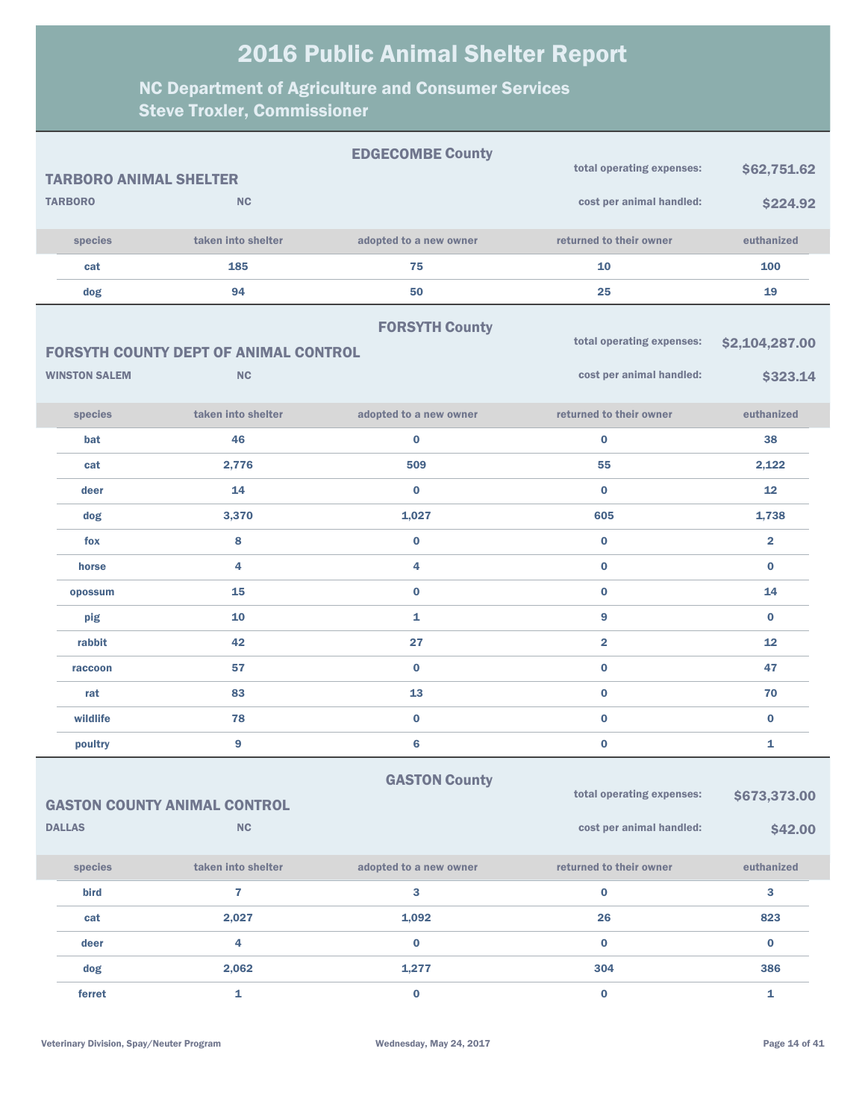|                               |                                              | <b>EDGECOMBE County</b> |                           |                         |
|-------------------------------|----------------------------------------------|-------------------------|---------------------------|-------------------------|
| <b>TARBORO ANIMAL SHELTER</b> |                                              |                         | total operating expenses: | \$62,751.62             |
| <b>TARBORO</b>                | NC                                           |                         | cost per animal handled:  | \$224.92                |
| species                       | taken into shelter                           | adopted to a new owner  | returned to their owner   | euthanized              |
| cat                           | 185                                          | 75                      | 10                        | 100                     |
| dog                           | 94                                           | 50                      | 25                        | 19                      |
|                               |                                              | <b>FORSYTH County</b>   |                           |                         |
|                               | <b>FORSYTH COUNTY DEPT OF ANIMAL CONTROL</b> |                         | total operating expenses: | \$2,104,287.00          |
| <b>WINSTON SALEM</b>          | <b>NC</b>                                    |                         | cost per animal handled:  | \$323.14                |
| species                       | taken into shelter                           | adopted to a new owner  | returned to their owner   | euthanized              |
| bat                           | 46                                           | $\bf{0}$                | $\bf{0}$                  | 38                      |
| cat                           | 2,776                                        | 509                     | 55                        | 2,122                   |
| deer                          | 14                                           | $\bf{0}$                | $\bf{0}$                  | 12                      |
| dog                           | 3,370                                        | 1,027                   | 605                       | 1,738                   |
| fox                           | 8                                            | $\bf{0}$                | $\bf{0}$                  | $\overline{\mathbf{2}}$ |
| horse                         | 4                                            | 4                       | $\bf{0}$                  | $\bf{0}$                |
| opossum                       | 15                                           | $\bf{0}$                | $\bf{0}$                  | 14                      |
| pig                           | 10                                           | 1                       | 9                         | $\bf{0}$                |
| rabbit                        | 42                                           | 27                      | $\overline{2}$            | 12                      |
| raccoon                       | 57                                           | $\bf{0}$                | $\bf{0}$                  | 47                      |
| rat                           | 83                                           | 13                      | $\bf{0}$                  | 70                      |
| wildlife                      | 78                                           | $\mathbf{0}$            | $\bf{0}$                  | $\bf{0}$                |
| poultry                       | $\mathbf{9}$                                 | 6                       | $\bf{0}$                  | 1                       |
|                               |                                              | <b>GASTON County</b>    |                           |                         |
|                               | <b>GASTON COUNTY ANIMAL CONTROL</b>          |                         | total operating expenses: | \$673,373.00            |
| <b>DALLAS</b>                 | <b>NC</b>                                    |                         | cost per animal handled:  | \$42.00                 |
| species                       | taken into shelter                           | adopted to a new owner  | returned to their owner   | euthanized              |
| bird                          | $\overline{\mathbf{r}}$                      | 3                       | 0                         | 3                       |
| cat                           | 2,027                                        | 1,092                   | 26                        | 823                     |
| deer                          | 4                                            | $\bf{0}$                | 0                         | $\bf{0}$                |
| dog                           | 2,062                                        | 1,277                   | 304                       | 386                     |
| ferret                        | 1                                            | $\bf{0}$                | $\mathbf 0$               | 1                       |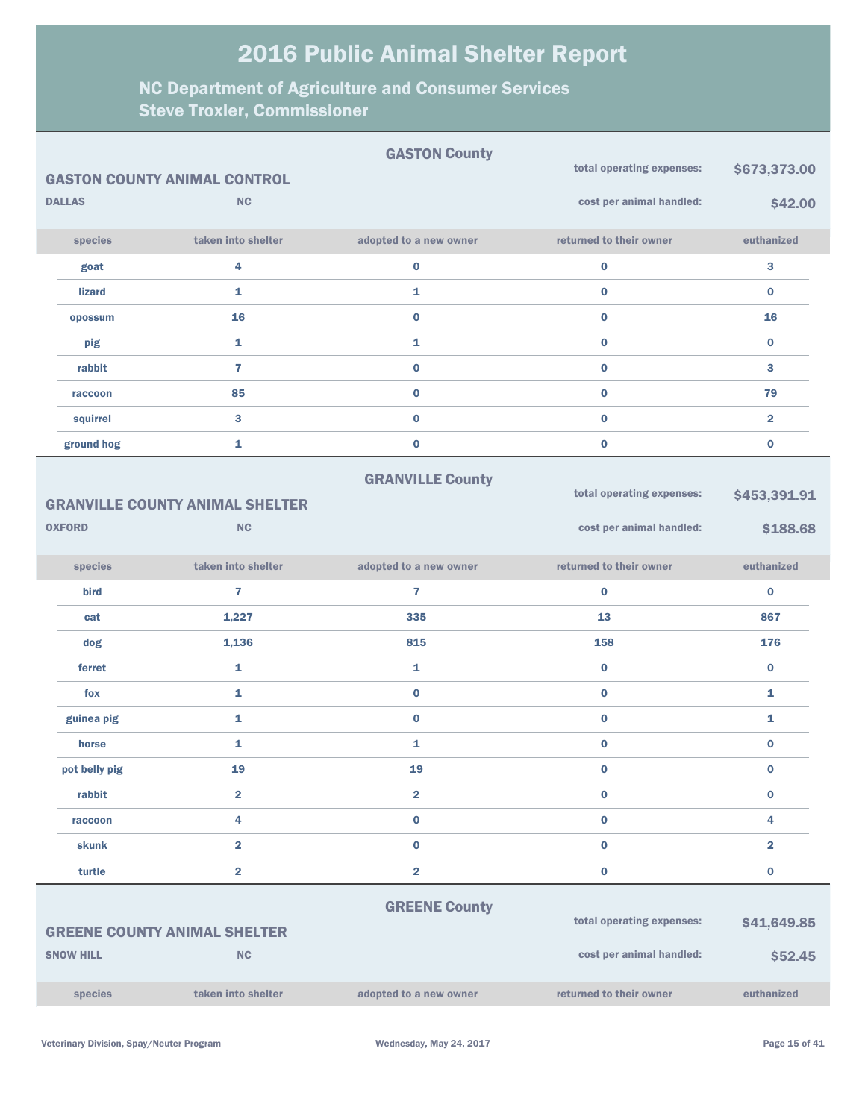|                  |                                        | <b>GASTON County</b>    | total operating expenses: |                         |
|------------------|----------------------------------------|-------------------------|---------------------------|-------------------------|
|                  | <b>GASTON COUNTY ANIMAL CONTROL</b>    |                         |                           | \$673,373.00            |
| <b>DALLAS</b>    | <b>NC</b>                              |                         | cost per animal handled:  | \$42.00                 |
| species          | taken into shelter                     | adopted to a new owner  | returned to their owner   | euthanized              |
| goat             | 4                                      | $\bf{0}$                | $\bf{0}$                  | 3                       |
| <b>lizard</b>    | $\mathbf{1}$                           | 1                       | $\bf{0}$                  | $\bf{0}$                |
| opossum          | 16                                     | $\pmb{0}$               | $\bf{0}$                  | 16                      |
| pig              | $\mathbf{1}$                           | 1                       | $\bf{0}$                  | $\bf{0}$                |
| rabbit           | $\overline{7}$                         | $\pmb{0}$               | $\bf{0}$                  | 3                       |
| raccoon          | 85                                     | $\pmb{0}$               | $\bf{0}$                  | 79                      |
| squirrel         | $\mathbf{3}$                           | $\pmb{0}$               | $\bf{0}$                  | $\overline{2}$          |
| ground hog       | $\mathbf{1}$                           | $\pmb{0}$               | $\bf{0}$                  | $\bf{0}$                |
|                  |                                        | <b>GRANVILLE County</b> |                           |                         |
|                  | <b>GRANVILLE COUNTY ANIMAL SHELTER</b> |                         | total operating expenses: | \$453,391.91            |
| <b>OXFORD</b>    | <b>NC</b>                              |                         | cost per animal handled:  | \$188.68                |
| species          | taken into shelter                     | adopted to a new owner  | returned to their owner   | euthanized              |
| bird             | $\overline{7}$                         | $\overline{7}$          | $\bf{0}$                  | $\bf{0}$                |
| cat              | 1,227                                  | 335                     | 13                        | 867                     |
| dog              | 1,136                                  | 815                     | 158                       | 176                     |
| ferret           | $\mathbf{1}$                           | 1                       | $\bf{0}$                  | $\bf{0}$                |
| fox              | 1                                      | $\bf{0}$                | $\bf{0}$                  | 1                       |
| guinea pig       | $\mathbf{1}$                           | $\bf{0}$                | $\bf{0}$                  | $\mathbf{1}$            |
| horse            | 1                                      | 1                       | $\bf{0}$                  | $\bf{0}$                |
| pot belly pig    | 19                                     | 19                      | $\bf{0}$                  | $\bf{0}$                |
| rabbit           | $\overline{2}$                         | $\overline{\mathbf{2}}$ | $\bf{0}$                  | $\pmb{0}$               |
| raccoon          | 4                                      | $\pmb{0}$               | $\bf{0}$                  | $\overline{4}$          |
| skunk            | $\overline{2}$                         | $\pmb{0}$               | $\bf{0}$                  | $\overline{\mathbf{2}}$ |
| turtle           | $\overline{\mathbf{2}}$                | $\overline{\mathbf{2}}$ | $\mathbf 0$               | $\bf{0}$                |
|                  |                                        | <b>GREENE County</b>    |                           |                         |
|                  | <b>GREENE COUNTY ANIMAL SHELTER</b>    |                         | total operating expenses: | \$41,649.85             |
| <b>SNOW HILL</b> | <b>NC</b>                              |                         | cost per animal handled:  | \$52.45                 |
|                  |                                        |                         |                           |                         |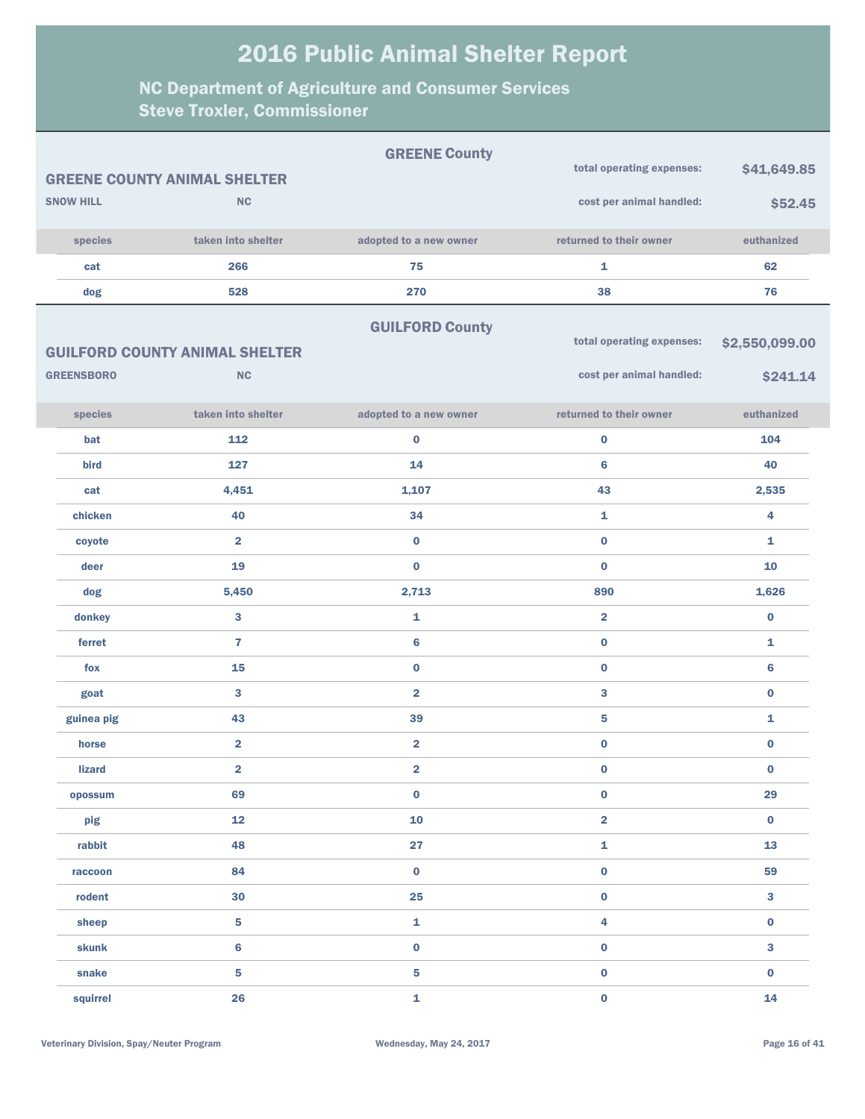|                   |                                       | <b>GREENE County</b>    |                           |                 |
|-------------------|---------------------------------------|-------------------------|---------------------------|-----------------|
|                   | <b>GREENE COUNTY ANIMAL SHELTER</b>   |                         | total operating expenses: | \$41,649.85     |
| <b>SNOW HILL</b>  | NC                                    |                         | cost per animal handled:  | \$52.45         |
| species           | taken into shelter                    | adopted to a new owner  | returned to their owner   | euthanized      |
| cat               | 266                                   | 75                      | $\mathbf{1}$              | 62              |
| dog               | 528                                   | 270                     | 38                        | 76              |
|                   |                                       | <b>GUILFORD County</b>  |                           |                 |
|                   | <b>GUILFORD COUNTY ANIMAL SHELTER</b> |                         | total operating expenses: | \$2,550,099.00  |
| <b>GREENSBORO</b> | <b>NC</b>                             |                         | cost per animal handled:  | \$241.14        |
| species           | taken into shelter                    | adopted to a new owner  | returned to their owner   | euthanized      |
| bat               | 112                                   | $\bf{0}$                | $\bf{0}$                  | 104             |
| bird              | 127                                   | 14                      | 6                         | 40              |
| cat               | 4,451                                 | 1,107                   | 43                        | 2,535           |
| chicken           | 40                                    | 34                      | $\mathbf{1}$              | 4               |
| coyote            | $\overline{\mathbf{2}}$               | $\bf{0}$                | $\bf{0}$                  | 1               |
| deer              | 19                                    | $\bf{0}$                | $\bf{0}$                  | 10              |
| dog               | 5,450                                 | 2,713                   | 890                       | 1,626           |
| donkey            | $\mathbf{3}$                          | 1                       | $\overline{\mathbf{2}}$   | $\bf{0}$        |
| ferret            | $\overline{7}$                        | 6                       | $\bf{0}$                  | 1               |
| fox               | 15                                    | $\bf{0}$                | $\bf{0}$                  | $6\phantom{1}6$ |
| goat              | $\mathbf{3}$                          | $\overline{\mathbf{2}}$ | 3                         | $\bf{0}$        |
| guinea pig        | 43                                    | 39                      | 5                         | 1               |
| horse             | $\overline{\mathbf{2}}$               | $\overline{\mathbf{2}}$ | $\bf{0}$                  | $\bf{0}$        |
| <b>lizard</b>     | $\overline{2}$                        | $\overline{\mathbf{2}}$ | $\bf{0}$                  | $\bf{0}$        |
| opossum           | 69                                    | $\pmb{0}$               | $\mathbf 0$               | 29              |
| pig               | 12                                    | 10                      | $\overline{\mathbf{2}}$   | $\mathbf 0$     |
| rabbit            | 48                                    | 27                      | $\mathbf{1}$              | 13              |
| raccoon           | 84                                    | $\mathbf 0$             | $\mathbf 0$               | 59              |
| rodent            | 30                                    | 25                      | $\pmb{0}$                 | $\mathbf{3}$    |
| sheep             | 5                                     | $\mathbf 1$             | $\overline{\mathbf{4}}$   | $\mathbf 0$     |
| skunk             | $6\phantom{a}$                        | $\mathbf 0$             | $\mathbf 0$               | $\mathbf{3}$    |
| snake             | 5                                     | $\overline{\mathbf{5}}$ | $\mathbf 0$               | $\mathbf 0$     |
| squirrel          | 26                                    | $\mathbf{1}$            | $\mathbf 0$               | 14              |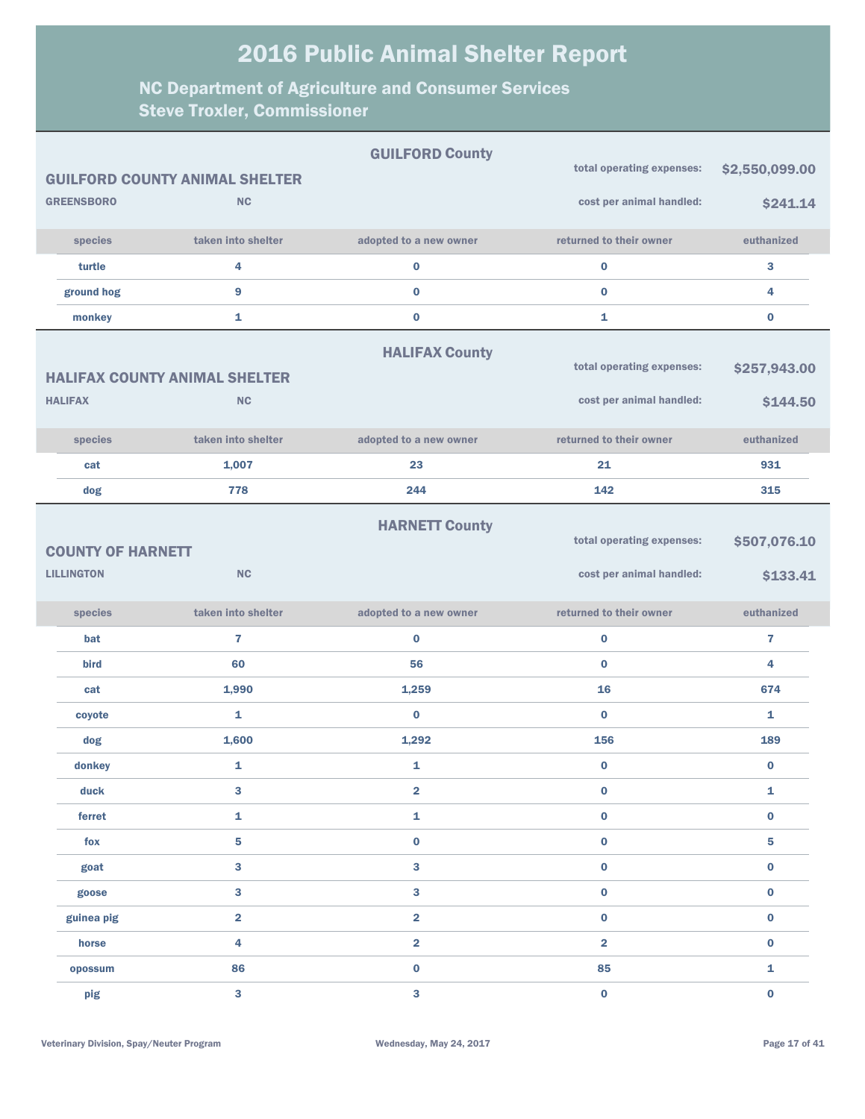|                          |                                       | <b>GUILFORD County</b>  |                           |                         |
|--------------------------|---------------------------------------|-------------------------|---------------------------|-------------------------|
|                          | <b>GUILFORD COUNTY ANIMAL SHELTER</b> |                         | total operating expenses: | \$2,550,099.00          |
| <b>GREENSBORO</b>        | <b>NC</b>                             |                         | cost per animal handled:  | \$241.14                |
| species                  | taken into shelter                    | adopted to a new owner  | returned to their owner   | euthanized              |
| turtle                   | 4                                     | $\pmb{0}$               | $\mathbf 0$               | 3                       |
| ground hog               | 9                                     | $\bf{0}$                | $\bf{0}$                  | 4                       |
| monkey                   | 1                                     | $\bf{0}$                | 1                         | $\bf{0}$                |
|                          |                                       | <b>HALIFAX County</b>   |                           |                         |
|                          | <b>HALIFAX COUNTY ANIMAL SHELTER</b>  |                         | total operating expenses: | \$257,943.00            |
| <b>HALIFAX</b>           | <b>NC</b>                             |                         | cost per animal handled:  | \$144.50                |
| species                  | taken into shelter                    | adopted to a new owner  | returned to their owner   | euthanized              |
| cat                      | 1,007                                 | 23                      | 21                        | 931                     |
| dog                      | 778                                   | 244                     | 142                       | 315                     |
|                          |                                       | <b>HARNETT County</b>   |                           |                         |
| <b>COUNTY OF HARNETT</b> |                                       |                         | total operating expenses: | \$507,076.10            |
| <b>LILLINGTON</b>        | <b>NC</b>                             |                         | cost per animal handled:  | \$133.41                |
| species                  | taken into shelter                    | adopted to a new owner  | returned to their owner   | euthanized              |
| <b>bat</b>               | $\overline{\mathbf{r}}$               | $\bf{0}$                | $\mathbf 0$               | $\overline{\mathbf{r}}$ |
| bird                     | 60                                    | 56                      | $\bf{0}$                  | 4                       |
| cat                      | 1,990                                 | 1,259                   | 16                        | 674                     |
| coyote                   | 1                                     | $\bf{0}$                | $\bf{0}$                  | $\mathbf{1}$            |
| dog                      | 1,600                                 | 1,292                   | 156                       | 189                     |
| donkey                   | 1                                     | 1                       | $\bf{0}$                  | $\bf{0}$                |
| duck                     | 3                                     | $\overline{\mathbf{2}}$ | $\bf{0}$                  | 1                       |
| ferret                   | 1                                     | $\mathbf{1}$            | $\mathbf 0$               | $\bf{0}$                |
| fox                      | 5                                     | $\bf{0}$                | $\mathbf 0$               | 5                       |
| goat                     | $\mathbf{3}$                          | 3                       | $\bf{0}$                  | $\bf{0}$                |
| goose                    | 3                                     | 3                       | $\bf{0}$                  | $\bf{0}$                |
| guinea pig               | $\overline{\mathbf{2}}$               | 2                       | $\bf{0}$                  | $\bf{0}$                |
| horse                    | 4                                     | 2                       | $\overline{\mathbf{2}}$   | $\bf{0}$                |
| opossum                  | 86                                    | $\pmb{0}$               | 85                        | $\mathbf{1}$            |
| pig                      | 3                                     | 3                       | $\bf{0}$                  | $\bf{0}$                |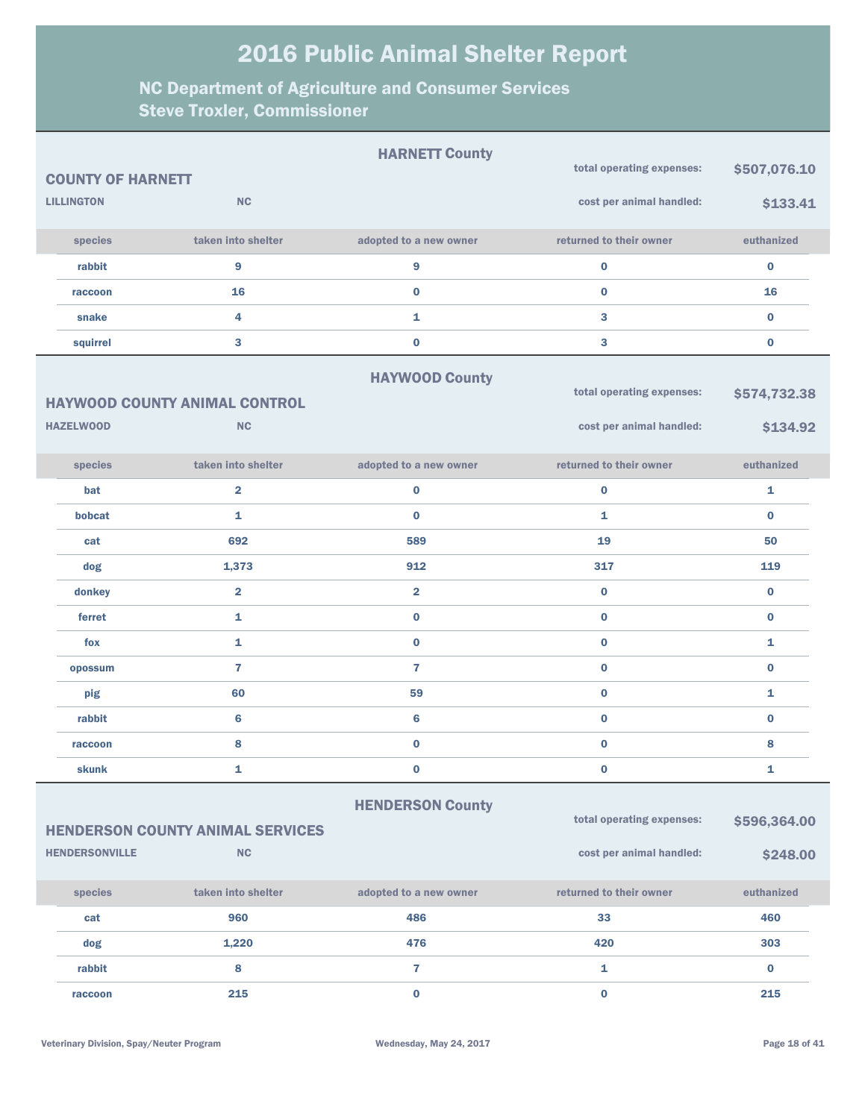|                          |                                         | <b>HARNETT County</b>   |                           |              |
|--------------------------|-----------------------------------------|-------------------------|---------------------------|--------------|
| <b>COUNTY OF HARNETT</b> |                                         |                         | total operating expenses: | \$507,076.10 |
| <b>LILLINGTON</b>        | <b>NC</b>                               |                         | cost per animal handled:  | \$133.41     |
| species                  | taken into shelter                      | adopted to a new owner  | returned to their owner   | euthanized   |
| rabbit                   | 9                                       | 9                       | $\bf{0}$                  | $\bf{0}$     |
| raccoon                  | 16                                      | $\bf{0}$                | $\bf{0}$                  | 16           |
| snake                    | 4                                       | $\mathbf{1}$            | 3                         | $\bf{0}$     |
| squirrel                 | 3                                       | $\bf{0}$                | 3                         | $\bf{0}$     |
|                          |                                         | <b>HAYWOOD County</b>   |                           |              |
|                          | <b>HAYWOOD COUNTY ANIMAL CONTROL</b>    |                         | total operating expenses: | \$574,732.38 |
| <b>HAZELWOOD</b>         | <b>NC</b>                               |                         | cost per animal handled:  | \$134.92     |
| species                  | taken into shelter                      | adopted to a new owner  | returned to their owner   | euthanized   |
| bat                      | $\overline{\mathbf{2}}$                 | $\bf{0}$                | $\bf{0}$                  | 1            |
| bobcat                   | $\mathbf{1}$                            | $\bf{0}$                | 1                         | $\bf{0}$     |
| cat                      | 692                                     | 589                     | 19                        | 50           |
| dog                      | 1,373                                   | 912                     | 317                       | 119          |
| donkey                   | $\overline{\mathbf{2}}$                 | $\overline{\mathbf{2}}$ | $\bf{0}$                  | $\bf{0}$     |
| ferret                   | 1                                       | $\bf{0}$                | $\bf{0}$                  | $\bf{0}$     |
| fox                      | 1                                       | $\bf{0}$                | $\bf{0}$                  | $\mathbf{1}$ |
| opossum                  | $\overline{7}$                          | $\overline{7}$          | $\bf{0}$                  | $\bf{0}$     |
| pig                      | 60                                      | 59                      | $\bf{0}$                  | $\mathbf{1}$ |
| rabbit                   | 6                                       | $6\phantom{1}$          | $\bf{0}$                  | $\bf{0}$     |
| raccoon                  | 8                                       | $\bf{0}$                | $\bf{0}$                  | 8            |
| skunk                    | 1                                       | $\bf{0}$                | $\bf{0}$                  | 1            |
|                          |                                         | <b>HENDERSON County</b> |                           |              |
|                          | <b>HENDERSON COUNTY ANIMAL SERVICES</b> |                         | total operating expenses: | \$596,364.00 |
| <b>HENDERSONVILLE</b>    | NC                                      |                         | cost per animal handled:  | \$248.00     |
| species                  | taken into shelter                      | adopted to a new owner  | returned to their owner   | euthanized   |
| cat                      | 960                                     | 486                     | 33                        | 460          |
| dog                      | 1,220                                   | 476                     | 420                       | 303          |
| rabbit                   | 8                                       | $\overline{7}$          | $\mathbf{1}$              | $\bf{0}$     |
| raccoon                  | 215                                     | $\bf{0}$                | $\bf{0}$                  | 215          |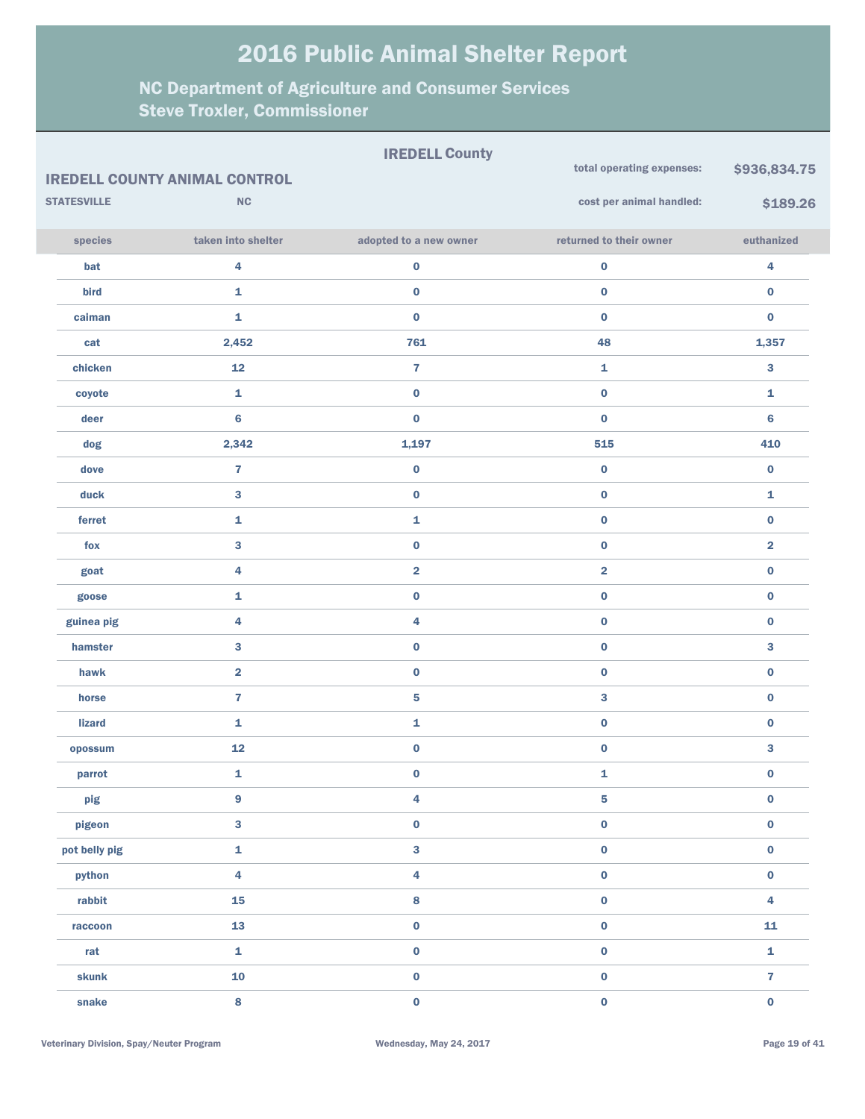|                    |                                      | <b>IREDELL County</b>   |                           |                         |
|--------------------|--------------------------------------|-------------------------|---------------------------|-------------------------|
|                    | <b>IREDELL COUNTY ANIMAL CONTROL</b> |                         | total operating expenses: | \$936,834.75            |
| <b>STATESVILLE</b> | NC                                   |                         | cost per animal handled:  | \$189.26                |
| species            | taken into shelter                   | adopted to a new owner  | returned to their owner   | euthanized              |
| bat                | 4                                    | $\bf{0}$                | $\pmb{0}$                 | 4                       |
| bird               | $\mathbf 1$                          | $\bf{0}$                | $\pmb{0}$                 | 0                       |
| caiman             | 1                                    | $\bf{0}$                | $\mathbf 0$               | $\bf{0}$                |
| cat                | 2,452                                | 761                     | 48                        | 1,357                   |
| chicken            | 12                                   | $\overline{\mathbf{r}}$ | 1                         | 3                       |
| coyote             | 1                                    | $\bf{0}$                | $\pmb{0}$                 | 1                       |
| deer               | $6\phantom{1}$                       | $\bf{0}$                | $\mathbf 0$               | 6                       |
| dog                | 2,342                                | 1,197                   | 515                       | 410                     |
| dove               | $\overline{\mathbf{r}}$              | $\mathbf 0$             | $\pmb{0}$                 | 0                       |
| duck               | 3                                    | $\pmb{0}$               | $\pmb{0}$                 | 1                       |
| ferret             | 1                                    | 1                       | $\pmb{0}$                 | $\bf{0}$                |
| fox                | 3                                    | $\bf{0}$                | $\pmb{0}$                 | $\overline{\mathbf{2}}$ |
| goat               | 4                                    | $\overline{\mathbf{2}}$ | $\overline{\mathbf{2}}$   | $\bf{0}$                |
| goose              | $\mathbf{1}$                         | $\bf{0}$                | $\pmb{0}$                 | $\bf{0}$                |
| guinea pig         | 4                                    | 4                       | $\pmb{0}$                 | $\bf{0}$                |
| hamster            | 3                                    | $\bf{0}$                | $\pmb{0}$                 | 3                       |
| hawk               | $\overline{\mathbf{2}}$              | $\bf{0}$                | $\pmb{0}$                 | 0                       |
| horse              | $\overline{7}$                       | ${\bf 5}$               | 3                         | $\bf{0}$                |
| <b>lizard</b>      | 1                                    | 1                       | $\pmb{0}$                 | 0                       |
| opossum            | 12                                   | $\bf{0}$                | $\pmb{0}$                 | 3                       |
| parrot             | $\mathbf{1}$                         | $\pmb{0}$               | 1                         | $\pmb{0}$               |
| pig                | 9                                    | $\overline{\mathbf{4}}$ | 5                         | $\pmb{0}$               |
| pigeon             | $\overline{\mathbf{3}}$              | $\pmb{0}$               | $\pmb{0}$                 | $\pmb{0}$               |
| pot belly pig      | $\mathbf{1}$                         | $\overline{\mathbf{3}}$ | $\pmb{0}$                 | $\pmb{0}$               |
| python             | $\overline{\mathbf{4}}$              | $\overline{\mathbf{4}}$ | $\pmb{0}$                 | $\pmb{0}$               |
| rabbit             | 15                                   | $\bf8$                  | $\pmb{0}$                 | 4                       |
| raccoon            | 13                                   | $\pmb{0}$               | $\pmb{0}$                 | 11                      |
| rat                | $\mathbf{1}$                         | $\pmb{0}$               | $\pmb{0}$                 | 1                       |
| skunk              | 10                                   | $\pmb{0}$               | $\pmb{0}$                 | $\overline{\mathbf{r}}$ |
| snake              | 8                                    | $\pmb{0}$               | $\pmb{0}$                 | $\pmb{0}$               |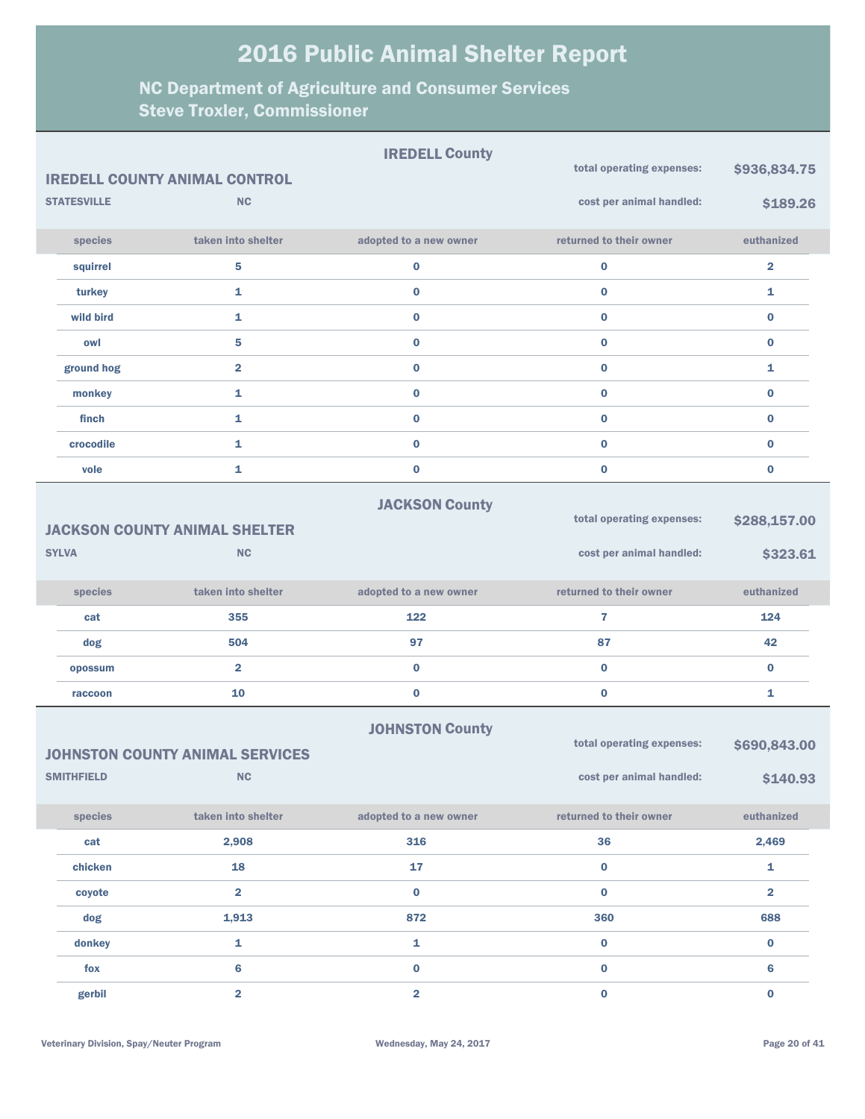|                    |                                        | <b>IREDELL County</b>  | total operating expenses: |                         |
|--------------------|----------------------------------------|------------------------|---------------------------|-------------------------|
|                    | <b>IREDELL COUNTY ANIMAL CONTROL</b>   |                        |                           | \$936,834.75            |
| <b>STATESVILLE</b> | <b>NC</b>                              |                        | cost per animal handled:  | \$189.26                |
| species            | taken into shelter                     | adopted to a new owner | returned to their owner   | euthanized              |
| squirrel           | 5                                      | $\pmb{0}$              | $\pmb{0}$                 | $\overline{\mathbf{2}}$ |
| turkey             | 1                                      | $\bf{0}$               | $\bf{0}$                  | 1                       |
| wild bird          | 1                                      | $\bf{0}$               | $\bf{0}$                  | 0                       |
| owl                | 5                                      | $\bf{0}$               | $\bf{0}$                  | $\bf{0}$                |
| ground hog         | $\overline{\mathbf{2}}$                | $\bf{0}$               | $\bf{0}$                  | 1                       |
| monkey             | 1                                      | $\bf{0}$               | $\bf{0}$                  | $\bf{0}$                |
| finch              | 1                                      | $\bf{0}$               | $\bf{0}$                  | 0                       |
| crocodile          | $\mathbf{1}$                           | $\bf{0}$               | $\bf{0}$                  | $\bf{0}$                |
| vole               | 1                                      | $\bf{0}$               | $\bf{0}$                  | $\bf{0}$                |
|                    |                                        | <b>JACKSON County</b>  |                           |                         |
|                    | <b>JACKSON COUNTY ANIMAL SHELTER</b>   |                        | total operating expenses: | \$288,157.00            |
| <b>SYLVA</b>       | <b>NC</b>                              |                        | cost per animal handled:  | \$323.61                |
|                    |                                        |                        |                           |                         |
| species            | taken into shelter                     | adopted to a new owner | returned to their owner   | euthanized              |
| cat                | 355                                    | 122                    | 7                         | 124                     |
| dog                | 504                                    | 97                     | 87                        | 42                      |
| opossum            | $\overline{\mathbf{2}}$                | $\pmb{0}$              | $\bf{0}$                  | $\bf{0}$                |
| raccoon            | 10                                     | $\pmb{0}$              | $\bf{0}$                  | 1                       |
|                    |                                        |                        |                           |                         |
|                    |                                        |                        |                           |                         |
|                    | <b>JOHNSTON COUNTY ANIMAL SERVICES</b> | <b>JOHNSTON County</b> | total operating expenses: | \$690,843.00            |
| <b>SMITHFIELD</b>  | <b>NC</b>                              |                        | cost per animal handled:  | \$140.93                |
| species            | taken into shelter                     | adopted to a new owner | returned to their owner   | euthanized              |
| cat                | 2,908                                  | 316                    | 36                        | 2,469                   |
| chicken            | 18                                     | 17                     | $\bf{0}$                  | $\mathbf{1}$            |
| coyote             | $\overline{2}$                         | $\bf{0}$               | $\bf{0}$                  | $\overline{\mathbf{2}}$ |
| dog                | 1,913                                  | 872                    | 360                       | 688                     |
| donkey             | 1                                      | $\mathbf{1}$           | $\bf{0}$                  | $\bf{0}$                |
| fox                | 6                                      | $\pmb{0}$              | $\pmb{0}$                 | 6                       |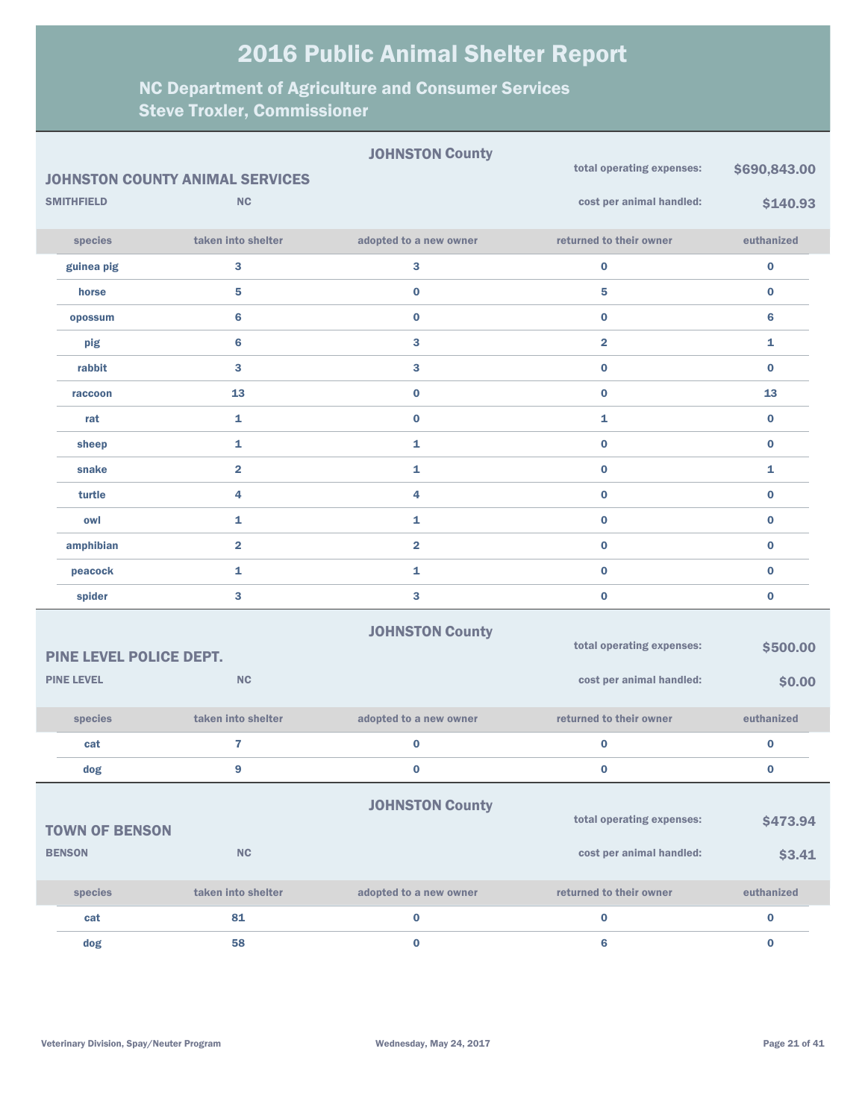|                         | <b>JOHNSTON COUNTY ANIMAL SERVICES</b> | <b>JOHNSTON County</b>  | total operating expenses: | \$690,843.00 |
|-------------------------|----------------------------------------|-------------------------|---------------------------|--------------|
| <b>SMITHFIELD</b>       | <b>NC</b>                              |                         | cost per animal handled:  | \$140.93     |
| species                 | taken into shelter                     | adopted to a new owner  | returned to their owner   | euthanized   |
| guinea pig              | 3                                      | 3                       | $\bf{0}$                  | $\bf{0}$     |
| horse                   | 5                                      | $\pmb{0}$               | 5                         | $\bf{0}$     |
| opossum                 | $6\phantom{1}$                         | $\pmb{0}$               | $\bf{0}$                  | 6            |
| pig                     | $6\phantom{1}$                         | 3                       | $\overline{\mathbf{2}}$   | $\mathbf{1}$ |
| rabbit                  | 3                                      | 3                       | $\bf{0}$                  | $\bf{0}$     |
| raccoon                 | 13                                     | $\pmb{0}$               | $\bf{0}$                  | 13           |
| rat                     | 1                                      | $\pmb{0}$               | $\mathbf{1}$              | $\bf{0}$     |
| sheep                   | 1                                      | 1                       | $\bf{0}$                  | $\bf{0}$     |
| snake                   | $\overline{\mathbf{2}}$                | 1                       | $\bf{0}$                  | 1            |
| turtle                  | 4                                      | 4                       | $\bf{0}$                  | $\bf{0}$     |
| owl                     | 1                                      | $\mathbf{1}$            | $\bf{0}$                  | $\bf{0}$     |
| amphibian               | $\overline{\mathbf{2}}$                | $\overline{\mathbf{2}}$ | $\bf{0}$                  | $\bf{0}$     |
| peacock                 | 1                                      | $\mathbf{1}$            | $\bf{0}$                  | $\bf{0}$     |
| spider                  | 3                                      | 3                       | $\bf{0}$                  | $\bf{0}$     |
|                         |                                        | <b>JOHNSTON County</b>  |                           |              |
| PINE LEVEL POLICE DEPT. |                                        |                         | total operating expenses: | \$500.00     |
| <b>PINE LEVEL</b>       | <b>NC</b>                              |                         | cost per animal handled:  | \$0.00       |
| species                 | taken into shelter                     | adopted to a new owner  | returned to their owner   | euthanized   |
| cat                     | $\overline{7}$                         | $\bf{0}$                | $\bf{0}$                  | $\bf{0}$     |
| dog                     | 9                                      | $\bf{0}$                | $\bf{0}$                  | $\bf{0}$     |
|                         |                                        | <b>JOHNSTON County</b>  | total operating expenses: | \$473.94     |
| <b>TOWN OF BENSON</b>   |                                        |                         |                           |              |
| <b>BENSON</b>           | ${\sf NC}$                             |                         | cost per animal handled:  | \$3.41       |
| species                 | taken into shelter                     | adopted to a new owner  | returned to their owner   | euthanized   |
| cat                     | 81                                     | $\pmb{0}$               | $\bf{0}$                  | $\bf{0}$     |
| dog                     | 58                                     | $\pmb{0}$               | $\bf 6$                   | $\mathbf 0$  |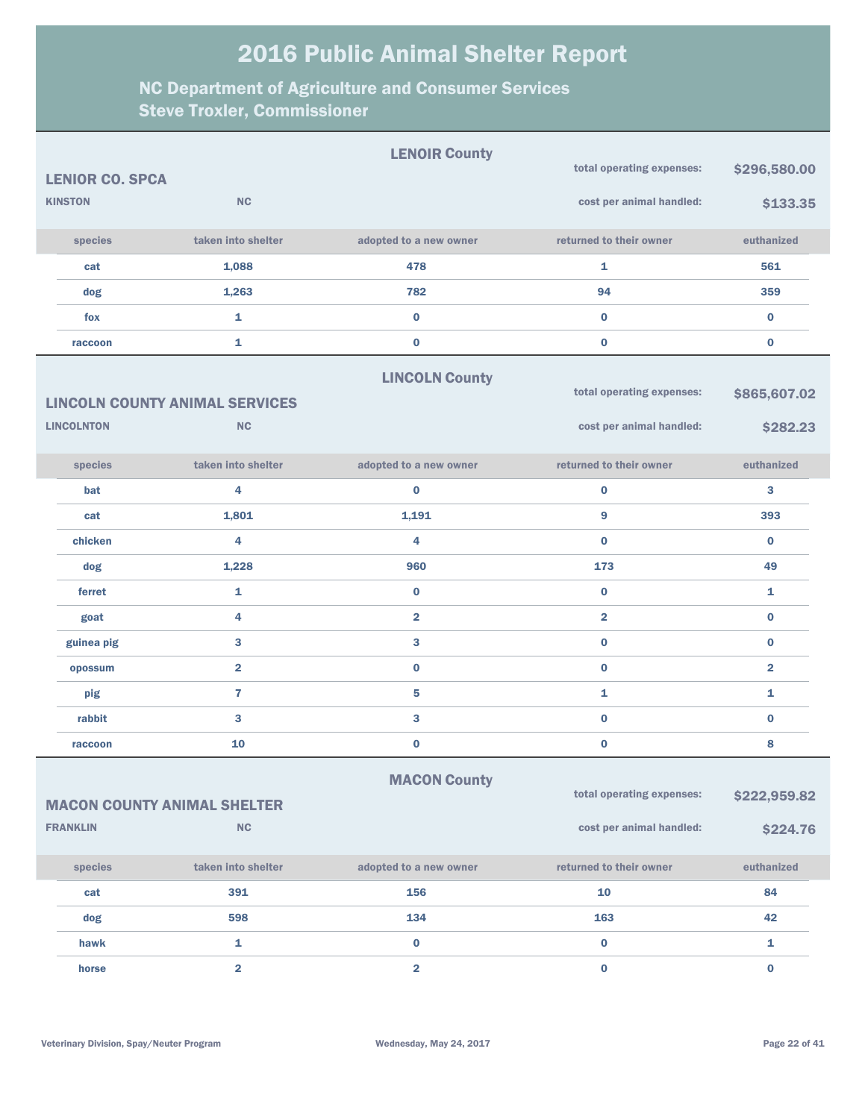|                                                                                                        |                        |                         | <b>LENOIR County</b>    |                           |                |
|--------------------------------------------------------------------------------------------------------|------------------------|-------------------------|-------------------------|---------------------------|----------------|
|                                                                                                        | <b>LENIOR CO. SPCA</b> |                         |                         | total operating expenses: | \$296,580.00   |
|                                                                                                        | <b>KINSTON</b>         | <b>NC</b>               |                         | cost per animal handled:  | \$133.35       |
|                                                                                                        | species                | taken into shelter      | adopted to a new owner  | returned to their owner   | euthanized     |
|                                                                                                        | cat                    | 1,088                   | 478                     | 1                         | 561            |
|                                                                                                        | dog                    | 1,263                   | 782                     | 94                        | 359            |
|                                                                                                        | fox                    | 1                       | $\bf{0}$                | $\bf{0}$                  | $\bf{0}$       |
|                                                                                                        | raccoon                | 1                       | $\bf{0}$                | $\bf{0}$                  | $\bf{0}$       |
| <b>LINCOLN County</b><br>total operating expenses:<br><b>LINCOLN COUNTY ANIMAL SERVICES</b>            |                        |                         |                         |                           | \$865,607.02   |
|                                                                                                        | <b>LINCOLNTON</b>      | <b>NC</b>               |                         | cost per animal handled:  | \$282.23       |
|                                                                                                        | species                | taken into shelter      | adopted to a new owner  | returned to their owner   | euthanized     |
|                                                                                                        | bat                    | 4                       | $\bf{0}$                | $\bf{0}$                  | 3              |
|                                                                                                        | cat                    | 1,801                   | 1,191                   | 9                         | 393            |
|                                                                                                        | chicken                | 4                       | 4                       | $\bf{0}$                  | $\bf{0}$       |
|                                                                                                        | dog                    | 1,228                   | 960                     | 173                       | 49             |
|                                                                                                        | ferret                 | 1                       | 0                       | $\bf{0}$                  | 1              |
|                                                                                                        | goat                   | 4                       | $\overline{\mathbf{2}}$ | $\overline{2}$            | $\bf{0}$       |
|                                                                                                        | guinea pig             | 3                       | 3                       | $\bf{0}$                  | $\bf{0}$       |
|                                                                                                        | opossum                | $\overline{2}$          | $\bf{0}$                | $\bf{0}$                  | $\overline{2}$ |
|                                                                                                        | pig                    | $\overline{7}$          | 5                       | $\mathbf{1}$              | 1              |
|                                                                                                        | rabbit                 | 3                       | 3                       | $\bf{0}$                  | $\bf{0}$       |
|                                                                                                        | raccoon                | 10                      | $\bf{0}$                | $\bf{0}$                  | 8              |
| <b>MACON County</b><br>total operating expenses:<br>\$222,959.82<br><b>MACON COUNTY ANIMAL SHELTER</b> |                        |                         |                         |                           |                |
|                                                                                                        | <b>FRANKLIN</b>        | NC                      |                         | cost per animal handled:  | \$224.76       |
|                                                                                                        | species                | taken into shelter      | adopted to a new owner  | returned to their owner   | euthanized     |
|                                                                                                        | cat                    | 391                     | 156                     | 10                        | 84             |
|                                                                                                        | dog                    | 598                     | 134                     | 163                       | 42             |
|                                                                                                        | hawk                   | 1                       | $\pmb{0}$               | $\mathbf 0$               | 1              |
|                                                                                                        | horse                  | $\overline{\mathbf{2}}$ | $\overline{\mathbf{2}}$ | $\pmb{0}$                 | $\pmb{0}$      |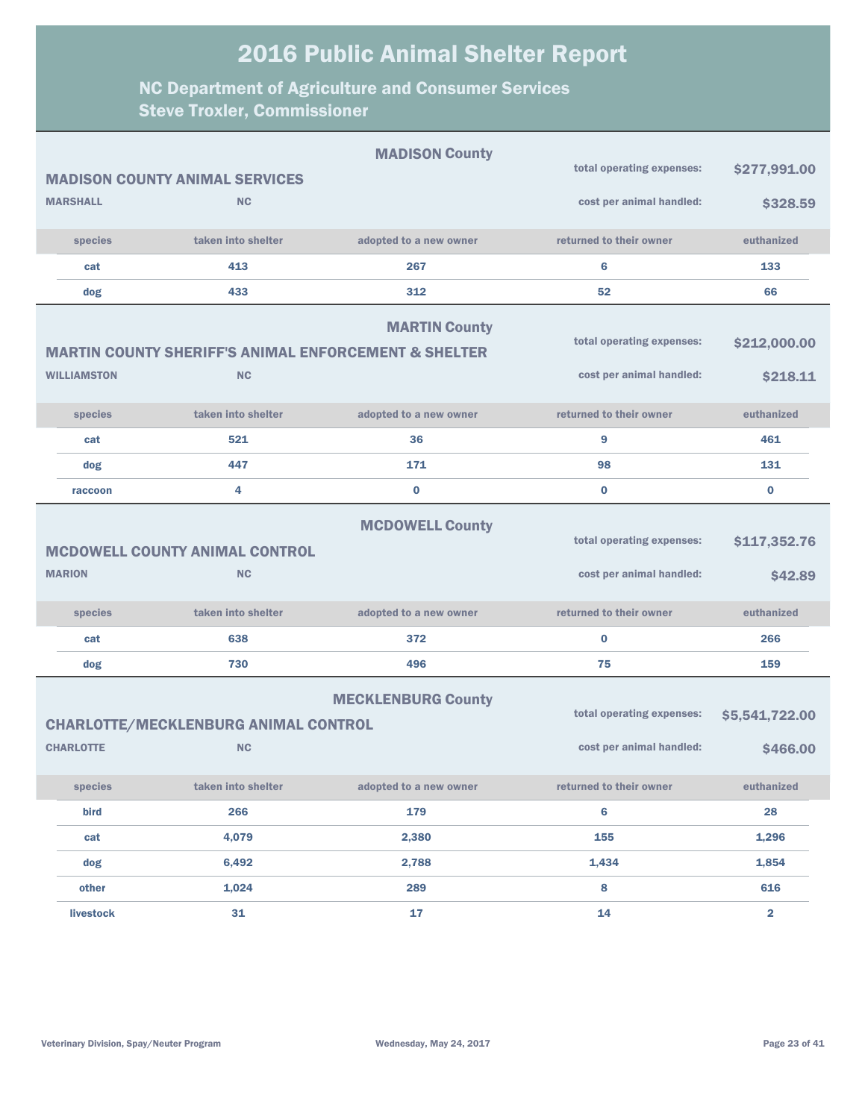|                    |                                                                 | <b>MADISON County</b>     | total operating expenses: |                |
|--------------------|-----------------------------------------------------------------|---------------------------|---------------------------|----------------|
|                    | <b>MADISON COUNTY ANIMAL SERVICES</b>                           |                           |                           | \$277,991.00   |
| <b>MARSHALL</b>    | <b>NC</b>                                                       |                           | cost per animal handled:  | \$328.59       |
| species            | taken into shelter                                              | adopted to a new owner    | returned to their owner   | euthanized     |
| cat                | 413                                                             | 267                       | 6                         | 133            |
| dog                | 433                                                             | 312                       | 52                        | 66             |
|                    | <b>MARTIN COUNTY SHERIFF'S ANIMAL ENFORCEMENT &amp; SHELTER</b> | <b>MARTIN County</b>      | total operating expenses: | \$212,000.00   |
| <b>WILLIAMSTON</b> | <b>NC</b>                                                       |                           | cost per animal handled:  | \$218.11       |
| species            | taken into shelter                                              | adopted to a new owner    | returned to their owner   | euthanized     |
| cat                | 521                                                             | 36                        | 9                         | 461            |
| dog                | 447                                                             | 171                       | 98                        | 131            |
| raccoon            | 4                                                               | $\bf{0}$                  | $\bf{0}$                  | $\bf{0}$       |
|                    | MCDOWELL COUNTY ANIMAL CONTROL                                  | total operating expenses: | \$117,352.76              |                |
| <b>MARION</b>      | <b>NC</b>                                                       |                           | cost per animal handled:  | \$42.89        |
| species            | taken into shelter                                              | adopted to a new owner    | returned to their owner   | euthanized     |
| cat                | 638                                                             | 372                       | 0                         | 266            |
| dog                | 730                                                             | 496                       | 75                        | 159            |
|                    | <b>CHARLOTTE/MECKLENBURG ANIMAL CONTROL</b>                     | total operating expenses: | \$5,541,722.00            |                |
| <b>CHARLOTTE</b>   | <b>NC</b>                                                       |                           | cost per animal handled:  | \$466.00       |
| species            | taken into shelter                                              | adopted to a new owner    | returned to their owner   | euthanized     |
| bird               | 266                                                             | 179                       | 6                         | 28             |
| cat                | 4,079                                                           | 2,380                     | 155                       | 1,296          |
| dog                | 6,492                                                           | 2,788                     | 1,434                     | 1,854          |
| other              | 1,024                                                           | 289                       | 8                         | 616            |
| livestock          | 31                                                              | 17                        | 14                        | $\overline{2}$ |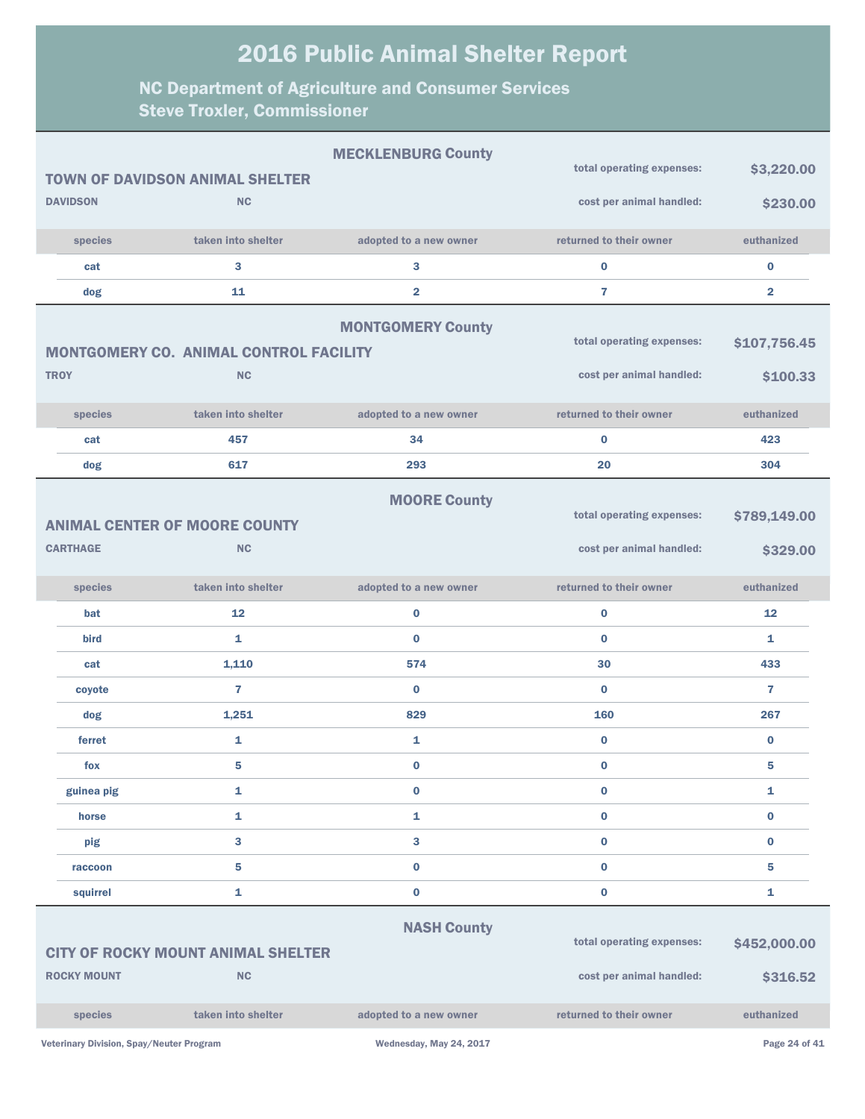#### NC Department of Agriculture and Consumer Services Steve Troxler, Commissioner

|                    |                                               | <b>MECKLENBURG County</b> | total operating expenses: | \$3,220.00              |
|--------------------|-----------------------------------------------|---------------------------|---------------------------|-------------------------|
|                    | <b>TOWN OF DAVIDSON ANIMAL SHELTER</b>        |                           |                           |                         |
| <b>DAVIDSON</b>    | <b>NC</b>                                     |                           | cost per animal handled:  | \$230.00                |
| species            | taken into shelter                            | adopted to a new owner    | returned to their owner   | euthanized              |
| cat                | 3                                             | 3                         | $\bf{0}$                  | $\pmb{0}$               |
| dog                | 11                                            | $\overline{\mathbf{2}}$   | $\overline{7}$            | $\overline{\mathbf{2}}$ |
|                    |                                               | <b>MONTGOMERY County</b>  |                           |                         |
|                    | <b>MONTGOMERY CO. ANIMAL CONTROL FACILITY</b> |                           | total operating expenses: | \$107,756.45            |
| <b>TROY</b>        | <b>NC</b>                                     |                           | cost per animal handled:  | \$100.33                |
|                    |                                               |                           |                           |                         |
| species            | taken into shelter                            | adopted to a new owner    | returned to their owner   | euthanized              |
| cat                | 457                                           | 34                        | $\bf{0}$                  | 423                     |
| dog                | 617                                           | 293                       | 20                        | 304                     |
|                    |                                               | <b>MOORE County</b>       |                           |                         |
|                    | <b>ANIMAL CENTER OF MOORE COUNTY</b>          |                           | total operating expenses: | \$789,149.00            |
| <b>CARTHAGE</b>    | <b>NC</b>                                     |                           | cost per animal handled:  | \$329.00                |
|                    |                                               |                           |                           |                         |
| species            | taken into shelter                            | adopted to a new owner    | returned to their owner   | euthanized              |
| bat                | 12                                            | $\bf{0}$                  | $\bf{0}$                  | 12                      |
| bird               | $\mathbf{1}$                                  | $\bf{0}$                  | $\bf{0}$                  | 1                       |
| cat                | 1,110                                         | 574                       | 30                        | 433                     |
| coyote             | 7                                             | $\bf{0}$                  | $\bf{0}$                  | 7                       |
| dog                | 1,251                                         | 829                       | 160                       | 267                     |
| ferret             | $\mathbf{1}$                                  | 1                         | $\bf{0}$                  | $\bf{0}$                |
| fox                | 5                                             | $\bf{0}$                  | $\bf{0}$                  | 5                       |
| guinea pig         | $\mathbf{1}$                                  | $\pmb{0}$                 | $\bf{0}$                  | 1                       |
| horse              | $\mathbf{1}$                                  | 1                         | $\bf{0}$                  | $\bf{0}$                |
| pig                | 3                                             | 3                         | $\bf{0}$                  | $\bf{0}$                |
| raccoon            | 5                                             | $\bf{0}$                  | $\bf{0}$                  | 5                       |
| squirrel           | 1                                             | $\pmb{0}$                 | $\bf{0}$                  | 1                       |
|                    |                                               | <b>NASH County</b>        |                           |                         |
|                    | <b>CITY OF ROCKY MOUNT ANIMAL SHELTER</b>     |                           | total operating expenses: | \$452,000.00            |
| <b>ROCKY MOUNT</b> | NC                                            |                           | cost per animal handled:  | \$316.52                |
|                    |                                               |                           |                           |                         |
| species            | taken into shelter                            | adopted to a new owner    | returned to their owner   | euthanized              |
|                    |                                               |                           |                           |                         |

Veterinary Division, Spay/Neuter Program Wednesday, May 24, 2017 Page 24 of 41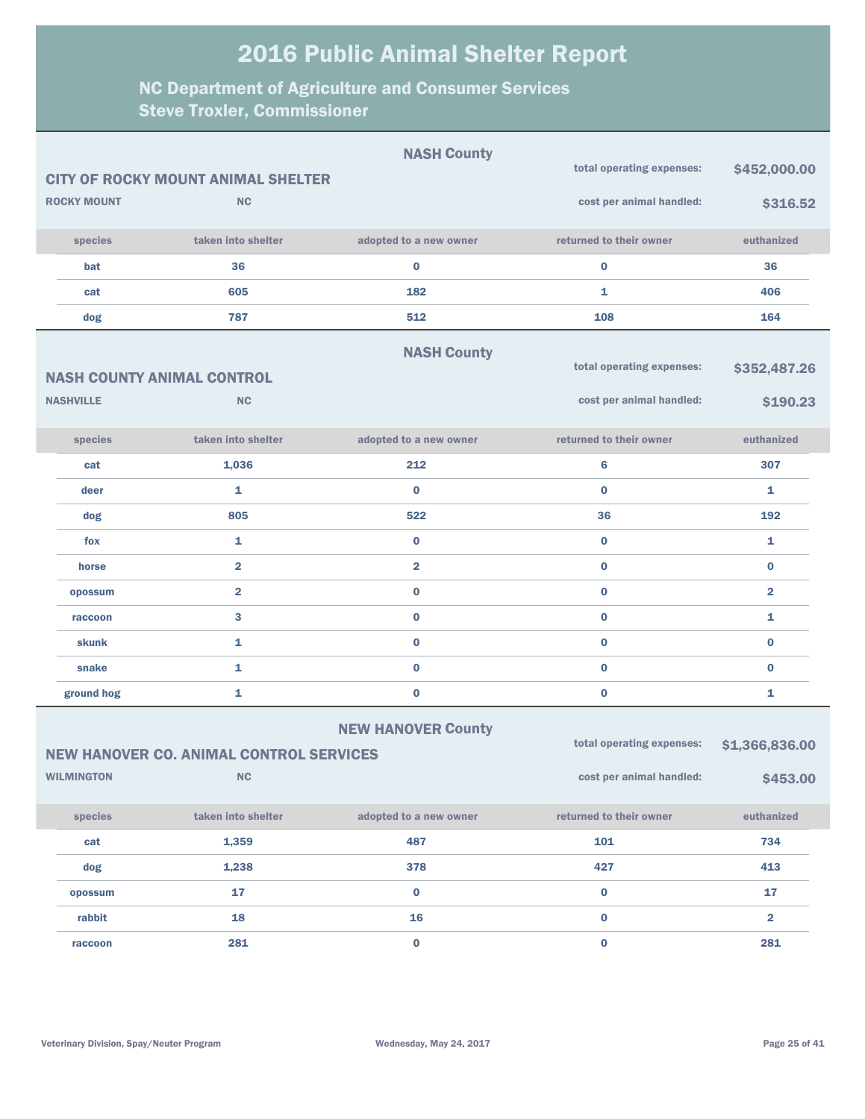|                    |                                                | <b>NASH County</b>        |                           |                         |
|--------------------|------------------------------------------------|---------------------------|---------------------------|-------------------------|
|                    | <b>CITY OF ROCKY MOUNT ANIMAL SHELTER</b>      |                           | total operating expenses: | \$452,000.00            |
| <b>ROCKY MOUNT</b> | <b>NC</b>                                      |                           | cost per animal handled:  | \$316.52                |
| species            | taken into shelter                             | adopted to a new owner    | returned to their owner   | euthanized              |
| bat                | 36                                             | $\bf{0}$                  | $\bf{0}$                  | 36                      |
| cat                | 605                                            | 182                       | 1                         | 406                     |
| dog                | 787                                            | 512                       | 108                       | 164                     |
|                    |                                                | <b>NASH County</b>        |                           |                         |
|                    | <b>NASH COUNTY ANIMAL CONTROL</b>              |                           | total operating expenses: | \$352,487.26            |
| <b>NASHVILLE</b>   | <b>NC</b>                                      |                           | cost per animal handled:  | \$190.23                |
| species            | taken into shelter                             | adopted to a new owner    | returned to their owner   | euthanized              |
| cat                | 1,036                                          | 212                       | 6                         | 307                     |
| deer               | 1                                              | $\bf{0}$                  | $\bf{0}$                  | 1                       |
| dog                | 805                                            | 522                       | 36                        | 192                     |
| fox                | 1                                              | $\bf{0}$                  | $\bf{0}$                  | 1                       |
| horse              | $\overline{\mathbf{2}}$                        | $\overline{\mathbf{2}}$   | $\bf{0}$                  | $\bf{0}$                |
| opossum            | $\overline{2}$                                 | 0                         | $\bf{0}$                  | $\overline{\mathbf{2}}$ |
| raccoon            | 3                                              | 0                         | $\bf{0}$                  | $\mathbf{1}$            |
| skunk              | 1                                              | 0                         | $\bf{0}$                  | $\bf{0}$                |
| snake              | 1                                              | $\bf{0}$                  | $\bf{0}$                  | $\bf{0}$                |
| ground hog         | 1                                              | 0                         | $\bf{0}$                  | $\mathbf{1}$            |
|                    |                                                | <b>NEW HANOVER County</b> |                           |                         |
|                    | <b>NEW HANOVER CO. ANIMAL CONTROL SERVICES</b> |                           | total operating expenses: | \$1,366,836.00          |
| <b>WILMINGTON</b>  | NC                                             |                           | cost per animal handled:  | \$453.00                |
| species            | taken into shelter                             | adopted to a new owner    | returned to their owner   | euthanized              |
| cat                | 1,359                                          | 487                       | 101                       | 734                     |
| dog                | 1,238                                          | 378                       | 427                       | 413                     |
| opossum            | 17                                             | $\bf{0}$                  | $\mathbf 0$               | 17                      |
| rabbit             | 18                                             | 16                        | $\pmb{0}$                 | $\overline{\mathbf{2}}$ |
| raccoon            | 281                                            | $\mathbf{0}$              | $\mathbf 0$               | 281                     |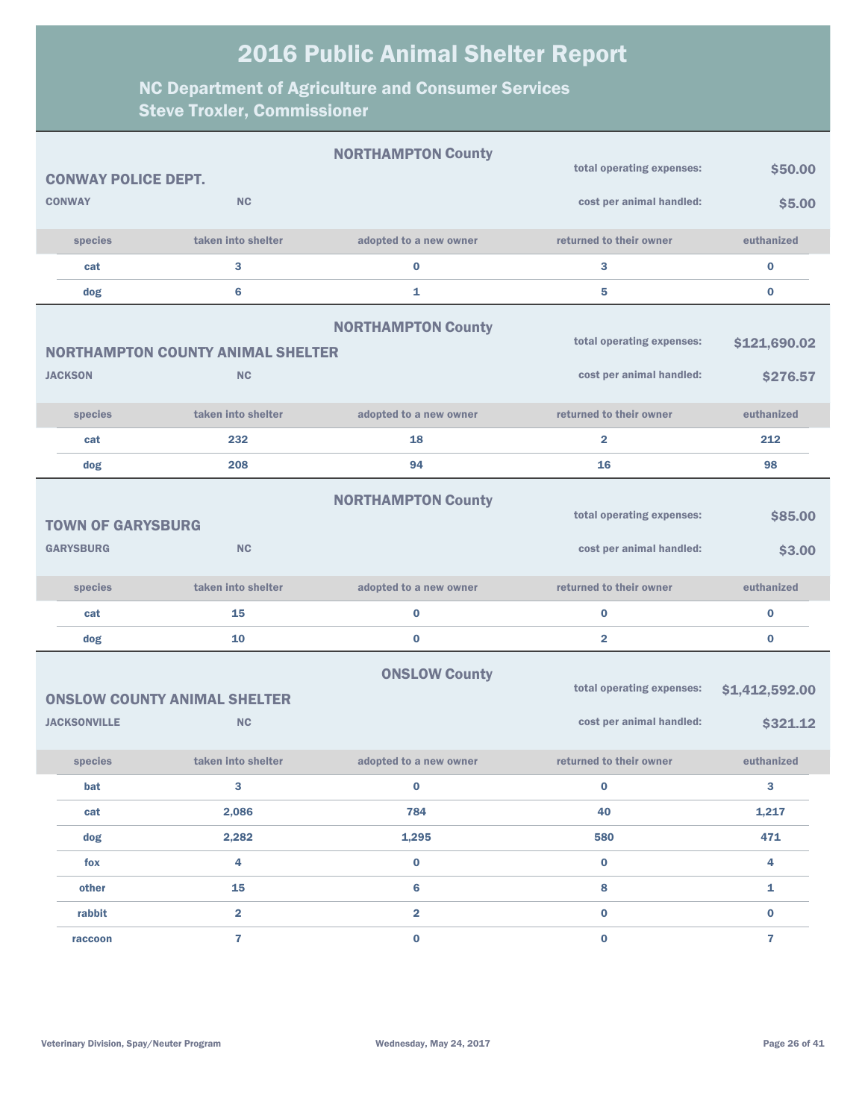|                            |                                          | <b>NORTHAMPTON County</b> |                           |                         |
|----------------------------|------------------------------------------|---------------------------|---------------------------|-------------------------|
| <b>CONWAY POLICE DEPT.</b> |                                          |                           | total operating expenses: | \$50.00                 |
| <b>CONWAY</b>              | NC                                       |                           | cost per animal handled:  | \$5.00                  |
| species                    | taken into shelter                       | adopted to a new owner    | returned to their owner   | euthanized              |
| cat                        | 3                                        | $\bf{0}$                  | 3                         | $\bf{0}$                |
| dog                        | $6\phantom{a}$                           | 1                         | 5                         | $\bf{0}$                |
|                            |                                          | <b>NORTHAMPTON County</b> |                           |                         |
|                            | <b>NORTHAMPTON COUNTY ANIMAL SHELTER</b> |                           | total operating expenses: | \$121,690.02            |
| <b>JACKSON</b>             | <b>NC</b>                                |                           | cost per animal handled:  | \$276.57                |
| species                    | taken into shelter                       | adopted to a new owner    | returned to their owner   | euthanized              |
| cat                        | 232                                      | 18                        | $\overline{2}$            | 212                     |
| dog                        | 208                                      | 94                        | 16                        | 98                      |
|                            |                                          | <b>NORTHAMPTON County</b> |                           |                         |
| <b>TOWN OF GARYSBURG</b>   |                                          |                           | total operating expenses: | \$85.00                 |
| <b>GARYSBURG</b>           | NC                                       |                           | cost per animal handled:  | \$3.00                  |
| species                    | taken into shelter                       | adopted to a new owner    | returned to their owner   | euthanized              |
| cat                        | 15                                       | $\bf{0}$                  | $\bf{0}$                  | $\bf{0}$                |
| dog                        | 10                                       | $\bf{0}$                  | $\overline{\mathbf{2}}$   | $\bf{0}$                |
|                            |                                          | <b>ONSLOW County</b>      |                           |                         |
|                            | <b>ONSLOW COUNTY ANIMAL SHELTER</b>      |                           | total operating expenses: | \$1,412,592.00          |
| <b>JACKSONVILLE</b>        | <b>NC</b>                                |                           | cost per animal handled:  | \$321.12                |
| species                    | taken into shelter                       | adopted to a new owner    | returned to their owner   | euthanized              |
| bat                        | 3                                        | $\bf{0}$                  | $\bf{0}$                  | 3                       |
| cat                        | 2,086                                    | 784                       | 40                        | 1,217                   |
| dog                        | 2,282                                    | 1,295                     | 580                       | 471                     |
| fox                        | 4                                        | $\bf{0}$                  | $\mathbf 0$               | $\overline{\mathbf{4}}$ |
| other                      | 15                                       | 6                         | 8                         | $\mathbf{1}$            |
| rabbit                     | $\overline{\mathbf{2}}$                  | $\overline{\mathbf{2}}$   | $\bf{0}$                  | $\bf{0}$                |
| raccoon                    | $\overline{7}$                           | $\bf{0}$                  | $\bf{0}$                  | $\overline{7}$          |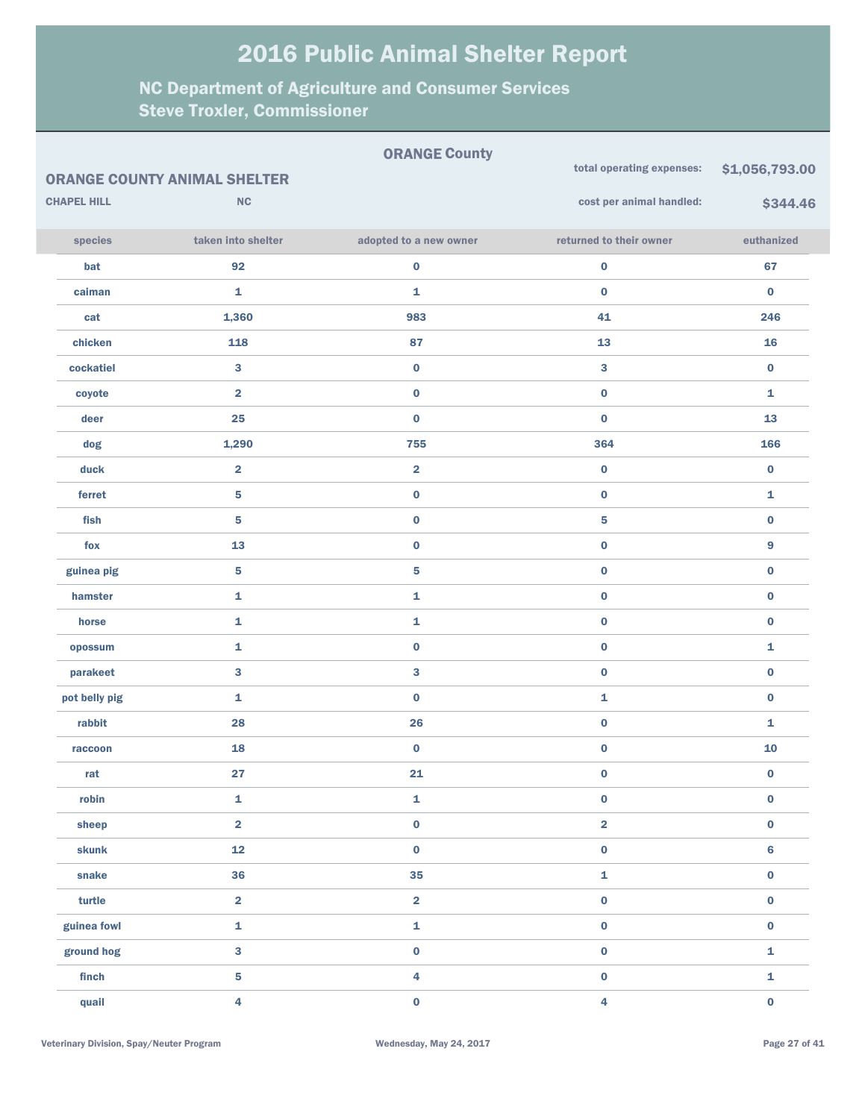|                    |                                     | <b>ORANGE County</b>    |                           |                |
|--------------------|-------------------------------------|-------------------------|---------------------------|----------------|
|                    | <b>ORANGE COUNTY ANIMAL SHELTER</b> |                         | total operating expenses: | \$1,056,793.00 |
| <b>CHAPEL HILL</b> | NC                                  |                         | cost per animal handled:  | \$344.46       |
| species            | taken into shelter                  | adopted to a new owner  | returned to their owner   | euthanized     |
| bat                | 92                                  | $\pmb{0}$               | $\pmb{0}$                 | 67             |
| caiman             | 1                                   | 1                       | $\pmb{0}$                 | 0              |
| cat                | 1,360                               | 983                     | 41                        | 246            |
| chicken            | 118                                 | 87                      | 13                        | 16             |
| cockatiel          | 3                                   | $\pmb{0}$               | 3                         | $\bf{0}$       |
| coyote             | $\overline{\mathbf{2}}$             | $\pmb{0}$               | $\pmb{0}$                 | 1              |
| deer               | 25                                  | $\pmb{0}$               | $\pmb{0}$                 | 13             |
| dog                | 1,290                               | 755                     | 364                       | 166            |
| duck               | $\overline{\mathbf{2}}$             | $\overline{\mathbf{2}}$ | $\mathbf 0$               | $\bf{0}$       |
| ferret             | $\overline{\mathbf{5}}$             | $\pmb{0}$               | $\pmb{0}$                 | 1              |
| fish               | 5                                   | $\bf{0}$                | 5                         | $\bf{0}$       |
| fox                | 13                                  | $\pmb{0}$               | $\pmb{0}$                 | 9              |
| guinea pig         | ${\bf 5}$                           | ${\bf 5}$               | $\pmb{0}$                 | $\bf{0}$       |
| hamster            | 1                                   | $\mathbf 1$             | $\pmb{0}$                 | 0              |
| horse              | 1                                   | $\mathbf 1$             | $\pmb{0}$                 | 0              |
| opossum            | 1                                   | $\pmb{0}$               | $\pmb{0}$                 | 1              |
| parakeet           | 3                                   | $\mathbf{3}$            | $\pmb{0}$                 | $\bf{0}$       |
| pot belly pig      | 1                                   | $\pmb{0}$               | 1                         | 0              |
| rabbit             | 28                                  | 26                      | $\pmb{0}$                 | 1              |
| raccoon            | 18                                  | $\mathbf 0$             | $\pmb{0}$                 | ${\bf 10}$     |
| rat                | 27                                  | 21                      | $\mathbf 0$               | $\bf{0}$       |
| robin              | 1                                   | $\mathbf{1}$            | $\pmb{0}$                 | 0              |
| sheep              | $\overline{\mathbf{2}}$             | $\pmb{0}$               | $\overline{\mathbf{2}}$   | 0              |
| skunk              | 12                                  | $\pmb{0}$               | $\pmb{0}$                 | $\bf{6}$       |
| snake              | 36                                  | 35                      | 1                         | 0              |
| turtle             | $\overline{\mathbf{2}}$             | $\overline{\mathbf{2}}$ | $\pmb{0}$                 | 0              |
| guinea fowl        | $\mathbf 1$                         | $\mathbf 1$             | $\pmb{0}$                 | 0              |
| ground hog         | 3                                   | $\pmb{0}$               | $\pmb{0}$                 | 1              |
| finch              | ${\bf 5}$                           | $\overline{\mathbf{4}}$ | $\pmb{0}$                 | 1              |
| quail              | 4                                   | $\pmb{0}$               | 4                         | 0              |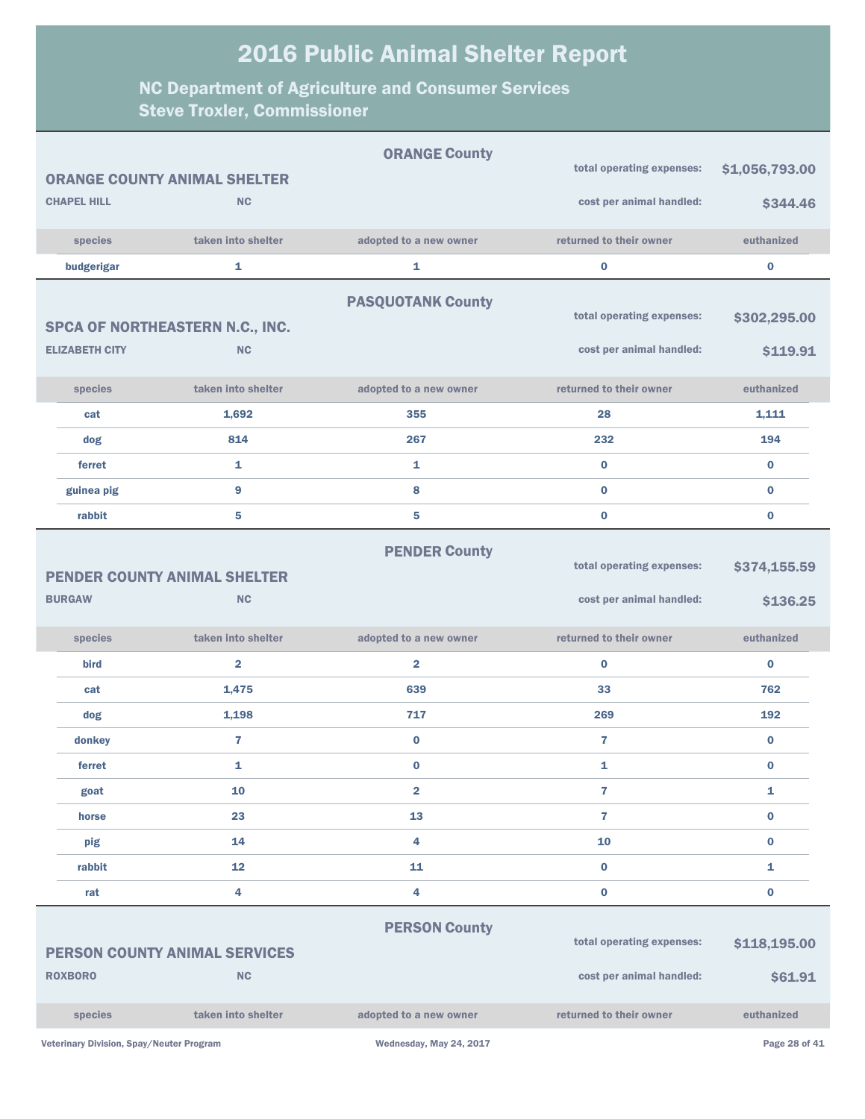|                                                                   |                                          | <b>ORANGE COUNTY ANIMAL SHELTER</b>  | <b>ORANGE County</b>     | total operating expenses:                             | \$1,056,793.00           |
|-------------------------------------------------------------------|------------------------------------------|--------------------------------------|--------------------------|-------------------------------------------------------|--------------------------|
|                                                                   | <b>CHAPEL HILL</b>                       | <b>NC</b>                            |                          | cost per animal handled:                              | \$344.46                 |
|                                                                   | species                                  | taken into shelter                   | adopted to a new owner   | returned to their owner                               | euthanized               |
|                                                                   | budgerigar                               | 1                                    | 1                        | $\bf{0}$                                              | $\pmb{0}$                |
|                                                                   |                                          |                                      | <b>PASQUOTANK County</b> |                                                       |                          |
|                                                                   |                                          | SPCA OF NORTHEASTERN N.C., INC.      |                          | total operating expenses:                             | \$302,295.00             |
|                                                                   | <b>ELIZABETH CITY</b>                    | <b>NC</b>                            |                          | cost per animal handled:                              | \$119.91                 |
|                                                                   |                                          |                                      |                          |                                                       |                          |
|                                                                   | species                                  | taken into shelter                   | adopted to a new owner   | returned to their owner                               | euthanized               |
|                                                                   | cat                                      | 1,692                                | 355                      | 28                                                    | 1,111                    |
|                                                                   | dog                                      | 814                                  | 267                      | 232                                                   | 194                      |
|                                                                   | ferret                                   | $\mathbf{1}$                         | $\mathbf{1}$             | $\bf{0}$                                              | $\bf{0}$                 |
|                                                                   | guinea pig                               | 9                                    | 8                        | $\bf{0}$                                              | $\bf{0}$                 |
|                                                                   | rabbit                                   | 5                                    | 5                        | $\bf{0}$                                              | $\bf{0}$                 |
| <b>PENDER COUNTY ANIMAL SHELTER</b><br><b>NC</b><br><b>BURGAW</b> |                                          |                                      | <b>PENDER County</b>     | total operating expenses:<br>cost per animal handled: | \$374,155.59<br>\$136.25 |
|                                                                   | species                                  | taken into shelter                   | adopted to a new owner   | returned to their owner                               | euthanized               |
|                                                                   | <b>bird</b>                              | $\overline{\mathbf{2}}$              | $\overline{2}$           | $\bf{0}$                                              | $\bf{0}$                 |
|                                                                   | cat                                      | 1,475                                | 639                      | 33                                                    | 762                      |
|                                                                   | dog                                      | 1,198                                | 717                      | 269                                                   | 192                      |
|                                                                   | donkey                                   | $\overline{7}$                       | $\bf{0}$                 | $\overline{7}$                                        | $\bf{0}$                 |
|                                                                   | ferret                                   | 1                                    | $\bf{0}$                 | 1                                                     | $\bf{0}$                 |
|                                                                   | goat                                     | 10                                   | $\overline{\mathbf{2}}$  | $\overline{7}$                                        | 1                        |
|                                                                   | horse                                    | 23                                   | 13                       | $\overline{7}$                                        | $\bf{0}$                 |
|                                                                   | pig                                      | 14                                   | 4                        | 10                                                    | $\bf{0}$                 |
|                                                                   | rabbit                                   | $12 \overline{ }$                    | 11                       | $\bf{0}$                                              | 1                        |
|                                                                   | rat                                      | 4                                    | 4                        | $\bf{0}$                                              | $\pmb{0}$                |
|                                                                   |                                          |                                      | <b>PERSON County</b>     |                                                       |                          |
|                                                                   |                                          | <b>PERSON COUNTY ANIMAL SERVICES</b> |                          | total operating expenses:                             | \$118,195.00             |
|                                                                   | <b>ROXBORO</b>                           | NC                                   |                          | cost per animal handled:                              | \$61.91                  |
|                                                                   | species                                  | taken into shelter                   | adopted to a new owner   | returned to their owner                               | euthanized               |
|                                                                   | Veterinary Division, Spay/Neuter Program |                                      | Wednesday, May 24, 2017  |                                                       | Page 28 of 41            |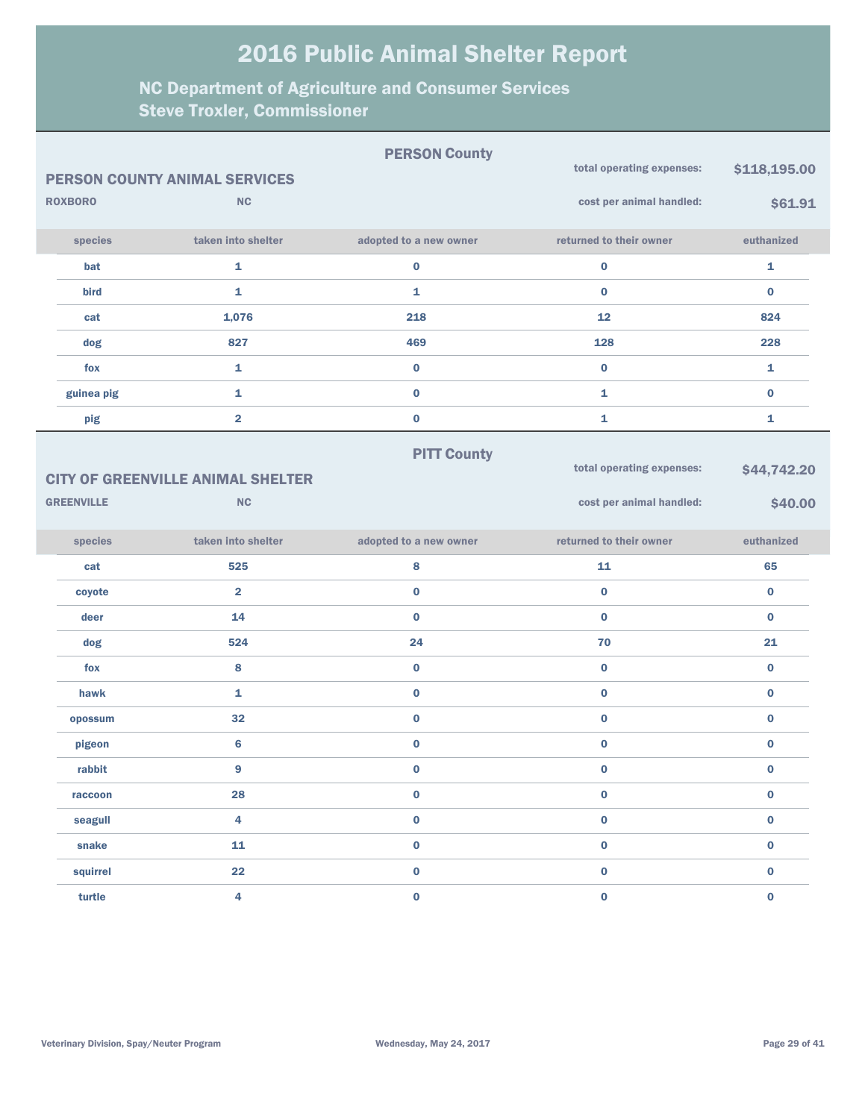|                                |                | <b>PERSON COUNTY ANIMAL SERVICES</b>     | <b>PERSON County</b>   | total operating expenses: | \$118,195.00 |
|--------------------------------|----------------|------------------------------------------|------------------------|---------------------------|--------------|
|                                | <b>ROXBORO</b> | NC                                       |                        | cost per animal handled:  | \$61.91      |
|                                | species        | taken into shelter                       | adopted to a new owner | returned to their owner   | euthanized   |
|                                | bat            | $\mathbf{1}$                             | 0                      | $\mathbf 0$               | 1            |
|                                | bird           | $\mathbf{1}$                             | 1                      | $\bf{0}$                  | $\bf{0}$     |
|                                | cat            | 1,076                                    | 218                    | 12                        | 824          |
|                                | dog            | 827                                      | 469                    | 128                       | 228          |
|                                | fox            | 1                                        | $\bf{0}$               | $\bf{0}$                  | 1            |
|                                | guinea pig     | $\mathbf{1}$                             | $\bf{0}$               | 1                         | $\bf{0}$     |
|                                | pig            | $\overline{\mathbf{2}}$                  | $\bf{0}$               | 1                         | 1            |
|                                |                |                                          | <b>PITT County</b>     |                           |              |
|                                |                | <b>CITY OF GREENVILLE ANIMAL SHELTER</b> |                        | total operating expenses: | \$44,742.20  |
| <b>GREENVILLE</b><br><b>NC</b> |                |                                          |                        | cost per animal handled:  | \$40.00      |
|                                |                |                                          |                        |                           |              |
|                                | species        | taken into shelter                       | adopted to a new owner | returned to their owner   | euthanized   |
|                                | cat            | 525                                      | 8                      | 11                        | 65           |
|                                | coyote         | $\overline{\mathbf{2}}$                  | $\bf{0}$               | $\bf{0}$                  | $\bf{0}$     |
|                                | deer           | 14                                       | $\bf{0}$               | $\bf{0}$                  | $\bf{0}$     |
|                                | dog            | 524                                      | 24                     | 70                        | 21           |
|                                | fox            | 8                                        | $\bf{0}$               | $\bf{0}$                  | $\bf{0}$     |
|                                | hawk           | $\mathbf{1}$                             | $\bf{0}$               | $\bf{0}$                  | $\bf{0}$     |
|                                | opossum        | 32                                       | $\bf{0}$               | $\bf{0}$                  | $\bf{0}$     |
|                                | pigeon         | $6\phantom{1}6$                          | $\bf{0}$               | $\bf{0}$                  | $\bf{0}$     |
|                                | rabbit         | 9                                        | 0                      | $\bf{0}$                  | $\bf{0}$     |
|                                | raccoon        | 28                                       | $\mathbf 0$            | $\pmb{0}$                 | $\mathbf 0$  |
|                                | seagull        | $\overline{\mathbf{4}}$                  | $\mathbf 0$            | $\pmb{0}$                 | $\mathbf 0$  |
|                                | snake          | 11                                       | $\pmb{0}$              | $\pmb{0}$                 | $\mathbf 0$  |
|                                | squirrel       | 22                                       | $\pmb{0}$              | $\pmb{0}$                 | $\mathbf 0$  |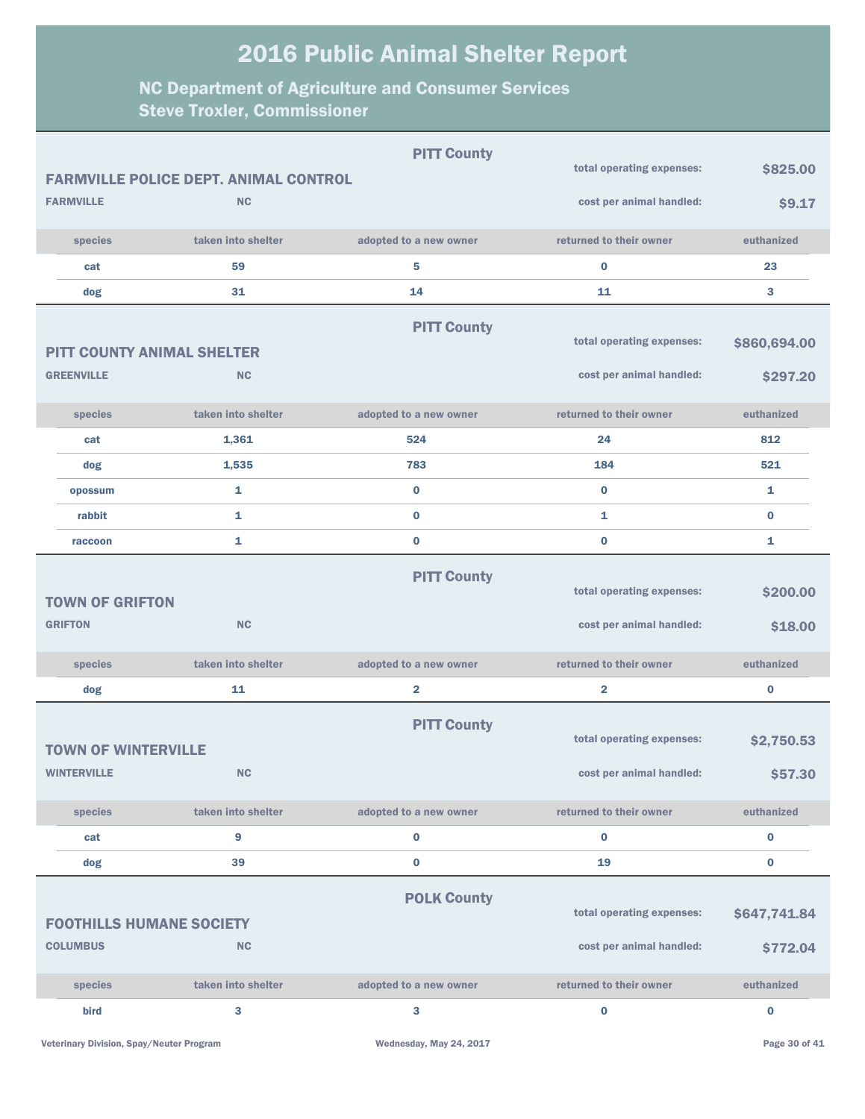|                   |                                   |                                              | <b>PITT County</b>     |                           |              |
|-------------------|-----------------------------------|----------------------------------------------|------------------------|---------------------------|--------------|
|                   |                                   | <b>FARMVILLE POLICE DEPT. ANIMAL CONTROL</b> |                        | total operating expenses: | \$825.00     |
| <b>FARMVILLE</b>  |                                   | <b>NC</b>                                    |                        | cost per animal handled:  | \$9.17       |
|                   | species                           | taken into shelter                           | adopted to a new owner | returned to their owner   | euthanized   |
|                   | cat                               | 59                                           | 5                      | $\bf{0}$                  | 23           |
|                   | dog                               | 31                                           | 14                     | 11                        | 3            |
|                   |                                   |                                              | <b>PITT County</b>     |                           |              |
|                   | <b>PITT COUNTY ANIMAL SHELTER</b> |                                              |                        | total operating expenses: | \$860,694.00 |
| <b>GREENVILLE</b> |                                   | <b>NC</b>                                    |                        | cost per animal handled:  | \$297.20     |
|                   | species                           | taken into shelter                           | adopted to a new owner | returned to their owner   | euthanized   |
|                   | cat                               | 1,361                                        | 524                    | 24                        | 812          |
|                   | dog                               | 1,535                                        | 783                    | 184                       | 521          |
|                   | opossum                           | 1                                            | $\bf{0}$               | $\bf{0}$                  | 1            |
|                   | rabbit                            | 1                                            | $\bf{0}$               | $\mathbf{1}$              | $\bf{0}$     |
|                   | raccoon                           | 1                                            | $\bf{0}$               | $\bf{0}$                  | 1            |
|                   |                                   |                                              | <b>PITT County</b>     |                           |              |
|                   | <b>TOWN OF GRIFTON</b>            |                                              |                        | total operating expenses: | \$200.00     |
| <b>GRIFTON</b>    |                                   | <b>NC</b>                                    |                        | cost per animal handled:  | \$18.00      |
|                   | species                           | taken into shelter                           | adopted to a new owner | returned to their owner   | euthanized   |
|                   | dog                               | 11                                           | $\overline{2}$         | $\overline{\mathbf{2}}$   | $\pmb{0}$    |
|                   |                                   |                                              | <b>PITT County</b>     |                           |              |
|                   | <b>TOWN OF WINTERVILLE</b>        |                                              |                        | total operating expenses: | \$2,750.53   |
|                   | <b>WINTERVILLE</b>                | NC                                           |                        | cost per animal handled:  | \$57.30      |
|                   | species                           | taken into shelter                           | adopted to a new owner | returned to their owner   | euthanized   |
|                   | cat                               | 9                                            | $\bf{0}$               | $\bf{0}$                  | 0            |
|                   | dog                               | 39                                           | $\bf{0}$               | 19                        | $\pmb{0}$    |
|                   |                                   |                                              | <b>POLK County</b>     |                           |              |
|                   | <b>FOOTHILLS HUMANE SOCIETY</b>   |                                              |                        | total operating expenses: | \$647,741.84 |
| <b>COLUMBUS</b>   |                                   | <b>NC</b>                                    |                        | cost per animal handled:  | \$772.04     |
|                   |                                   |                                              |                        |                           |              |
|                   | species                           | taken into shelter                           | adopted to a new owner | returned to their owner   | euthanized   |
|                   | bird                              | 3                                            | 3                      | $\mathbf 0$               | $\pmb{0}$    |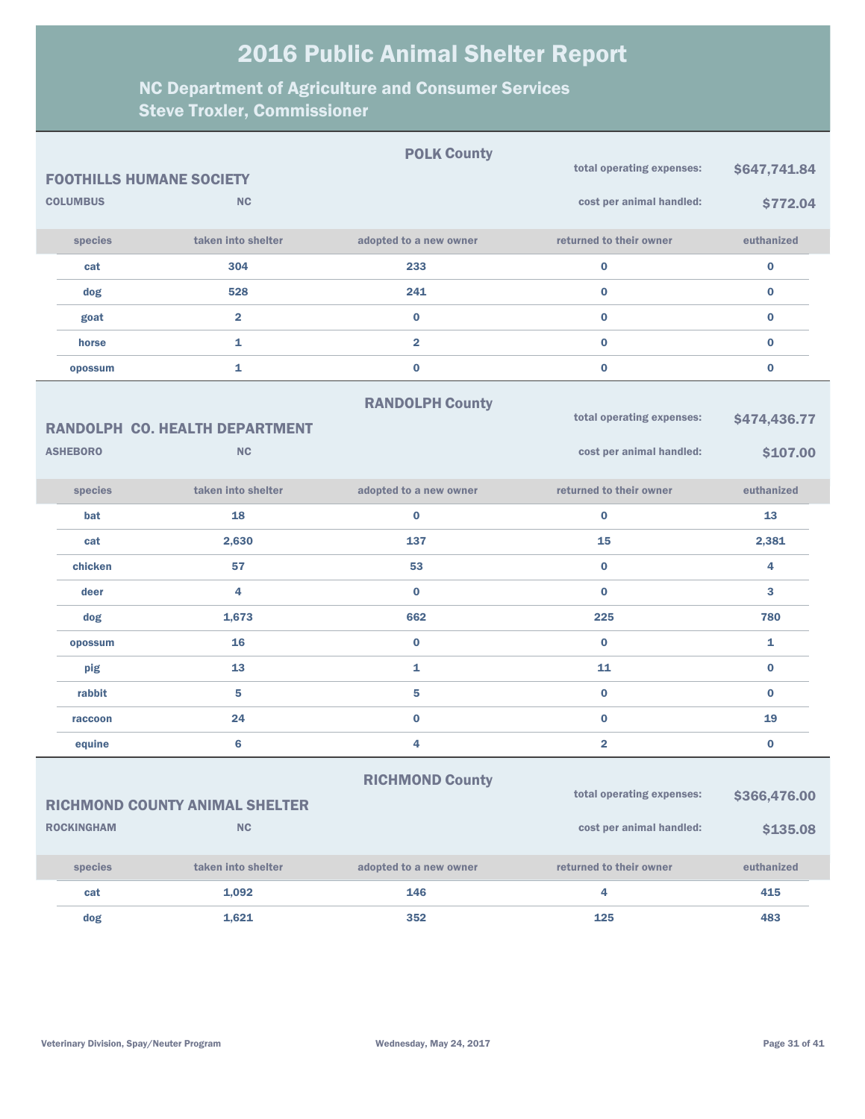|                   |                                       | <b>POLK County</b>      | total operating expenses: | \$647,741.84 |
|-------------------|---------------------------------------|-------------------------|---------------------------|--------------|
|                   | <b>FOOTHILLS HUMANE SOCIETY</b>       |                         |                           |              |
| <b>COLUMBUS</b>   | <b>NC</b>                             |                         | cost per animal handled:  | \$772.04     |
| species           | taken into shelter                    | adopted to a new owner  | returned to their owner   | euthanized   |
| cat               | 304                                   | 233                     | $\mathbf 0$               | $\pmb{0}$    |
| dog               | 528                                   | 241                     | $\bf{0}$                  | $\bf{0}$     |
| goat              | $\overline{2}$                        | $\bf{0}$                | $\bf{0}$                  | $\bf{0}$     |
| horse             | $\mathbf{1}$                          | $\overline{\mathbf{2}}$ | $\bf{0}$                  | $\bf{0}$     |
| opossum           | $\mathbf{1}$                          | $\bf{0}$                | $\bf{0}$                  | $\bf{0}$     |
|                   |                                       | <b>RANDOLPH County</b>  |                           |              |
|                   | <b>RANDOLPH CO. HEALTH DEPARTMENT</b> |                         | total operating expenses: | \$474,436.77 |
| <b>ASHEBORO</b>   | <b>NC</b>                             |                         | cost per animal handled:  | \$107.00     |
| species           | taken into shelter                    | adopted to a new owner  | returned to their owner   | euthanized   |
| bat               | 18                                    | $\bf{0}$                | $\bf{0}$                  | 13           |
| cat               | 2,630                                 | 137                     | 15                        | 2,381        |
| chicken           | 57                                    | 53                      | $\bf{0}$                  | 4            |
| deer              | 4                                     | $\bf{0}$                | $\bf{0}$                  | 3            |
| dog               | 1,673                                 | 662                     | 225                       | 780          |
| opossum           | 16                                    | $\bf{0}$                | $\bf{0}$                  | 1            |
| pig               | 13                                    | $\mathbf{1}$            | 11                        | $\bf{0}$     |
| rabbit            | 5                                     | 5                       | $\bf{0}$                  | $\bf{0}$     |
| raccoon           | 24                                    | $\mathbf 0$             | $\bf{0}$                  | 19           |
| equine            | $6\phantom{a}$                        | 4                       | $\overline{\mathbf{2}}$   | $\bf{0}$     |
|                   |                                       | <b>RICHMOND County</b>  |                           |              |
|                   | <b>RICHMOND COUNTY ANIMAL SHELTER</b> |                         | total operating expenses: | \$366,476.00 |
| <b>ROCKINGHAM</b> | <b>NC</b>                             |                         | cost per animal handled:  | \$135.08     |
| species           | taken into shelter                    | adopted to a new owner  | returned to their owner   | euthanized   |
| cat               | 1,092                                 | 146                     | 4                         | 415          |
| dog               | 1,621                                 | 352                     | 125                       | 483          |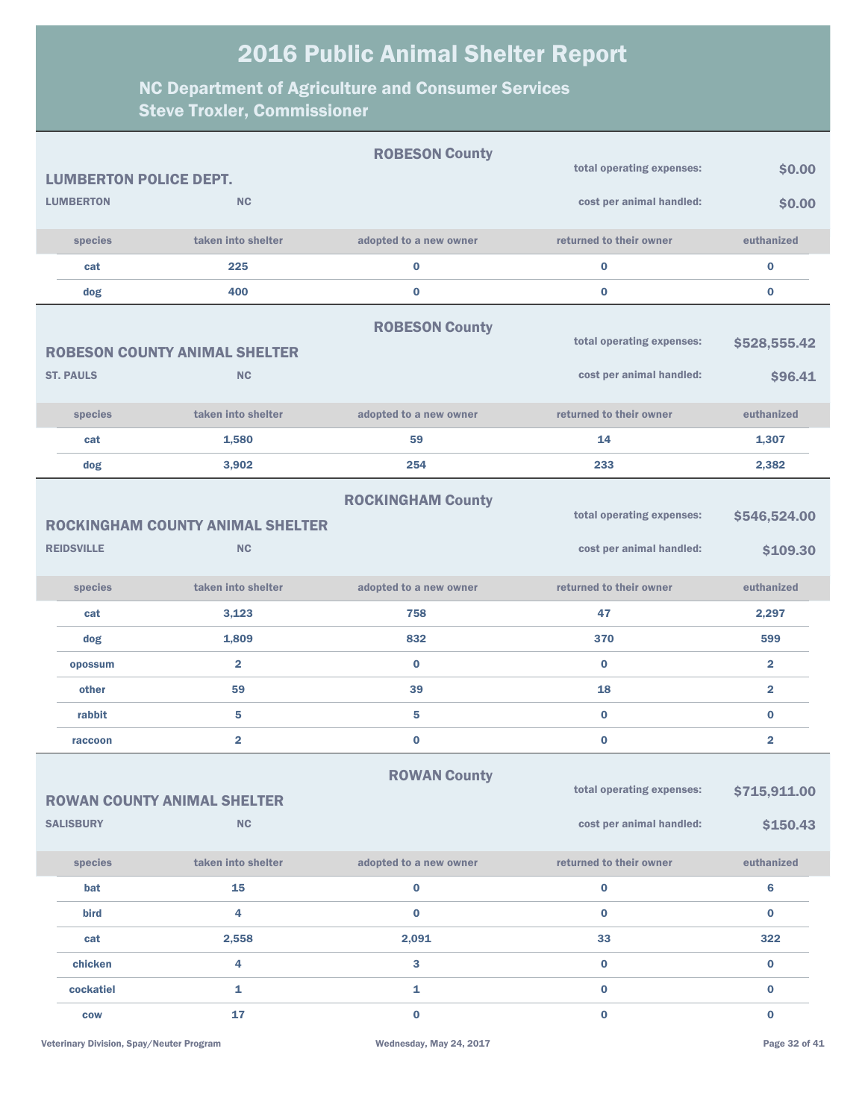| <b>LUMBERTON POLICE DEPT.</b>                                |                                                      | <b>ROBESON County</b>    | total operating expenses:                             | \$0.00                   |
|--------------------------------------------------------------|------------------------------------------------------|--------------------------|-------------------------------------------------------|--------------------------|
| <b>LUMBERTON</b>                                             | <b>NC</b>                                            |                          | cost per animal handled:                              | \$0.00                   |
| species                                                      | taken into shelter                                   | adopted to a new owner   | returned to their owner                               | euthanized               |
|                                                              | 225                                                  |                          |                                                       |                          |
| cat                                                          |                                                      | $\bf{0}$                 | $\bf{0}$                                              | 0                        |
| dog                                                          | 400                                                  | $\bf{0}$                 | $\bf{0}$                                              | $\bf{0}$                 |
|                                                              | <b>ROBESON COUNTY ANIMAL SHELTER</b>                 | <b>ROBESON County</b>    | total operating expenses:                             | \$528,555.42             |
| <b>ST. PAULS</b>                                             | <b>NC</b>                                            |                          | cost per animal handled:                              | \$96.41                  |
| species                                                      | taken into shelter                                   | adopted to a new owner   | returned to their owner                               | euthanized               |
| cat                                                          | 1,580                                                | 59                       | 14                                                    | 1,307                    |
| dog                                                          | 3,902                                                | 254                      | 233                                                   | 2,382                    |
| <b>REIDSVILLE</b>                                            | <b>ROCKINGHAM COUNTY ANIMAL SHELTER</b><br><b>NC</b> | <b>ROCKINGHAM County</b> | total operating expenses:<br>cost per animal handled: | \$546,524.00<br>\$109.30 |
| species                                                      | taken into shelter                                   | adopted to a new owner   | returned to their owner                               | euthanized               |
| cat                                                          | 3,123                                                | 758                      | 47                                                    | 2,297                    |
| dog                                                          | 1,809                                                | 832                      | 370                                                   | 599                      |
| opossum                                                      | $\overline{\mathbf{2}}$                              | $\bf{0}$                 | $\bf{0}$                                              | $\overline{\mathbf{2}}$  |
| other                                                        | 59                                                   | 39                       | 18                                                    | $\overline{\mathbf{2}}$  |
| rabbit                                                       | 5                                                    | 5                        | $\bf{0}$                                              | 0                        |
| raccoon                                                      | $\overline{\mathbf{2}}$                              | $\bf{0}$                 | $\bf{0}$                                              | $\overline{\mathbf{2}}$  |
| <b>ROWAN COUNTY ANIMAL SHELTER</b><br>NC<br><b>SALISBURY</b> |                                                      | <b>ROWAN County</b>      | total operating expenses:<br>cost per animal handled: | \$715,911.00<br>\$150.43 |
| species                                                      | taken into shelter                                   | adopted to a new owner   | returned to their owner                               | euthanized               |
| bat                                                          | 15                                                   | $\pmb{0}$                | $\mathbf 0$                                           | 6                        |
| bird                                                         | 4                                                    | $\bf{0}$                 | $\bf{0}$                                              | $\bf{0}$                 |
| cat                                                          | 2,558                                                | 2,091                    | 33                                                    | 322                      |
| chicken                                                      |                                                      |                          |                                                       |                          |
|                                                              | 4                                                    | 3                        | $\bf{0}$                                              | $\bf{0}$                 |
| cockatiel                                                    | 1                                                    | 1                        | $\mathbf 0$                                           | 0                        |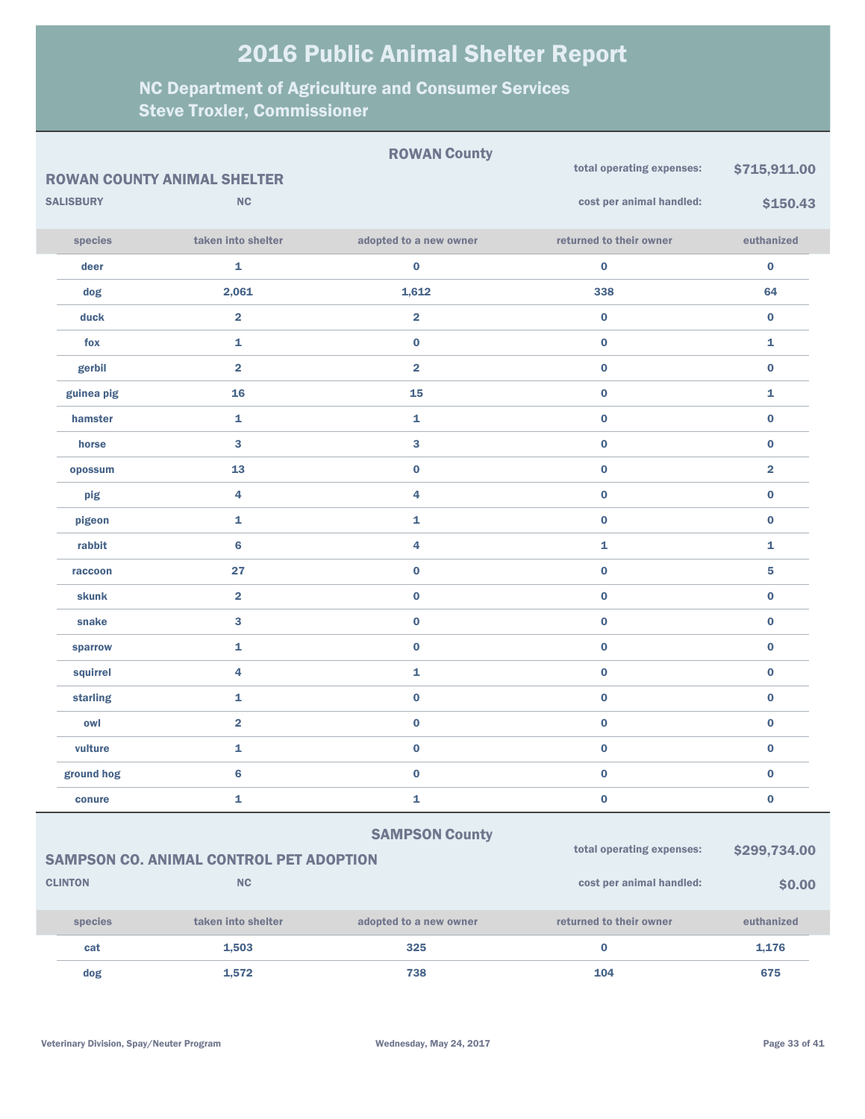|                            |                  |                                                | <b>ROWAN County</b>     |                           |                         |
|----------------------------|------------------|------------------------------------------------|-------------------------|---------------------------|-------------------------|
|                            |                  | <b>ROWAN COUNTY ANIMAL SHELTER</b>             |                         | total operating expenses: | \$715,911.00            |
|                            | <b>SALISBURY</b> | <b>NC</b>                                      |                         | cost per animal handled:  | \$150.43                |
|                            | species          | taken into shelter                             | adopted to a new owner  | returned to their owner   | euthanized              |
|                            | deer             | $\mathbf{1}$                                   | $\bf{0}$                | $\bf{0}$                  | $\pmb{0}$               |
|                            | dog              | 2,061                                          | 1,612                   | 338                       | 64                      |
|                            | duck             | $\overline{\mathbf{2}}$                        | $\overline{\mathbf{2}}$ | $\bf{0}$                  | $\bf{0}$                |
|                            | fox              | 1                                              | $\bf{0}$                | $\pmb{0}$                 | $\mathbf{1}$            |
|                            | gerbil           | $\overline{\mathbf{2}}$                        | $\overline{2}$          | $\bf{0}$                  | $\pmb{0}$               |
|                            | guinea pig       | 16                                             | 15                      | $\pmb{0}$                 | $\mathbf{1}$            |
|                            | hamster          | 1                                              | 1                       | $\bf{0}$                  | $\pmb{0}$               |
|                            | horse            | $\bf{3}$                                       | 3                       | $\pmb{0}$                 | $\bf{0}$                |
|                            | opossum          | 13                                             | $\bf{0}$                | $\bf{0}$                  | $\overline{\mathbf{2}}$ |
|                            | pig              | 4                                              | 4                       | $\pmb{0}$                 | $\bf{0}$                |
|                            | pigeon           | 1                                              | 1                       | $\mathbf 0$               | $\bf{0}$                |
|                            | rabbit           | $6\phantom{1}6$                                | 4                       | 1                         | 1                       |
|                            | raccoon          | 27                                             | $\pmb{0}$               | $\mathbf 0$               | 5                       |
|                            | <b>skunk</b>     | $\overline{\mathbf{2}}$                        | $\bf{0}$                | $\mathbf 0$               | $\bf{0}$                |
|                            | snake            | 3                                              | $\pmb{0}$               | $\mathbf 0$               | $\bf{0}$                |
|                            | sparrow          | 1                                              | $\bf{0}$                | $\mathbf 0$               | $\bf{0}$                |
|                            | squirrel         | 4                                              | 1                       | $\mathbf 0$               | $\bf{0}$                |
|                            | starling         | 1                                              | $\pmb{0}$               | $\mathbf 0$               | $\bf{0}$                |
|                            | owl              | $\overline{\mathbf{2}}$                        | $\pmb{0}$               | $\mathbf 0$               | $\mathbf 0$             |
|                            | vulture          | 1                                              | $\bf{0}$                | $\bf{0}$                  | $\bf{0}$                |
|                            | ground hog       | 6                                              | 0                       | 0                         | $\bf{0}$                |
|                            | conure           | $\mathbf 1$                                    | 1                       | $\mathbf 0$               | $\mathbf 0$             |
|                            |                  |                                                | <b>SAMPSON County</b>   |                           |                         |
|                            |                  | <b>SAMPSON CO. ANIMAL CONTROL PET ADOPTION</b> |                         | total operating expenses: | \$299,734.00            |
| <b>CLINTON</b><br>$\sf NC$ |                  |                                                |                         | cost per animal handled:  | \$0.00                  |
|                            | species          | taken into shelter                             | adopted to a new owner  | returned to their owner   | euthanized              |
|                            | cat              | 1,503                                          | 325                     | $\mathbf 0$               | 1,176                   |
|                            | dog              | 1,572                                          | 738                     | 104                       | 675                     |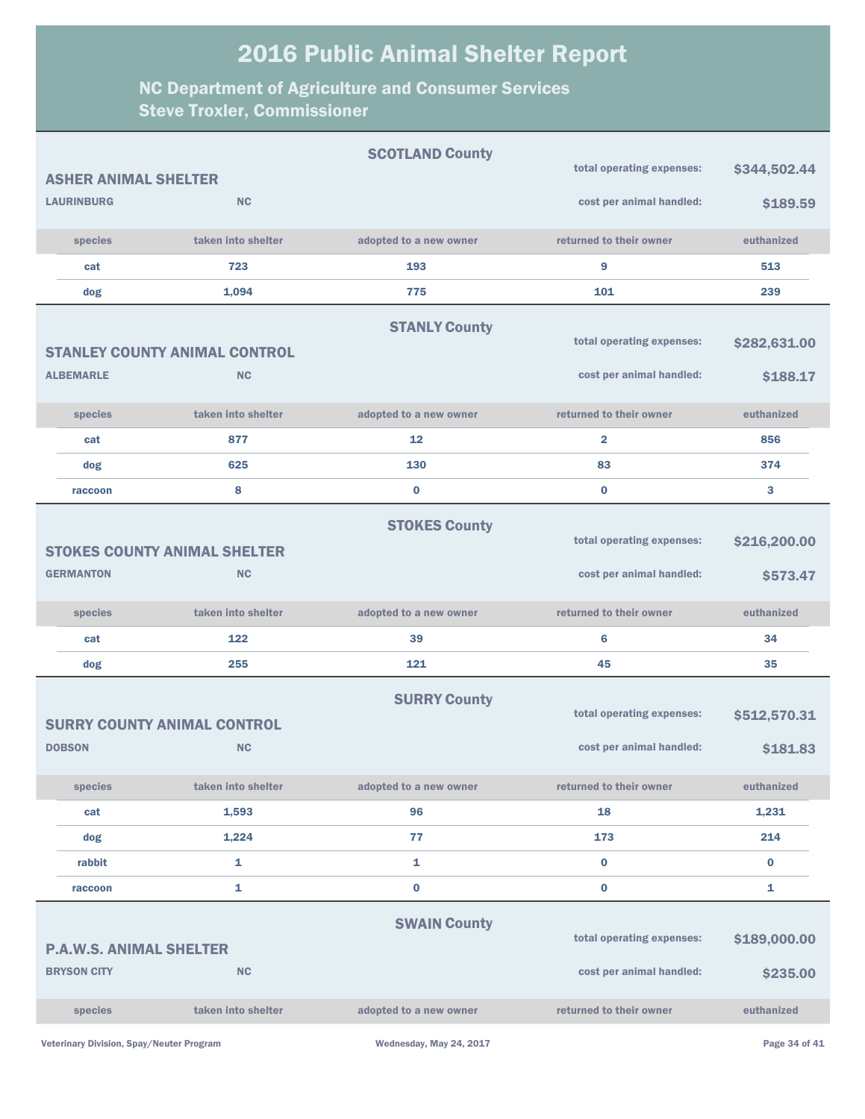|                                |                                      | <b>SCOTLAND County</b> | total operating expenses: | \$344,502.44 |
|--------------------------------|--------------------------------------|------------------------|---------------------------|--------------|
| <b>ASHER ANIMAL SHELTER</b>    |                                      |                        |                           |              |
| <b>LAURINBURG</b>              | <b>NC</b>                            |                        | cost per animal handled:  | \$189.59     |
| species                        | taken into shelter                   | adopted to a new owner | returned to their owner   | euthanized   |
| cat                            | 723                                  | 193                    | 9                         | 513          |
| dog                            | 1,094                                | 775                    | 101                       | 239          |
|                                |                                      | <b>STANLY County</b>   |                           |              |
|                                | <b>STANLEY COUNTY ANIMAL CONTROL</b> |                        | total operating expenses: | \$282,631.00 |
| <b>ALBEMARLE</b>               | <b>NC</b>                            |                        | cost per animal handled:  | \$188.17     |
|                                |                                      |                        |                           |              |
| species                        | taken into shelter                   | adopted to a new owner | returned to their owner   | euthanized   |
| cat                            | 877                                  | 12                     | $\overline{\mathbf{2}}$   | 856          |
| dog                            | 625                                  | 130                    | 83                        | 374          |
| raccoon                        | 8                                    | $\bf{0}$               | $\bf{0}$                  | 3            |
|                                |                                      | <b>STOKES County</b>   |                           |              |
|                                | <b>STOKES COUNTY ANIMAL SHELTER</b>  |                        | total operating expenses: | \$216,200.00 |
| <b>GERMANTON</b>               | <b>NC</b>                            |                        | cost per animal handled:  | \$573.47     |
|                                |                                      |                        |                           |              |
| species                        | taken into shelter                   | adopted to a new owner | returned to their owner   | euthanized   |
| cat                            | 122                                  | 39                     | 6                         | 34           |
| dog                            | 255                                  | 121                    | 45                        | 35           |
|                                |                                      | <b>SURRY County</b>    |                           |              |
|                                | <b>SURRY COUNTY ANIMAL CONTROL</b>   |                        | total operating expenses: | \$512,570.31 |
| <b>DOBSON</b>                  | <b>NC</b>                            |                        | cost per animal handled:  | \$181.83     |
|                                |                                      |                        |                           |              |
| species                        | taken into shelter                   | adopted to a new owner | returned to their owner   | euthanized   |
| cat                            | 1,593                                | 96                     | 18                        | 1,231        |
| dog                            | 1,224                                | 77                     | 173                       | 214          |
| rabbit                         | 1                                    | 1                      | $\bf{0}$                  | $\bf{0}$     |
| raccoon                        | 1                                    | $\bf{0}$               | $\bf{0}$                  | 1            |
|                                |                                      | <b>SWAIN County</b>    |                           |              |
| <b>P.A.W.S. ANIMAL SHELTER</b> |                                      |                        | total operating expenses: | \$189,000.00 |
| <b>BRYSON CITY</b>             | <b>NC</b>                            |                        | cost per animal handled:  | \$235.00     |
| species                        | taken into shelter                   | adopted to a new owner | returned to their owner   | euthanized   |
|                                |                                      |                        |                           |              |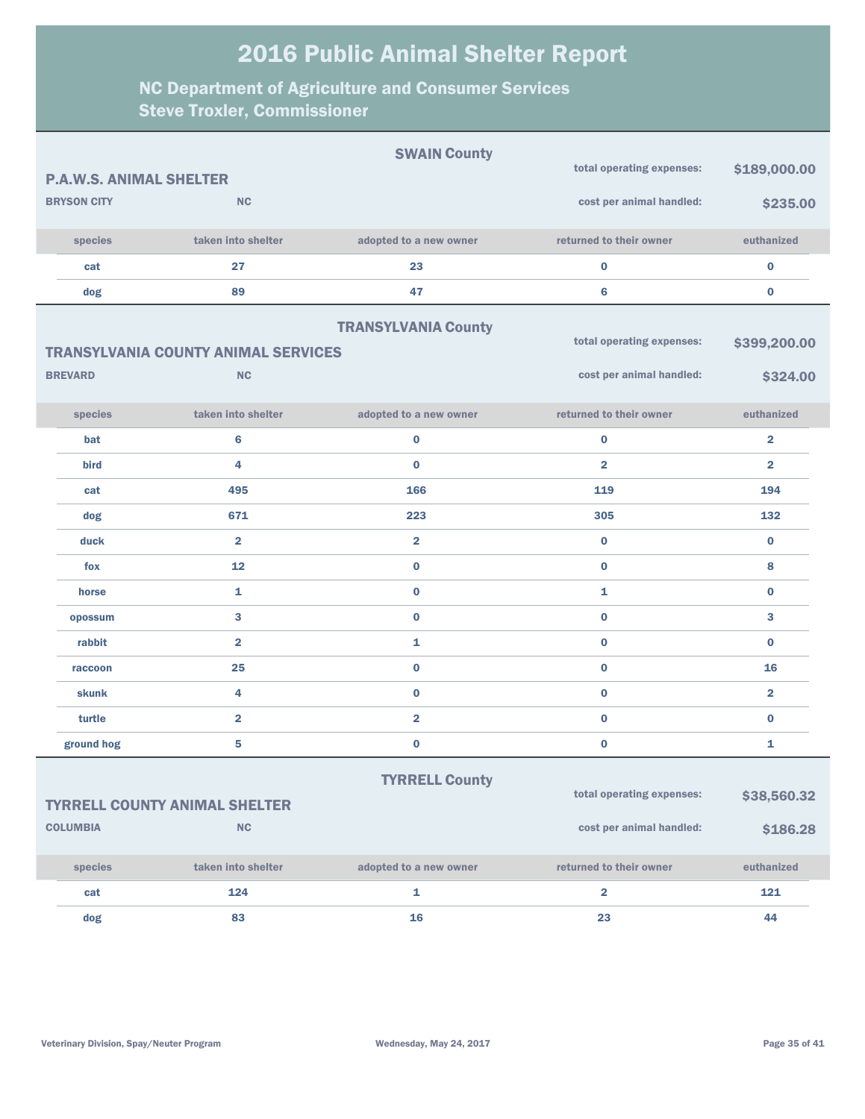|                                |                                            | <b>SWAIN County</b>        | total operating expenses: | \$189,000.00            |
|--------------------------------|--------------------------------------------|----------------------------|---------------------------|-------------------------|
| <b>P.A.W.S. ANIMAL SHELTER</b> |                                            |                            |                           |                         |
| <b>BRYSON CITY</b>             | <b>NC</b>                                  |                            | cost per animal handled:  | \$235.00                |
| species                        | taken into shelter                         | adopted to a new owner     | returned to their owner   | euthanized              |
| cat                            | 27                                         | 23                         | $\bf{0}$                  | 0                       |
| dog                            | 89                                         | 47                         | 6                         | 0                       |
|                                |                                            | <b>TRANSYLVANIA County</b> |                           |                         |
|                                | <b>TRANSYLVANIA COUNTY ANIMAL SERVICES</b> |                            | total operating expenses: | \$399,200.00            |
| <b>BREVARD</b>                 | <b>NC</b>                                  |                            | cost per animal handled:  | \$324.00                |
| species                        | taken into shelter                         | adopted to a new owner     | returned to their owner   | euthanized              |
| bat                            | $6\phantom{a}$                             | $\bf{0}$                   | $\bf{0}$                  | $\overline{\mathbf{2}}$ |
| bird                           | 4                                          | $\bf{0}$                   | $\overline{2}$            | $\overline{\mathbf{2}}$ |
| cat                            | 495                                        | 166                        | 119                       | 194                     |
| dog                            | 671                                        | 223                        | 305                       | 132                     |
| duck                           | $\overline{\mathbf{2}}$                    | $\overline{2}$             | $\bf{0}$                  | $\bf{0}$                |
| fox                            | 12                                         | $\bf{0}$                   | $\bf{0}$                  | 8                       |
| horse                          | 1                                          | $\bf{0}$                   | 1                         | $\bf{0}$                |
| opossum                        | 3                                          | $\bf{0}$                   | $\bf{0}$                  | 3                       |
| rabbit                         | $\overline{\mathbf{2}}$                    | 1                          | $\bf{0}$                  | $\bf{0}$                |
| raccoon                        | 25                                         | $\bf{0}$                   | $\bf{0}$                  | 16                      |
| skunk                          | 4                                          | $\bf{0}$                   | $\bf{0}$                  | $\overline{2}$          |
| turtle                         | $\overline{\mathbf{2}}$                    | $\overline{\mathbf{2}}$    | $\bf{0}$                  | $\bf{0}$                |
| ground hog                     | 5                                          | $\bf{0}$                   | $\bf{0}$                  | 1                       |
|                                |                                            | <b>TYRRELL County</b>      |                           |                         |
|                                | <b>TYRRELL COUNTY ANIMAL SHELTER</b>       |                            | total operating expenses: | \$38,560.32             |
| <b>COLUMBIA</b>                | NC                                         |                            | cost per animal handled:  | \$186.28                |
| species                        | taken into shelter                         | adopted to a new owner     | returned to their owner   | euthanized              |
| cat                            | 124                                        | 1                          | $\overline{\mathbf{2}}$   | 121                     |
| dog                            | 83                                         | 16                         | 23                        | 44                      |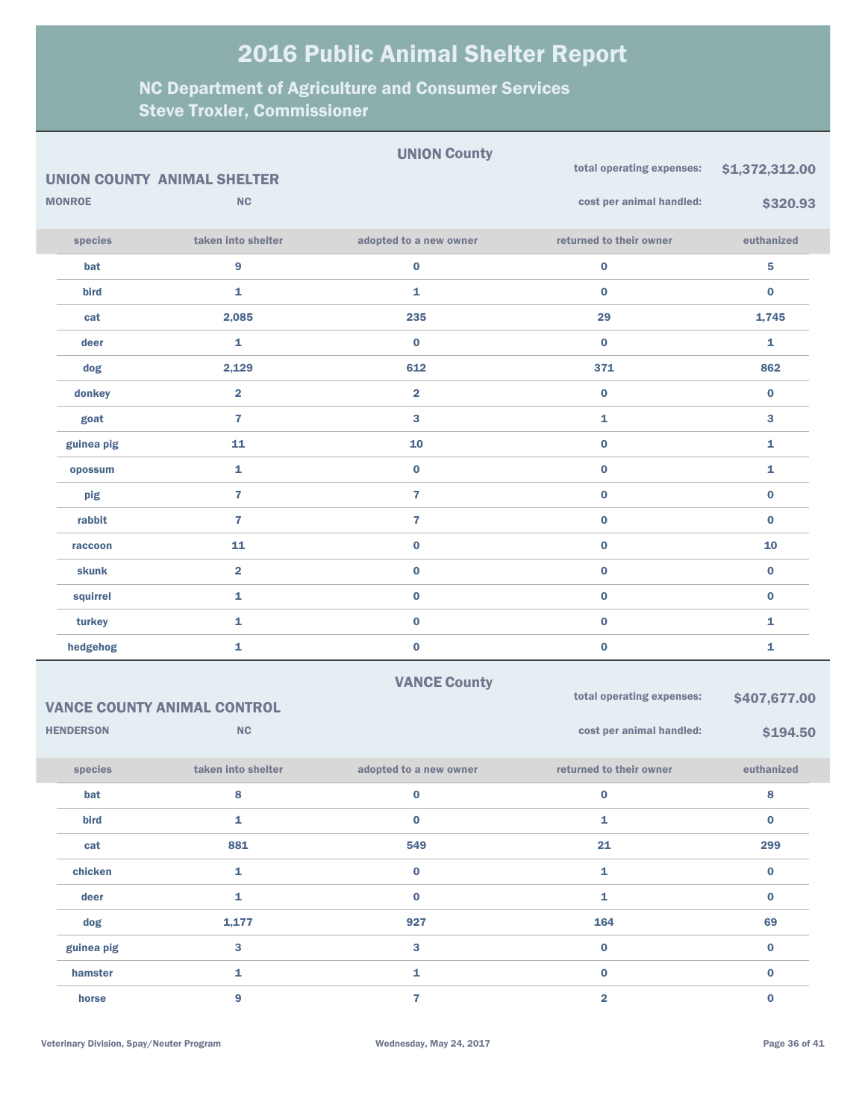|                                    |                               |                         | <b>UNION County</b>     |                           |                |
|------------------------------------|-------------------------------|-------------------------|-------------------------|---------------------------|----------------|
| <b>UNION COUNTY ANIMAL SHELTER</b> |                               |                         |                         | total operating expenses: | \$1,372,312.00 |
| <b>MONROE</b><br><b>NC</b>         |                               |                         |                         | cost per animal handled:  | \$320.93       |
|                                    | species                       | taken into shelter      | adopted to a new owner  | returned to their owner   | euthanized     |
|                                    | bat                           | 9                       | $\bf{0}$                | $\boldsymbol{0}$          | 5              |
|                                    | bird                          | 1                       | 1                       | $\bf{0}$                  | $\bf{0}$       |
|                                    | cat                           | 2,085                   | 235                     | 29                        | 1,745          |
|                                    | deer                          | 1                       | $\bf{0}$                | $\bf{0}$                  | 1              |
|                                    | dog                           | 2,129                   | 612                     | 371                       | 862            |
|                                    | donkey                        | $\overline{\mathbf{2}}$ | $\overline{\mathbf{2}}$ | $\bf{0}$                  | $\bf{0}$       |
|                                    | goat                          | $\overline{7}$          | 3                       | 1                         | 3              |
|                                    | guinea pig                    | 11                      | 10                      | $\bf{0}$                  | 1              |
|                                    | opossum                       | 1                       | $\bf{0}$                | $\bf{0}$                  | 1              |
|                                    | pig                           | $\overline{\mathbf{r}}$ | $\overline{7}$          | $\bf{0}$                  | $\bf{0}$       |
|                                    | rabbit                        | $\overline{7}$          | $\overline{7}$          | $\bf{0}$                  | $\bf{0}$       |
|                                    | raccoon                       | 11                      | $\bf{0}$                | $\bf{0}$                  | 10             |
|                                    | <b>skunk</b>                  | $\overline{\mathbf{2}}$ | $\bf{0}$                | $\bf{0}$                  | $\bf{0}$       |
|                                    | squirrel                      | $\mathbf{1}$            | $\bf{0}$                | $\bf{0}$                  | $\bf{0}$       |
|                                    | turkey                        | $\mathbf{1}$            | $\bf{0}$                | $\bf{0}$                  | 1              |
|                                    | hedgehog                      | 1                       | $\bf{0}$                | $\bf{0}$                  | 1              |
|                                    |                               |                         | <b>VANCE County</b>     |                           |                |
| <b>VANCE COUNTY ANIMAL CONTROL</b> |                               |                         |                         | total operating expenses: | \$407,677.00   |
|                                    | <b>NC</b><br><b>HENDERSON</b> |                         |                         | cost per animal handled:  | \$194.50       |
|                                    | species                       | taken into shelter      | adopted to a new owner  | returned to their owner   | euthanized     |
|                                    | bat                           | 8                       | $\bf{0}$                | $\bf{0}$                  | 8              |
|                                    | bird                          | $\mathbf 1$             | $\mathbf 0$             | $\mathbf{1}$              | $\bf{0}$       |
|                                    | cat                           | 881                     | 549                     | 21                        | 299            |
|                                    | chicken                       | $\mathbf{1}$            | 0                       | $\mathbf{1}$              | $\mathbf 0$    |
|                                    | deer                          | $\mathbf 1$             | $\bf{0}$                | $\mathbf{1}$              | $\mathbf 0$    |
|                                    | dog                           | 1,177                   | 927                     | 164                       | 69             |
|                                    | guinea pig                    | $\mathbf{3}$            | $\mathbf{3}$            | $\pmb{0}$                 | $\mathbf 0$    |
|                                    | hamster                       | $\mathbf 1$             | $\mathbf{1}$            | $\bf{0}$                  | $\bf{0}$       |
|                                    | horse                         | $\overline{9}$          | $\mathbf{7}$            | $\overline{\mathbf{2}}$   | $\pmb{0}$      |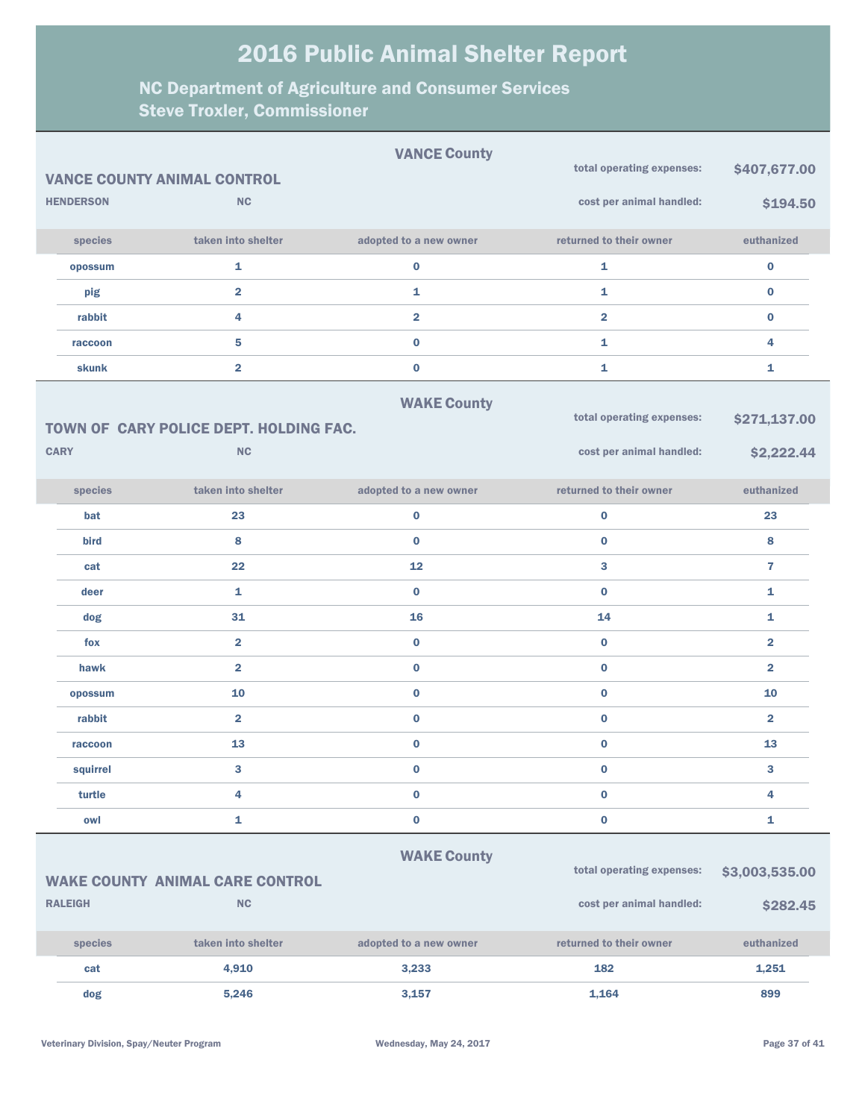|                                                                                       |                  |                                        | <b>VANCE County</b>    | total operating expenses: | \$407,677.00            |  |  |
|---------------------------------------------------------------------------------------|------------------|----------------------------------------|------------------------|---------------------------|-------------------------|--|--|
|                                                                                       |                  | <b>VANCE COUNTY ANIMAL CONTROL</b>     |                        |                           |                         |  |  |
|                                                                                       | <b>HENDERSON</b> | <b>NC</b>                              |                        | cost per animal handled:  | \$194.50                |  |  |
|                                                                                       | species          | taken into shelter                     | adopted to a new owner | returned to their owner   | euthanized              |  |  |
|                                                                                       | opossum          | 1                                      | $\pmb{0}$              | 1                         | $\bf{0}$                |  |  |
|                                                                                       | pig              | $\overline{\mathbf{2}}$                | 1                      | 1                         | $\bf{0}$                |  |  |
|                                                                                       | rabbit           | 4                                      | $\overline{2}$         | $\overline{2}$            | $\bf{0}$                |  |  |
|                                                                                       | raccoon          | 5                                      | $\bf{0}$               | $\mathbf{1}$              | 4                       |  |  |
|                                                                                       | <b>skunk</b>     | $\overline{\mathbf{2}}$                | $\bf{0}$               | 1                         | 1                       |  |  |
|                                                                                       |                  |                                        | <b>WAKE County</b>     |                           |                         |  |  |
|                                                                                       |                  | TOWN OF CARY POLICE DEPT. HOLDING FAC. |                        | total operating expenses: | \$271,137.00            |  |  |
|                                                                                       | <b>CARY</b>      | <b>NC</b>                              |                        | cost per animal handled:  | \$2,222.44              |  |  |
|                                                                                       | species          | taken into shelter                     | adopted to a new owner | returned to their owner   | euthanized              |  |  |
|                                                                                       | bat              | 23                                     | $\bf{0}$               | 0                         | 23                      |  |  |
|                                                                                       | bird             | 8                                      | $\bf{0}$               | $\bf{0}$                  | 8                       |  |  |
|                                                                                       | cat              | 22                                     | 12                     | 3                         | $\overline{7}$          |  |  |
|                                                                                       | deer             | 1                                      | $\bf{0}$               | $\bf{0}$                  | 1                       |  |  |
|                                                                                       | dog              | 31                                     | 16                     | 14                        | 1                       |  |  |
|                                                                                       | fox              | $\overline{2}$                         | $\bf{0}$               | $\bf{0}$                  | $\overline{\mathbf{2}}$ |  |  |
|                                                                                       | hawk             | $\overline{2}$                         | $\bf{0}$               | $\bf{0}$                  | $\overline{2}$          |  |  |
|                                                                                       | opossum          | 10                                     | $\bf{0}$               | $\bf{0}$                  | 10                      |  |  |
|                                                                                       | rabbit           | $\overline{\mathbf{2}}$                | $\bf{0}$               | $\bf{0}$                  | $\overline{\mathbf{2}}$ |  |  |
|                                                                                       | raccoon          | 13                                     | $\pmb{0}$              | $\bf{0}$                  | 13                      |  |  |
|                                                                                       | squirrel         | 3                                      | $\bf{0}$               | $\bf{0}$                  | 3                       |  |  |
|                                                                                       | turtle           | 4                                      | $\pmb{0}$              | 0                         | 4                       |  |  |
|                                                                                       | owl              | 1                                      | $\pmb{0}$              | $\pmb{0}$                 | 1                       |  |  |
| <b>WAKE County</b>                                                                    |                  |                                        |                        |                           |                         |  |  |
| total operating expenses:<br>\$3,003,535.00<br><b>WAKE COUNTY ANIMAL CARE CONTROL</b> |                  |                                        |                        |                           |                         |  |  |
|                                                                                       | <b>RALEIGH</b>   | $\mathsf{NC}$                          |                        | cost per animal handled:  | \$282.45                |  |  |
|                                                                                       | species          | taken into shelter                     | adopted to a new owner | returned to their owner   | euthanized              |  |  |
|                                                                                       | cat              | 4,910                                  | 3,233                  | 182                       | 1,251                   |  |  |
|                                                                                       | dog              | 5,246                                  | 3,157                  | 1,164                     | 899                     |  |  |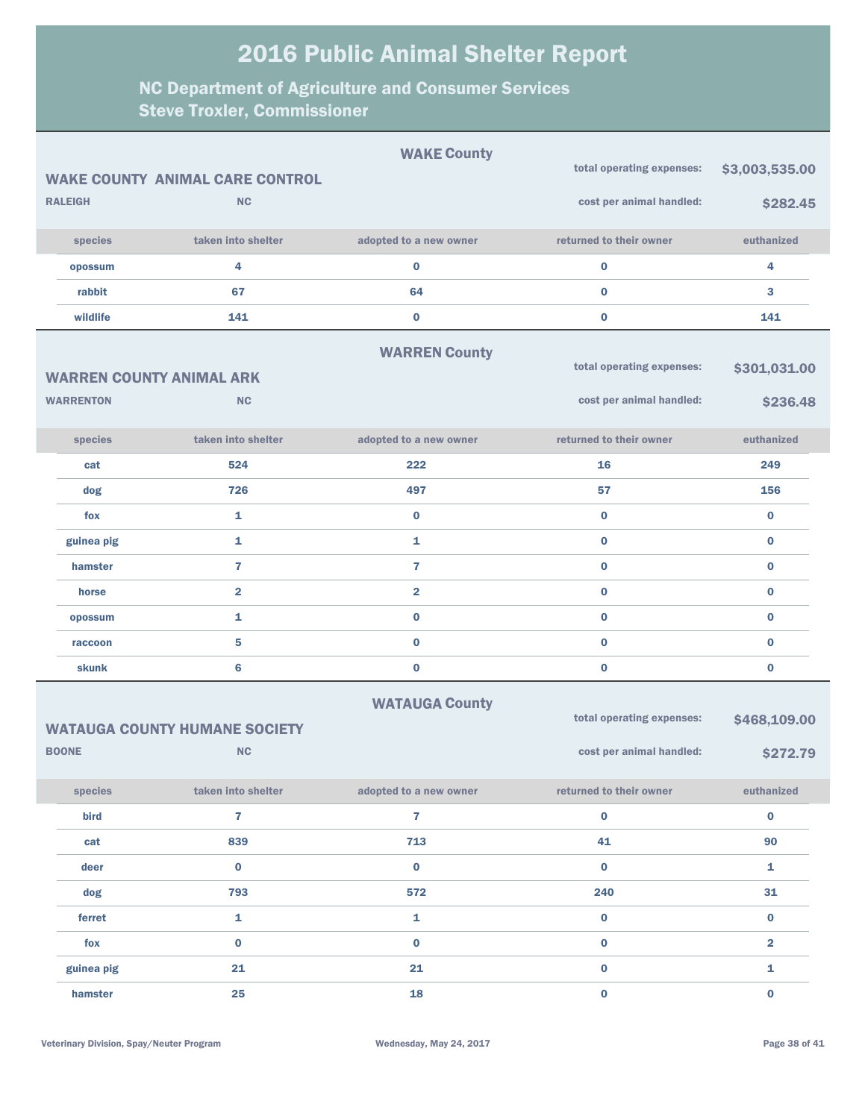|                           |                  |                                        | <b>WAKE County</b>      | total operating expenses: | \$3,003,535.00 |
|---------------------------|------------------|----------------------------------------|-------------------------|---------------------------|----------------|
|                           |                  | <b>WAKE COUNTY ANIMAL CARE CONTROL</b> |                         |                           |                |
|                           | <b>RALEIGH</b>   | <b>NC</b>                              |                         | cost per animal handled:  | \$282.45       |
|                           | species          | taken into shelter                     | adopted to a new owner  | returned to their owner   | euthanized     |
|                           | opossum          | 4                                      | 0                       | $\pmb{0}$                 | 4              |
|                           | rabbit           | 67                                     | 64                      | $\bf{0}$                  | 3              |
|                           | wildlife         | 141                                    | $\bf{0}$                | $\bf{0}$                  | 141            |
|                           |                  |                                        | <b>WARREN County</b>    |                           |                |
|                           |                  | <b>WARREN COUNTY ANIMAL ARK</b>        |                         | total operating expenses: | \$301,031.00   |
|                           | <b>WARRENTON</b> | <b>NC</b>                              |                         | cost per animal handled:  | \$236.48       |
|                           |                  |                                        |                         |                           |                |
|                           | species          | taken into shelter                     | adopted to a new owner  | returned to their owner   | euthanized     |
|                           | cat              | 524                                    | 222                     | 16                        | 249            |
|                           | dog              | 726                                    | 497                     | 57                        | 156            |
|                           | fox              | $\mathbf{1}$                           | $\bf{0}$                | $\bf{0}$                  | $\bf{0}$       |
|                           | guinea pig       | $\mathbf{1}$                           | 1                       | $\bf{0}$                  | $\bf{0}$       |
|                           | hamster          | $\overline{7}$                         | $\overline{7}$          | $\bf{0}$                  | $\bf{0}$       |
|                           | horse            | $\overline{\mathbf{2}}$                | $\overline{\mathbf{2}}$ | $\bf{0}$                  | 0              |
|                           | opossum          | $\mathbf{1}$                           | $\bf{0}$                | $\bf{0}$                  | $\bf{0}$       |
|                           | raccoon          | 5                                      | $\bf{0}$                | $\bf{0}$                  | 0              |
|                           | skunk            | 6                                      | $\bf{0}$                | $\bf{0}$                  | $\bf{0}$       |
| <b>WATAUGA County</b>     |                  |                                        |                         |                           |                |
|                           |                  | <b>WATAUGA COUNTY HUMANE SOCIETY</b>   |                         | total operating expenses: | \$468,109.00   |
| <b>BOONE</b><br><b>NC</b> |                  |                                        |                         | cost per animal handled:  | \$272.79       |
|                           | species          | taken into shelter                     | adopted to a new owner  | returned to their owner   | euthanized     |
|                           | bird             | $\overline{7}$                         | $\mathbf{7}$            | $\pmb{0}$                 | $\bf{0}$       |
|                           | cat              | 839                                    | 713                     | 41                        | 90             |
|                           | deer             | $\pmb{0}$                              | $\bf{0}$                | $\bf{0}$                  | $\mathbf 1$    |
|                           | dog              | 793                                    | 572                     | 240                       | 31             |
|                           | ferret           | 1                                      | $\mathbf 1$             | $\bf{0}$                  | $\bf{0}$       |
|                           | fox              | $\bf{0}$                               | $\mathbf 0$             | $\mathbf 0$               | 2              |
|                           | guinea pig       | 21                                     | 21                      | $\mathbf 0$               | 1              |
|                           | hamster          | 25                                     | 18                      | $\mathbf 0$               | $\bf{0}$       |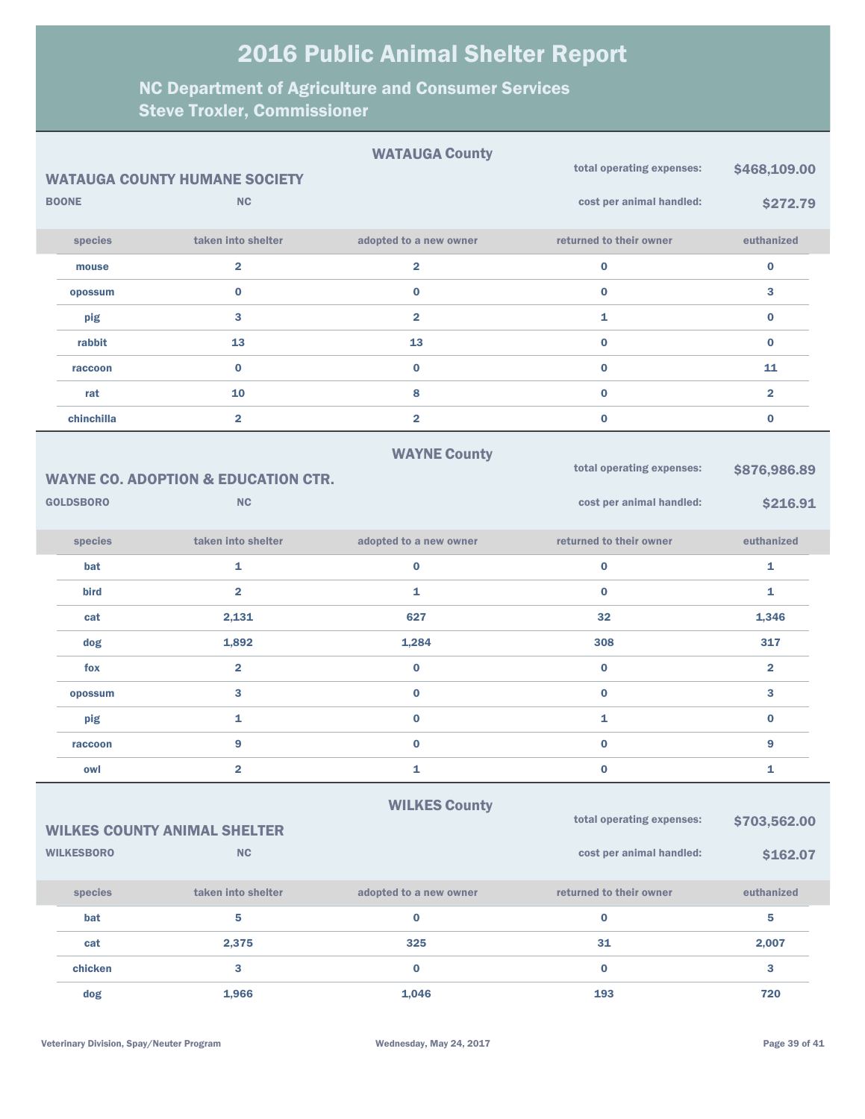|                                                                   |                                                | <b>WATAUGA County</b>   | total operating expenses: | \$468,109.00            |  |
|-------------------------------------------------------------------|------------------------------------------------|-------------------------|---------------------------|-------------------------|--|
|                                                                   | <b>WATAUGA COUNTY HUMANE SOCIETY</b>           |                         |                           |                         |  |
| <b>BOONE</b>                                                      | <b>NC</b>                                      |                         | cost per animal handled:  | \$272.79                |  |
| species                                                           | taken into shelter                             | adopted to a new owner  | returned to their owner   | euthanized              |  |
| mouse                                                             | $\overline{\mathbf{2}}$                        | $\overline{\mathbf{2}}$ | $\mathbf 0$               | $\pmb{0}$               |  |
| opossum                                                           | $\bf{0}$                                       | $\bf{0}$                | $\bf{0}$                  | 3                       |  |
| pig                                                               | 3                                              | $\overline{\mathbf{2}}$ | $\mathbf{1}$              | $\bf{0}$                |  |
| rabbit                                                            | 13                                             | 13                      | $\bf{0}$                  | $\bf{0}$                |  |
| raccoon                                                           | $\bf{0}$                                       | $\bf{0}$                | $\bf{0}$                  | 11                      |  |
| rat                                                               | 10                                             | 8                       | $\bf{0}$                  | $\overline{\mathbf{2}}$ |  |
| chinchilla                                                        | $\overline{\mathbf{2}}$                        | $\overline{\mathbf{2}}$ | $\bf{0}$                  | $\bf{0}$                |  |
|                                                                   |                                                | <b>WAYNE County</b>     |                           |                         |  |
|                                                                   | <b>WAYNE CO. ADOPTION &amp; EDUCATION CTR.</b> |                         | total operating expenses: | \$876,986.89            |  |
| <b>GOLDSBORO</b>                                                  | <b>NC</b>                                      |                         | cost per animal handled:  |                         |  |
|                                                                   |                                                |                         |                           | \$216.91                |  |
| species                                                           | taken into shelter                             | adopted to a new owner  | returned to their owner   | euthanized              |  |
| bat                                                               | 1                                              | 0                       | $\bf{0}$                  | 1                       |  |
| bird                                                              | $\overline{\mathbf{2}}$                        | 1                       | $\bf{0}$                  | 1                       |  |
| cat                                                               | 2,131                                          | 627                     | 32                        | 1,346                   |  |
| dog                                                               | 1,892                                          | 1,284                   | 308                       | 317                     |  |
| fox                                                               | $\overline{\mathbf{2}}$                        | $\bf{0}$                | $\bf{0}$                  | $\overline{\mathbf{2}}$ |  |
| opossum                                                           | 3                                              | $\bf{0}$                | $\bf{0}$                  | 3                       |  |
| pig                                                               | 1                                              | $\bf{0}$                | 1                         | $\bf{0}$                |  |
| raccoon                                                           | 9                                              | $\bf{0}$                | $\bf{0}$                  | 9                       |  |
| owl                                                               | 2                                              | 1                       | 0                         | 1                       |  |
|                                                                   |                                                |                         |                           |                         |  |
| <b>WILKES County</b><br>total operating expenses:<br>\$703,562.00 |                                                |                         |                           |                         |  |
| <b>WILKESBORO</b>                                                 | <b>WILKES COUNTY ANIMAL SHELTER</b><br>NC      |                         | cost per animal handled:  |                         |  |
|                                                                   |                                                |                         |                           | \$162.07                |  |
| species                                                           | taken into shelter                             | adopted to a new owner  | returned to their owner   | euthanized              |  |
| bat                                                               | 5                                              | $\bf{0}$                | $\bf{0}$                  | 5                       |  |
| cat                                                               | 2,375                                          | 325                     | 31                        | 2,007                   |  |
| chicken                                                           | 3                                              | $\pmb{0}$               | $\mathbf 0$               | 3                       |  |
| dog                                                               | 1,966                                          | 1,046                   | 193                       | 720                     |  |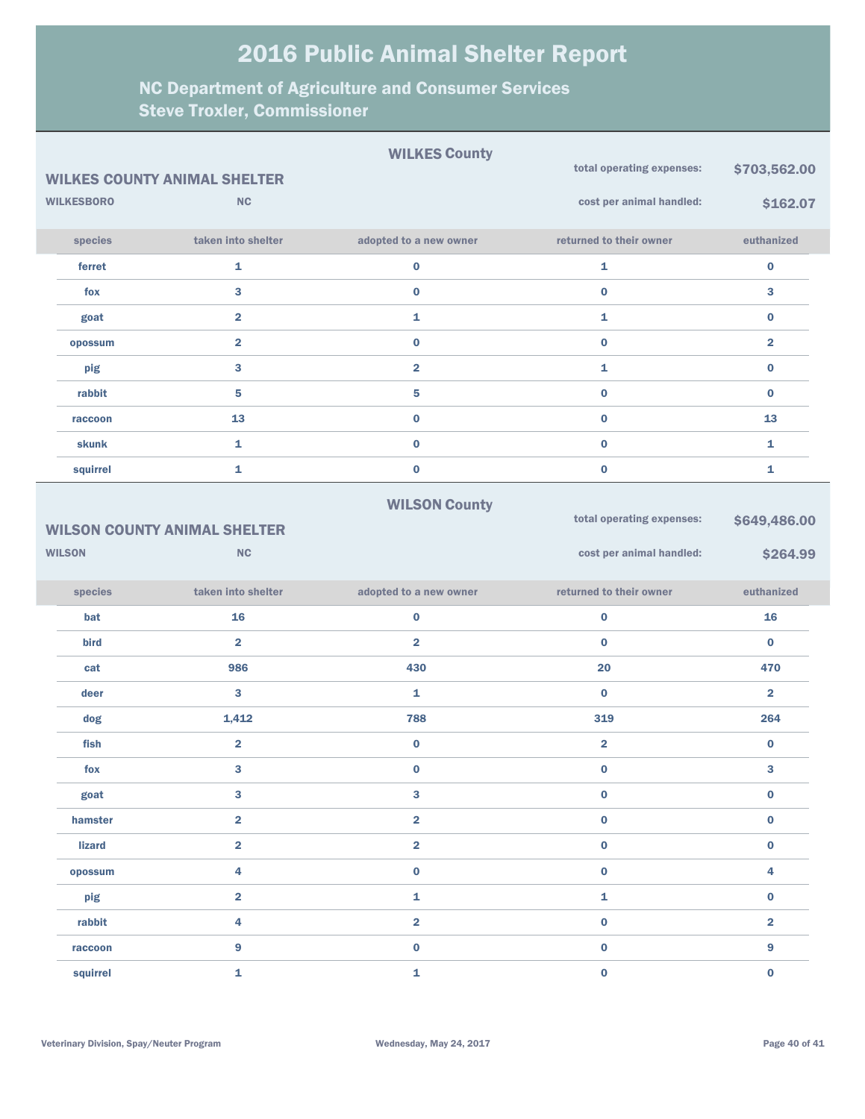|                   |                                     | <b>WILKES County</b>    | total operating expenses: | \$703,562.00            |
|-------------------|-------------------------------------|-------------------------|---------------------------|-------------------------|
|                   | <b>WILKES COUNTY ANIMAL SHELTER</b> |                         |                           |                         |
| <b>WILKESBORO</b> | <b>NC</b>                           |                         | cost per animal handled:  | \$162.07                |
| species           | taken into shelter                  | adopted to a new owner  | returned to their owner   | euthanized              |
| ferret            | $\mathbf{1}$                        | $\bf{0}$                | 1                         | $\pmb{0}$               |
| fox               | 3                                   | $\mathbf 0$             | $\bf{0}$                  | 3                       |
| goat              | $\overline{2}$                      | 1                       | 1                         | $\bf{0}$                |
| opossum           | $\overline{2}$                      | $\mathbf 0$             | $\bf{0}$                  | $\overline{\mathbf{2}}$ |
| pig               | 3                                   | $\overline{\mathbf{2}}$ | 1                         | $\bf{0}$                |
| rabbit            | $\overline{\mathbf{5}}$             | 5                       | $\bf{0}$                  | $\bf{0}$                |
| raccoon           | 13                                  | $\mathbf 0$             | $\bf{0}$                  | 13                      |
| skunk             | $\mathbf{1}$                        | $\mathbf 0$             | $\bf{0}$                  | 1                       |
| squirrel          | $\mathbf{1}$                        | $\mathbf 0$             | $\pmb{0}$                 | 1                       |
|                   | <b>WILSON COUNTY ANIMAL SHELTER</b> | <b>WILSON County</b>    | total operating expenses: | \$649,486.00            |
|                   | NC                                  |                         |                           |                         |
| <b>WILSON</b>     |                                     |                         | cost per animal handled:  | \$264.99                |
| species           | taken into shelter                  | adopted to a new owner  | returned to their owner   | euthanized              |
| bat               | 16                                  | $\bf{0}$                | $\mathbf 0$               | 16                      |
| bird              | $\overline{\mathbf{2}}$             | $\overline{\mathbf{2}}$ | $\bf{0}$                  | $\bf{0}$                |
| cat               | 986                                 | 430                     | 20                        | 470                     |
| deer              | 3                                   | $\mathbf{1}$            | $\bf{0}$                  | $\overline{\mathbf{2}}$ |
| dog               | 1,412                               | 788                     | 319                       | 264                     |
| fish              | $\overline{\mathbf{2}}$             | $\bf{0}$                | $\overline{\mathbf{2}}$   | $\pmb{0}$               |
| fox               | 3                                   | 0                       | $\bf{0}$                  | 3                       |
| goat              | 3                                   | 3                       | $\bf{0}$                  | $\pmb{0}$               |
| hamster           | $\overline{2}$                      | $\overline{\mathbf{2}}$ | $\bf{0}$                  | $\pmb{0}$               |
| <b>lizard</b>     | $\overline{\mathbf{2}}$             | $\overline{\mathbf{2}}$ | $\bf{0}$                  | $\pmb{0}$               |
| opossum           | 4                                   | $\bf{0}$                | $\bf{0}$                  | 4                       |
| pig               | $\overline{\mathbf{2}}$             | 1                       | 1                         | $\pmb{0}$               |
| rabbit            | 4                                   | $\overline{\mathbf{2}}$ | $\bf{0}$                  | $\overline{\mathbf{2}}$ |
| raccoon           | $\boldsymbol{9}$                    | $\bf{0}$                | $\bf{0}$                  | $\boldsymbol{9}$        |